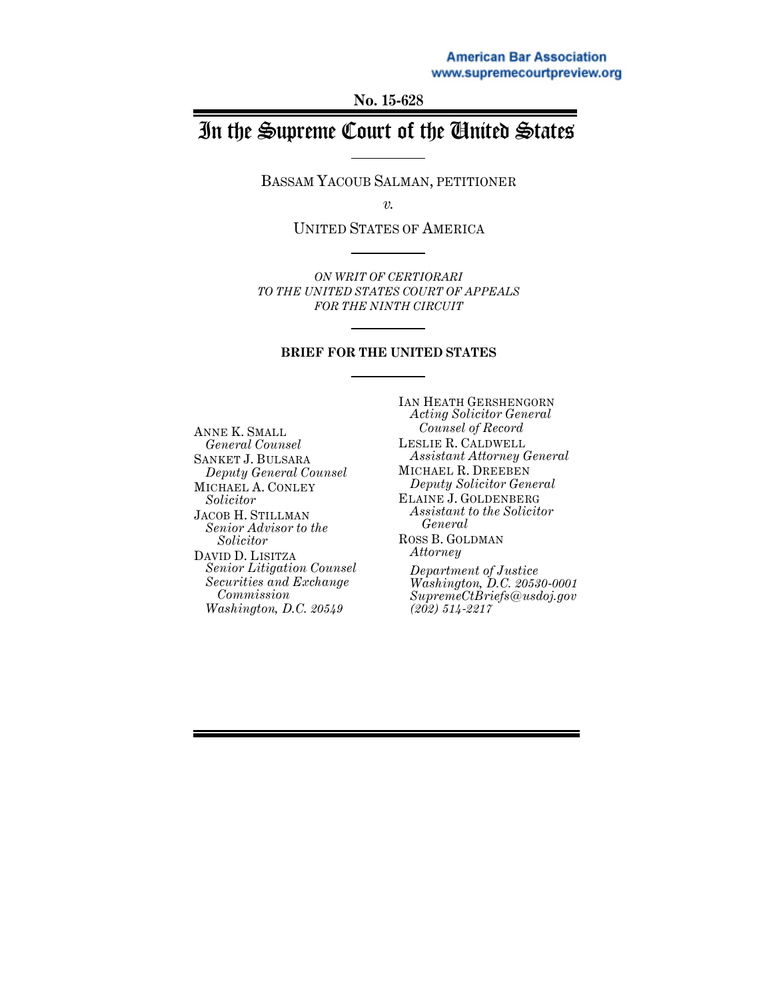**No. 15-62[8](www.supremecourtpreview.org)**

# In the Supreme Court of the United States

BASSAM YACOUB SALMAN, PETITIONER

*v.*

UNITED STATES OF AMERICA

*ON WRIT OF CERTIORARI TO THE UNITED STATES COURT OF APPEALS FOR THE NINTH CIRCUIT*

#### **BRIEF FOR THE UNITED STATES**

ANNE K. SMALL *General Counsel* SANKET J. BULSARA *Deputy General Counsel* MICHAEL A. CONLEY *Solicitor* JACOB H. STILLMAN *Senior Advisor to the Solicitor* DAVID D. LISITZA *Senior Litigation Counsel Securities and Exchange Commission Washington, D.C. 20549*

IAN HEATH GERSHENGORN *Acting Solicitor General Counsel of Record* LESLIE R. CALDWELL *Assistant Attorney General* MICHAEL R. DREEBEN *Deputy Solicitor General* ELAINE J. GOLDENBERG *Assistant to the Solicitor General* ROSS B. GOLDMAN *Attorney Department of Justice Washington, D.C. 20530-0001 SupremeCtBriefs@usdoj.gov (202) 514-2217*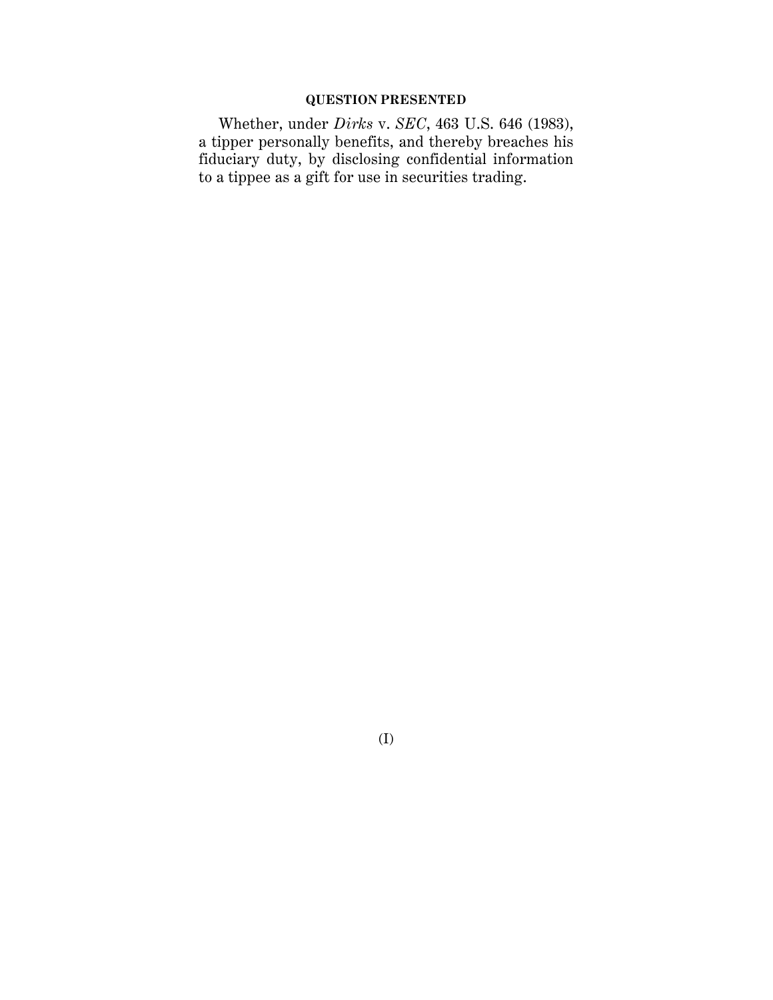# **QUESTION PRESENTED**

Whether, under *Dirks* v. *SEC*, 463 U.S. 646 (1983), a tipper personally benefits, and thereby breaches his fiduciary duty, by disclosing confidential information to a tippee as a gift for use in securities trading.

(I)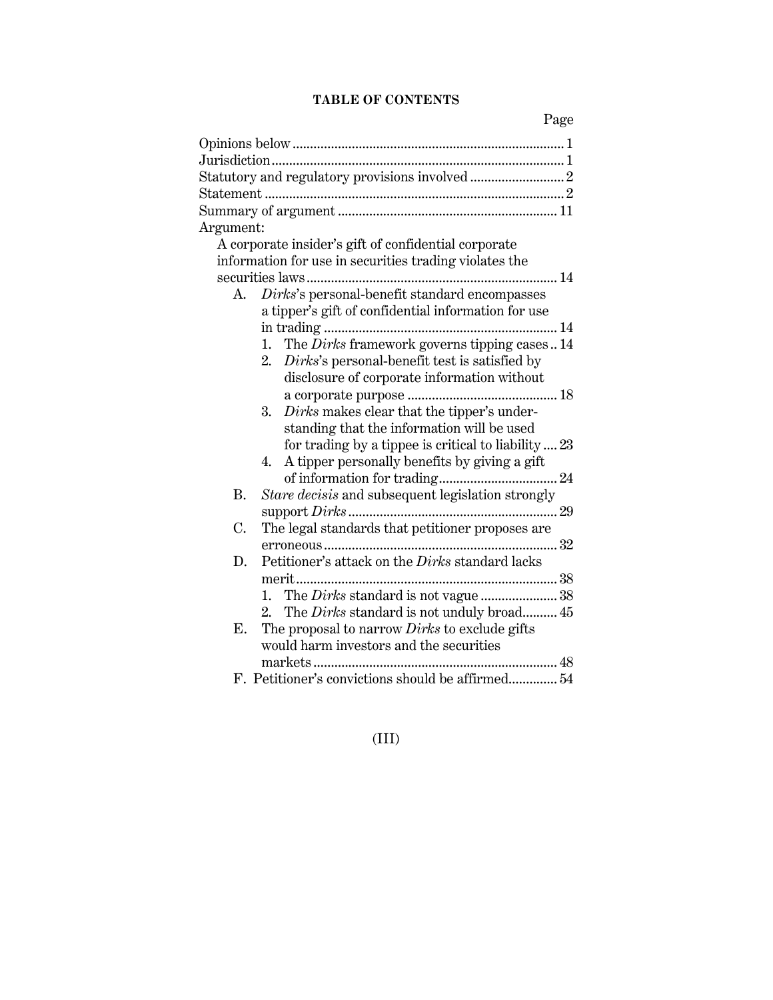# **TABLE OF CONTENTS**

Page

| Argument: |                                                               |
|-----------|---------------------------------------------------------------|
|           | A corporate insider's gift of confidential corporate          |
|           | information for use in securities trading violates the        |
|           |                                                               |
| А.        | Dirks's personal-benefit standard encompasses                 |
|           | a tipper's gift of confidential information for use           |
|           |                                                               |
|           | 1. The $\overline{Dirks}$ framework governs tipping cases  14 |
|           | Dirks's personal-benefit test is satisfied by<br>2.           |
|           | disclosure of corporate information without                   |
|           |                                                               |
|           | Dirks makes clear that the tipper's under-<br>3.              |
|           | standing that the information will be used                    |
|           | for trading by a tippee is critical to liability  23          |
|           | A tipper personally benefits by giving a gift<br>4.           |
|           |                                                               |
| <b>B.</b> | Stare decisis and subsequent legislation strongly             |
|           |                                                               |
| C.        | The legal standards that petitioner proposes are              |
|           |                                                               |
| D.        | Petitioner's attack on the <i>Dirks</i> standard lacks        |
|           |                                                               |
|           |                                                               |
|           | 2. The Dirks standard is not unduly broad 45                  |
| Е.        | The proposal to narrow Dirks to exclude gifts                 |
|           | would harm investors and the securities                       |
|           |                                                               |
|           | F. Petitioner's convictions should be affirmed 54             |

# (III)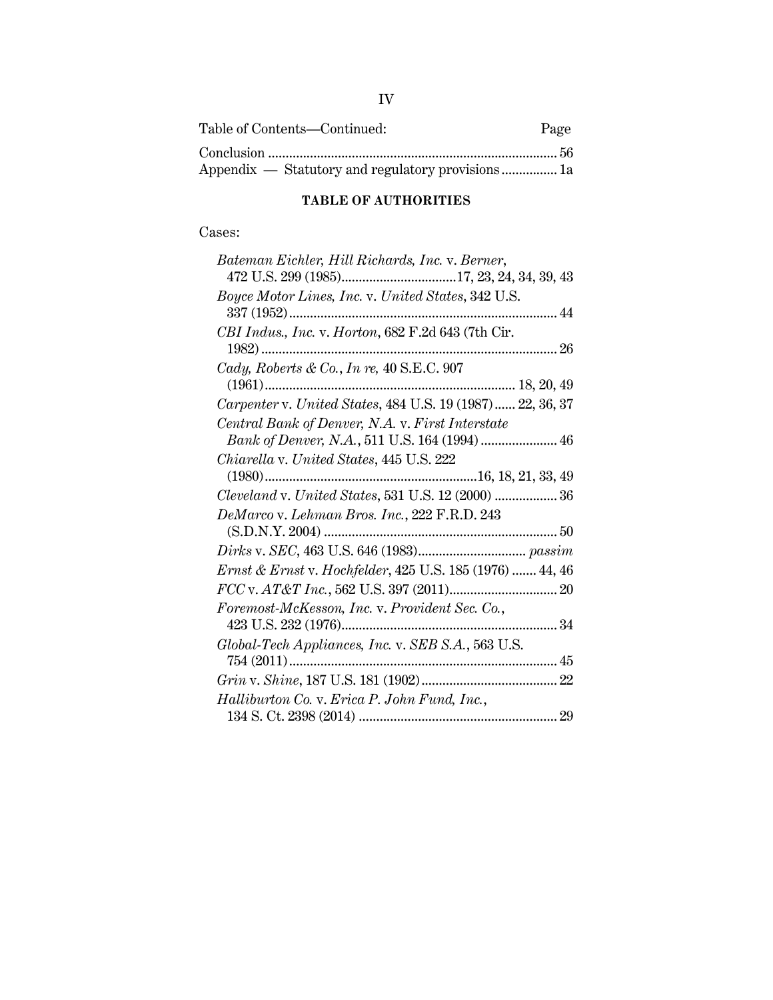| Table of Contents—Continued: | Page |
|------------------------------|------|
|                              |      |
|                              |      |

# **TABLE OF AUTHORITIES**

# Cases:

| Bateman Eichler, Hill Richards, Inc. v. Berner,            |
|------------------------------------------------------------|
|                                                            |
| Boyce Motor Lines, Inc. v. United States, 342 U.S.         |
|                                                            |
| CBI Indus., Inc. v. Horton, 682 F.2d 643 (7th Cir.         |
|                                                            |
| Cady, Roberts & Co., In re, $40$ S.E.C. $907$              |
|                                                            |
| Carpenter v. United States, 484 U.S. 19 (1987)  22, 36, 37 |
| Central Bank of Denver, N.A. v. First Interstate           |
| Bank of Denver, N.A., 511 U.S. 164 (1994)  46              |
| Chiarella v. United States, 445 U.S. 222                   |
|                                                            |
| Cleveland v. United States, 531 U.S. 12 (2000)  36         |
| DeMarco v. Lehman Bros. Inc., 222 F.R.D. 243               |
|                                                            |
|                                                            |
| Ernst & Ernst v. Hochfelder, 425 U.S. 185 (1976)  44, 46   |
|                                                            |
| Foremost-McKesson, Inc. v. Provident Sec. Co.,             |
|                                                            |
| Global-Tech Appliances, Inc. v. SEB S.A., 563 U.S.         |
|                                                            |
|                                                            |
| Halliburton Co. v. Erica P. John Fund, Inc.,               |
|                                                            |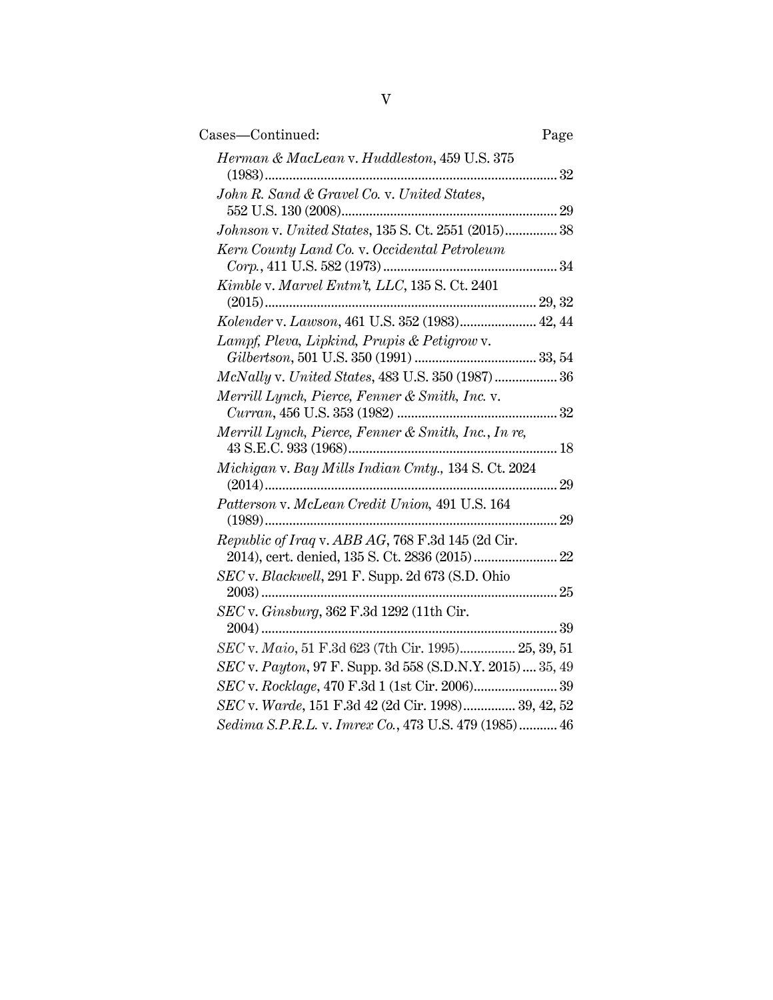| Cases-Continued:                                           | Page |
|------------------------------------------------------------|------|
| Herman & MacLean v. Huddleston, 459 U.S. 375               |      |
| John R. Sand & Gravel Co. v. United States,                |      |
| Johnson v. United States, 135 S. Ct. 2551 (2015) 38        |      |
| Kern County Land Co. v. Occidental Petroleum               |      |
| Kimble v. Marvel Entm't, LLC, 135 S. Ct. 2401              |      |
| Kolender v. Lawson, 461 U.S. 352 (1983) 42, 44             |      |
| Lampf, Pleva, Lipkind, Prupis & Petigrow v.                |      |
| McNally v. United States, 483 U.S. 350 (1987)  36          |      |
| Merrill Lynch, Pierce, Fenner & Smith, Inc. v.             |      |
| Merrill Lynch, Pierce, Fenner & Smith, Inc., In re,        |      |
| Michigan v. Bay Mills Indian Cmty., 134 S. Ct. 2024        |      |
| Patterson v. McLean Credit Union, 491 U.S. 164<br>$(1989)$ |      |
| Republic of Iraq v. ABB AG, 768 F.3d 145 (2d Cir.          |      |
| SEC v. Blackwell, 291 F. Supp. 2d 673 (S.D. Ohio           |      |
| SEC v. Ginsburg, 362 F.3d 1292 (11th Cir.                  |      |
| SEC v. Maio, 51 F.3d 623 (7th Cir. 1995) 25, 39, 51        |      |
| SEC v. Payton, 97 F. Supp. 3d 558 (S.D.N.Y. 2015)  35, 49  |      |
| SEC v. Rocklage, 470 F.3d 1 (1st Cir. 2006) 39             |      |
| SEC v. Warde, 151 F.3d 42 (2d Cir. 1998) 39, 42, 52        |      |
| Sedima S.P.R.L. v. Imrex Co., 473 U.S. 479 (1985) 46       |      |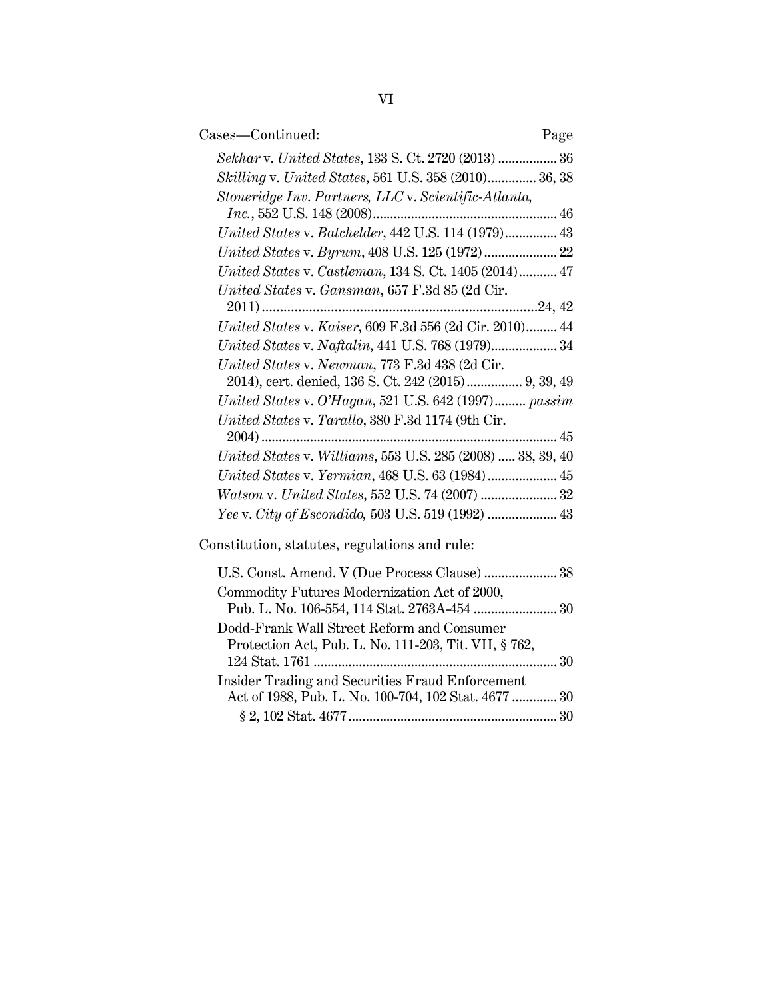| Cases-Continued:<br>Page                                      |  |
|---------------------------------------------------------------|--|
| Sekhar v. United States, 133 S. Ct. 2720 (2013)  36           |  |
| Skilling v. United States, 561 U.S. 358 (2010) 36, 38         |  |
| Stoneridge Inv. Partners, LLC v. Scientific-Atlanta,          |  |
| $Inc., 552 U.S. 148 (2008)46$                                 |  |
| $United\ States\ v.\ Batchelder,\ 442\ U.S.\ 114\ (1979)\ 43$ |  |
|                                                               |  |
| United States v. Castleman, 134 S. Ct. 1405 (2014) 47         |  |
| United States v. Gansman, 657 F.3d 85 (2d Cir.                |  |
|                                                               |  |
| United States v. Kaiser, 609 F.3d 556 (2d Cir. 2010) 44       |  |
| United States v. Naftalin, 441 U.S. 768 (1979) 34             |  |
| United States v. Newman, 773 F.3d 438 (2d Cir.                |  |
| 2014), cert. denied, 136 S. Ct. 242 (2015) 9, 39, 49          |  |
| United States v. O'Hagan, 521 U.S. 642 (1997) passim          |  |
| United States v. Tarallo, 380 F.3d 1174 (9th Cir.             |  |
| United States v. Williams, 553 U.S. 285 (2008)  38, 39, 40    |  |
| United States v. Yermian, 468 U.S. 63 (1984) 45               |  |
| Watson v. United States, 552 U.S. 74 (2007)  32               |  |
|                                                               |  |
| Constitution, statutes, regulations and rule:                 |  |
| U.S. Const. Amend. V (Due Process Clause)  38                 |  |
| Commodity Futures Modernization Act of 2000,                  |  |
| Pub. L. No. 106-554, 114 Stat. 2763A-454  30                  |  |
| Dodd-Frank Wall Street Reform and Consumer                    |  |
| Protection Act, Pub. L. No. 111-203, Tit. VII, § 762,         |  |
|                                                               |  |
| Insider Trading and Securities Fraud Enforcement              |  |
| Act of 1988, Pub. L. No. 100-704, 102 Stat. 4677  30          |  |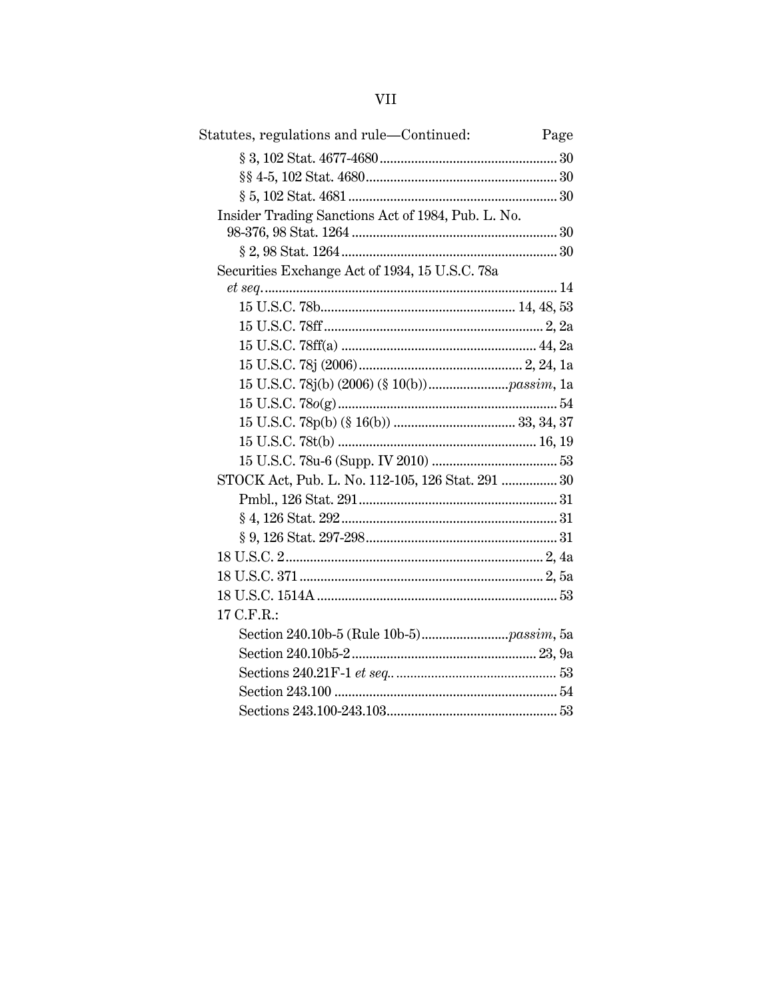| Statutes, regulations and rule-Continued:               | Page     |
|---------------------------------------------------------|----------|
|                                                         |          |
|                                                         |          |
| $\sim$ $\sim$ $\sim$ $\sim$ $\sim$ $\sim$ $\sim$ $\sim$ | $\Omega$ |

| Insider Trading Sanctions Act of 1984, Pub. L. No. |  |
|----------------------------------------------------|--|
|                                                    |  |
|                                                    |  |
| Securities Exchange Act of 1934, 15 U.S.C. 78a     |  |
|                                                    |  |
|                                                    |  |
|                                                    |  |
|                                                    |  |
|                                                    |  |
|                                                    |  |
|                                                    |  |
|                                                    |  |
|                                                    |  |
|                                                    |  |
| STOCK Act, Pub. L. No. 112-105, 126 Stat. 291  30  |  |
|                                                    |  |
|                                                    |  |
|                                                    |  |
|                                                    |  |
|                                                    |  |
|                                                    |  |
| 17 C.F.R.:                                         |  |
|                                                    |  |
|                                                    |  |
|                                                    |  |
|                                                    |  |
|                                                    |  |
|                                                    |  |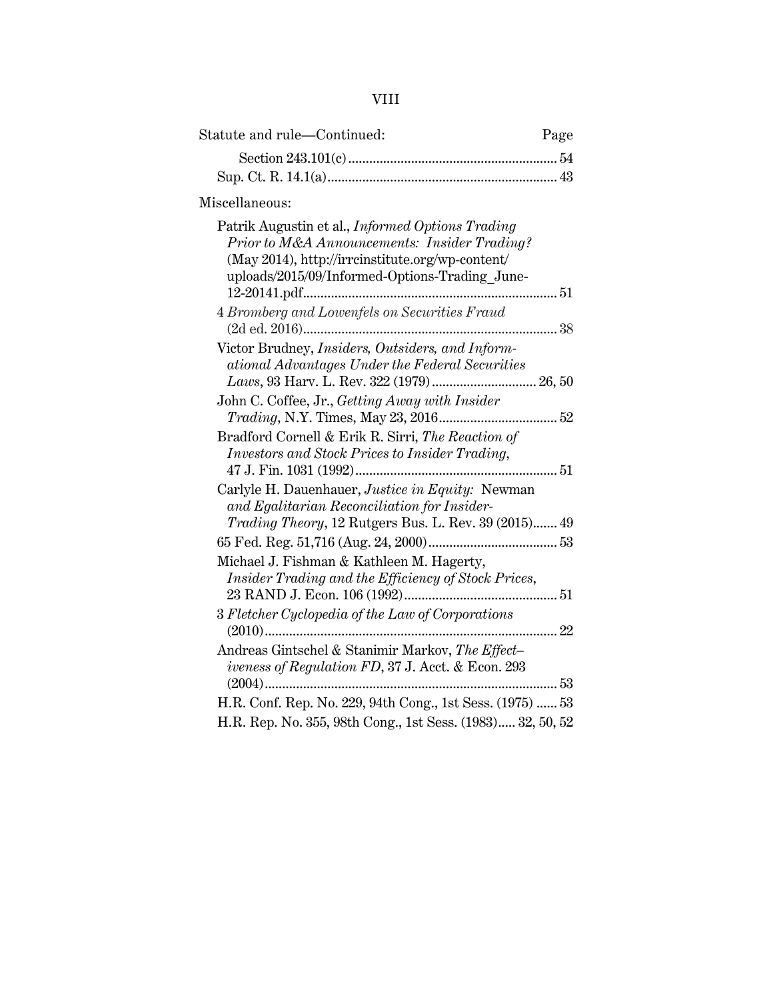|--|

| Statute and rule—Continued: | Page |
|-----------------------------|------|
|                             |      |
|                             |      |

# Miscellaneous:

| Patrik Augustin et al., Informed Options Trading                        |
|-------------------------------------------------------------------------|
| Prior to M&A Announcements: Insider Trading?                            |
| (May 2014), http://irrcinstitute.org/wp-content/                        |
| uploads/2015/09/Informed-Options-Trading_June-                          |
|                                                                         |
| 4 Bromberg and Lowenfels on Securities Fraud                            |
| (2d ed. 2016)<br>38                                                     |
| Victor Brudney, <i>Insiders</i> , <i>Outsiders</i> , and <i>Inform-</i> |
| ational Advantages Under the Federal Securities                         |
|                                                                         |
| John C. Coffee, Jr., Getting Away with Insider                          |
|                                                                         |
| Bradford Cornell & Erik R. Sirri, The Reaction of                       |
| Investors and Stock Prices to Insider Trading,                          |
| 51                                                                      |
| Carlyle H. Dauenhauer, Justice in Equity: Newman                        |
| and Egalitarian Reconciliation for Insider-                             |
| Trading Theory, 12 Rutgers Bus. L. Rev. 39 (2015) 49                    |
|                                                                         |
| Michael J. Fishman & Kathleen M. Hagerty,                               |
| Insider Trading and the Efficiency of Stock Prices,                     |
|                                                                         |
| 3 Fletcher Cyclopedia of the Law of Corporations                        |
| 22<br>$(2010)$                                                          |
| Andreas Gintschel & Stanimir Markov, The Effect-                        |
| iveness of Regulation FD, 37 J. Acct. & Econ. 293                       |
|                                                                         |
| H.R. Conf. Rep. No. 229, 94th Cong., 1st Sess. (1975)  53               |
| H.R. Rep. No. 355, 98th Cong., 1st Sess. (1983) 32, 50, 52              |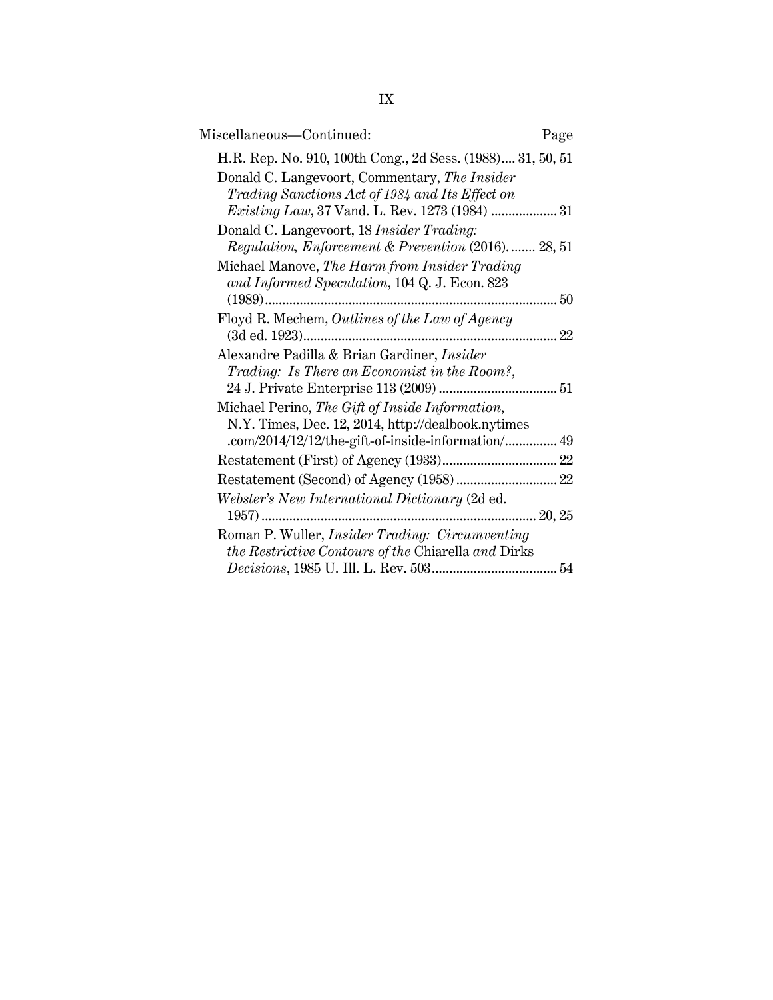| Miscellaneous-Continued:                                   | Page |
|------------------------------------------------------------|------|
| H.R. Rep. No. 910, 100th Cong., 2d Sess. (1988) 31, 50, 51 |      |
| Donald C. Langevoort, Commentary, The Insider              |      |
| Trading Sanctions Act of 1984 and Its Effect on            |      |
| <i>Existing Law</i> , 37 Vand. L. Rev. 1273 (1984)  31     |      |
| Donald C. Langevoort, 18 Insider Trading:                  |      |
| Regulation, Enforcement & Prevention (2016) 28, 51         |      |
| Michael Manove, The Harm from Insider Trading              |      |
| and Informed Speculation, 104 Q. J. Econ. 823              |      |
|                                                            | . 50 |
| Floyd R. Mechem, Outlines of the Law of Agency             |      |
| (3d ed. 1923)                                              | 22   |
| Alexandre Padilla & Brian Gardiner, Insider                |      |
| Trading: Is There an Economist in the Room?,               |      |
|                                                            |      |
| Michael Perino, The Gift of Inside Information,            |      |
| N.Y. Times, Dec. 12, 2014, http://dealbook.nytimes         |      |
| .com/2014/12/12/the-gift-of-inside-information/ 49         |      |
|                                                            |      |
|                                                            |      |
| Webster's New International Dictionary (2d ed.             |      |
| $1957)$                                                    |      |
| Roman P. Wuller, <i>Insider Trading: Circumventing</i>     |      |
| the Restrictive Contours of the Chiarella and Dirks        |      |
|                                                            |      |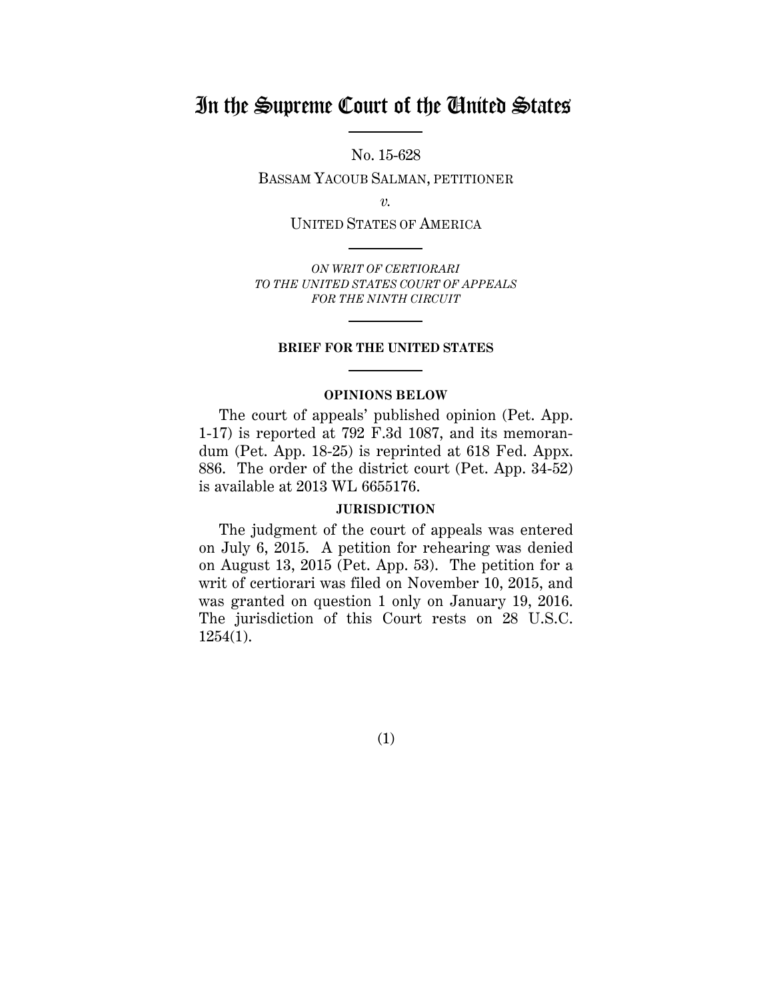# In the Supreme Court of the United States

No. 15-628

BASSAM YACOUB SALMAN, PETITIONER

*v.*

UNITED STATES OF AMERICA

*ON WRIT OF CERTIORARI TO THE UNITED STATES COURT OF APPEALS FOR THE NINTH CIRCUIT*

### **BRIEF FOR THE UNITED STATES**

### **OPINIONS BELOW**

The court of appeals' published opinion (Pet. App. 1-17) is reported at 792 F.3d 1087, and its memorandum (Pet. App. 18-25) is reprinted at 618 Fed. Appx. 886. The order of the district court (Pet. App. 34-52) is available at 2013 WL 6655176.

### **JURISDICTION**

The judgment of the court of appeals was entered on July 6, 2015. A petition for rehearing was denied on August 13, 2015 (Pet. App. 53). The petition for a writ of certiorari was filed on November 10, 2015, and was granted on question 1 only on January 19, 2016. The jurisdiction of this Court rests on 28 U.S.C.  $1254(1)$ .

(1)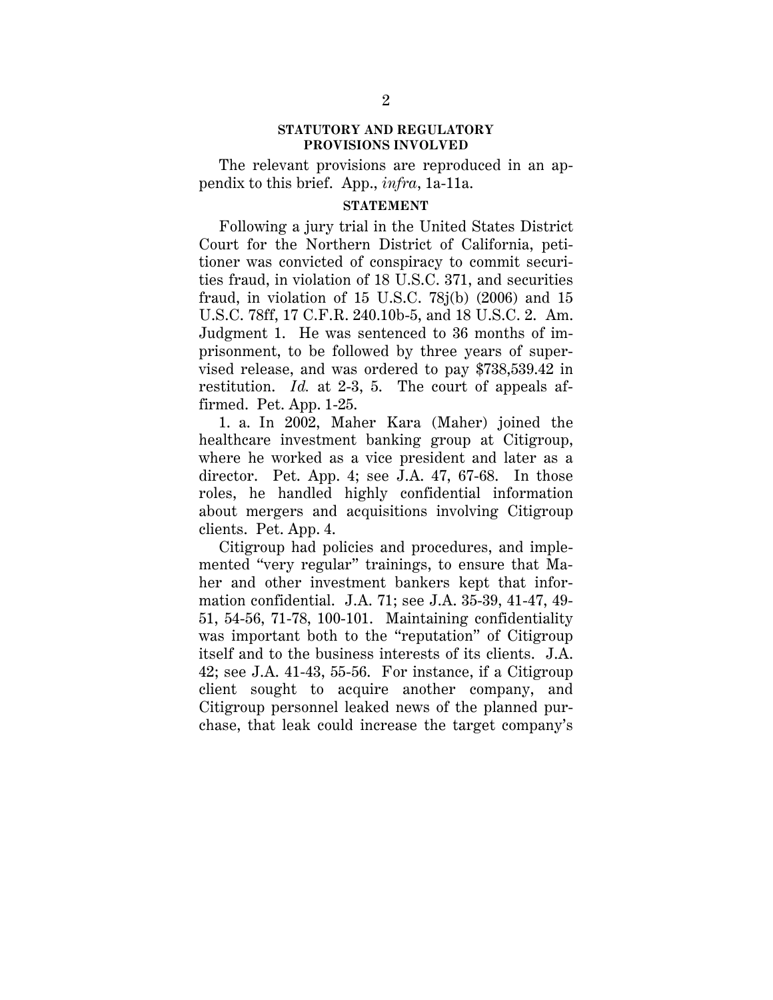#### **STATUTORY AND REGULATORY PROVISIONS INVOLVED**

The relevant provisions are reproduced in an appendix to this brief. App., *infra*, 1a-11a.

### **STATEMENT**

Following a jury trial in the United States District Court for the Northern District of California, petitioner was convicted of conspiracy to commit securities fraud, in violation of 18 U.S.C. 371, and securities fraud, in violation of 15 U.S.C.  $78j(b)$  (2006) and 15 U.S.C. 78ff, 17 C.F.R. 240.10b-5, and 18 U.S.C. 2. Am. Judgment 1. He was sentenced to 36 months of imprisonment, to be followed by three years of supervised release, and was ordered to pay \$738,539.42 in restitution. *Id.* at 2-3, 5. The court of appeals affirmed. Pet. App. 1-25.

1. a. In 2002, Maher Kara (Maher) joined the healthcare investment banking group at Citigroup, where he worked as a vice president and later as a director. Pet. App. 4; see J.A. 47, 67-68. In those roles, he handled highly confidential information about mergers and acquisitions involving Citigroup clients. Pet. App. 4.

Citigroup had policies and procedures, and implemented "very regular" trainings, to ensure that Maher and other investment bankers kept that information confidential. J.A. 71; see J.A. 35-39, 41-47, 49- 51, 54-56, 71-78, 100-101. Maintaining confidentiality was important both to the "reputation" of Citigroup itself and to the business interests of its clients. J.A. 42; see J.A. 41-43, 55-56. For instance, if a Citigroup client sought to acquire another company, and Citigroup personnel leaked news of the planned purchase, that leak could increase the target company's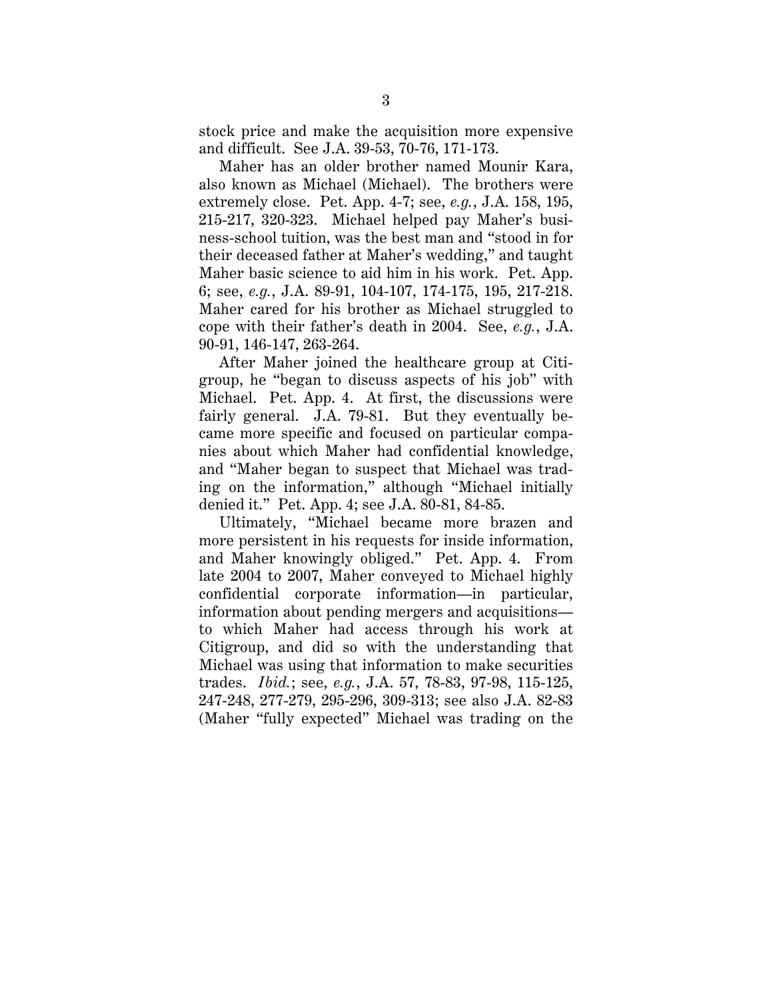stock price and make the acquisition more expensive and difficult. See J.A. 39-53, 70-76, 171-173.

Maher has an older brother named Mounir Kara, also known as Michael (Michael). The brothers were extremely close. Pet. App. 4-7; see, *e.g.*, J.A. 158, 195, 215-217, 320-323. Michael helped pay Maher's business-school tuition, was the best man and "stood in for their deceased father at Maher's wedding," and taught Maher basic science to aid him in his work. Pet. App. 6; see, *e.g.*, J.A. 89-91, 104-107, 174-175, 195, 217-218. Maher cared for his brother as Michael struggled to cope with their father's death in 2004. See, *e.g.*, J.A. 90-91, 146-147, 263-264.

After Maher joined the healthcare group at Citigroup, he "began to discuss aspects of his job" with Michael. Pet. App. 4. At first, the discussions were fairly general. J.A. 79-81. But they eventually became more specific and focused on particular companies about which Maher had confidential knowledge, and "Maher began to suspect that Michael was trading on the information," although "Michael initially denied it." Pet. App. 4; see J.A. 80-81, 84-85.

Ultimately, "Michael became more brazen and more persistent in his requests for inside information, and Maher knowingly obliged." Pet. App. 4. From late 2004 to 2007, Maher conveyed to Michael highly confidential corporate information—in particular, information about pending mergers and acquisitions to which Maher had access through his work at Citigroup, and did so with the understanding that Michael was using that information to make securities trades. *Ibid.*; see, *e.g.*, J.A. 57, 78-83, 97-98, 115-125, 247-248, 277-279, 295-296, 309-313; see also J.A. 82-83 (Maher "fully expected" Michael was trading on the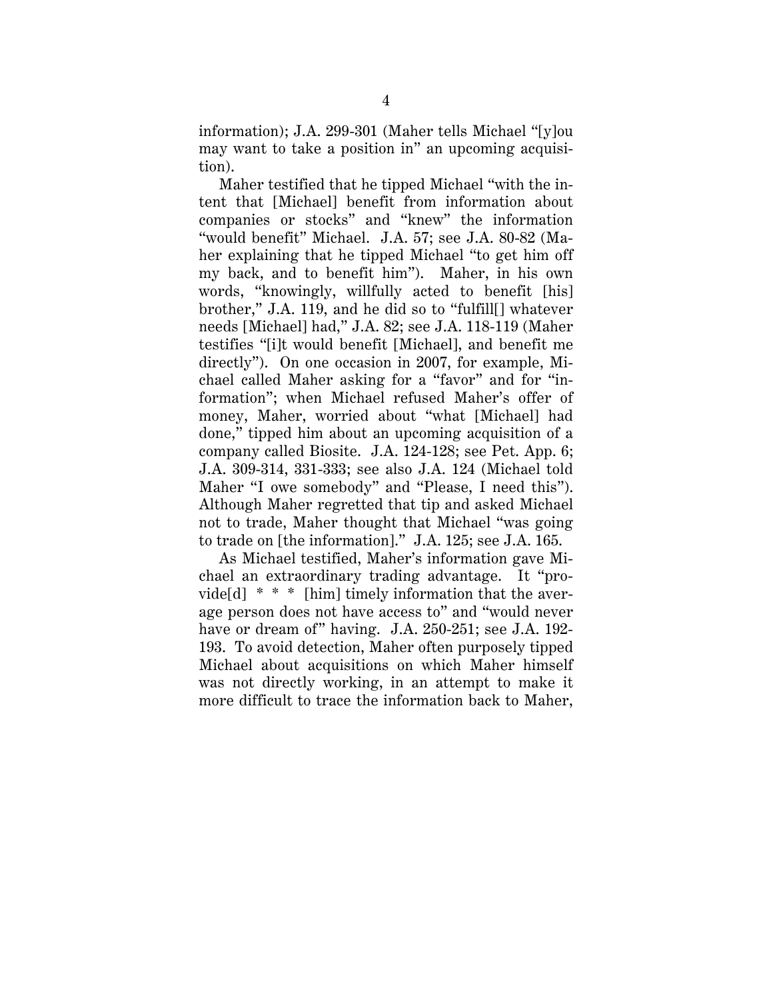information); J.A. 299-301 (Maher tells Michael "[y]ou may want to take a position in" an upcoming acquisition).

Maher testified that he tipped Michael "with the intent that [Michael] benefit from information about companies or stocks" and "knew" the information "would benefit" Michael. J.A. 57; see J.A. 80-82 (Maher explaining that he tipped Michael "to get him off my back, and to benefit him"). Maher, in his own words, "knowingly, willfully acted to benefit [his] brother," J.A. 119, and he did so to "fulfill[] whatever needs [Michael] had," J.A. 82; see J.A. 118-119 (Maher testifies "[i]t would benefit [Michael], and benefit me directly"). On one occasion in 2007, for example, Michael called Maher asking for a "favor" and for "information"; when Michael refused Maher's offer of money, Maher, worried about "what [Michael] had done," tipped him about an upcoming acquisition of a company called Biosite. J.A. 124-128; see Pet. App. 6; J.A. 309-314, 331-333; see also J.A. 124 (Michael told Maher "I owe somebody" and "Please, I need this"). Although Maher regretted that tip and asked Michael not to trade, Maher thought that Michael "was going to trade on [the information]." J.A. 125; see J.A. 165.

As Michael testified, Maher's information gave Michael an extraordinary trading advantage. It "provide[d]  $* * *$  [him] timely information that the average person does not have access to" and "would never have or dream of" having. J.A. 250-251; see J.A. 192-193. To avoid detection, Maher often purposely tipped Michael about acquisitions on which Maher himself was not directly working, in an attempt to make it more difficult to trace the information back to Maher,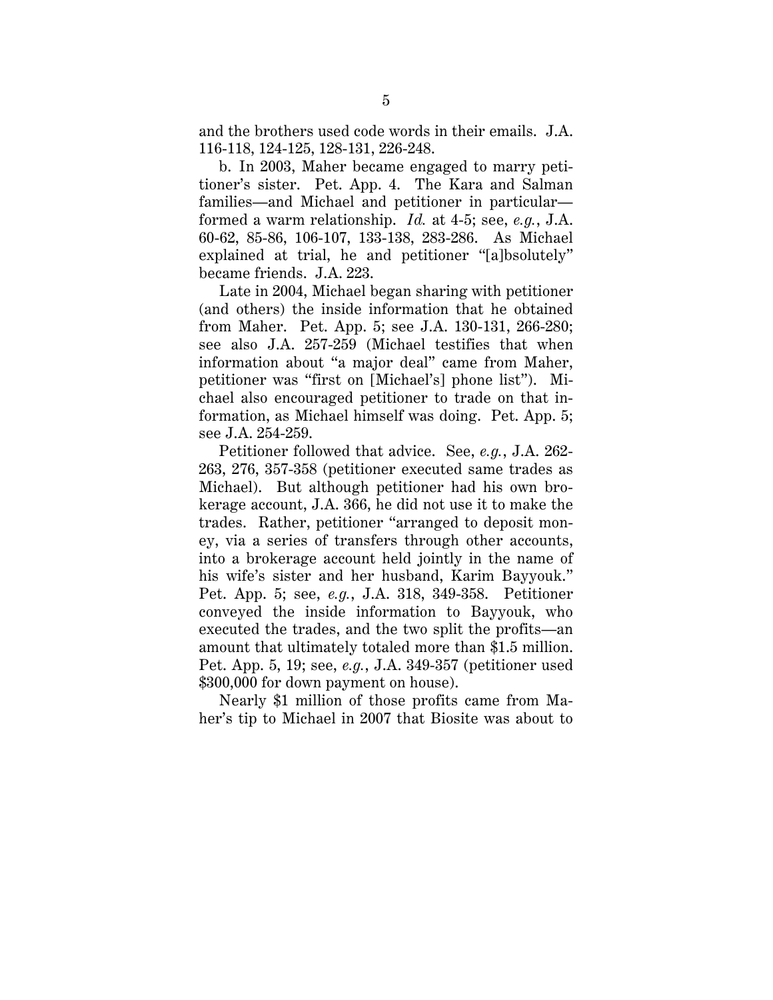and the brothers used code words in their emails. J.A. 116-118, 124-125, 128-131, 226-248.

b. In 2003, Maher became engaged to marry petitioner's sister. Pet. App. 4. The Kara and Salman families—and Michael and petitioner in particular formed a warm relationship. *Id.* at 4-5; see, *e.g.*, J.A. 60-62, 85-86, 106-107, 133-138, 283-286. As Michael explained at trial, he and petitioner "[a]bsolutely" became friends. J.A. 223.

Late in 2004, Michael began sharing with petitioner (and others) the inside information that he obtained from Maher. Pet. App. 5; see J.A. 130-131, 266-280; see also J.A. 257-259 (Michael testifies that when information about "a major deal" came from Maher, petitioner was "first on [Michael's] phone list"). Michael also encouraged petitioner to trade on that information, as Michael himself was doing. Pet. App. 5; see J.A. 254-259.

Petitioner followed that advice. See, *e.g.*, J.A. 262- 263, 276, 357-358 (petitioner executed same trades as Michael). But although petitioner had his own brokerage account, J.A. 366, he did not use it to make the trades. Rather, petitioner "arranged to deposit money, via a series of transfers through other accounts, into a brokerage account held jointly in the name of his wife's sister and her husband, Karim Bayyouk." Pet. App. 5; see, *e.g.*, J.A. 318, 349-358. Petitioner conveyed the inside information to Bayyouk, who executed the trades, and the two split the profits—an amount that ultimately totaled more than \$1.5 million. Pet. App. 5, 19; see, *e.g.*, J.A. 349-357 (petitioner used \$300,000 for down payment on house).

Nearly \$1 million of those profits came from Maher's tip to Michael in 2007 that Biosite was about to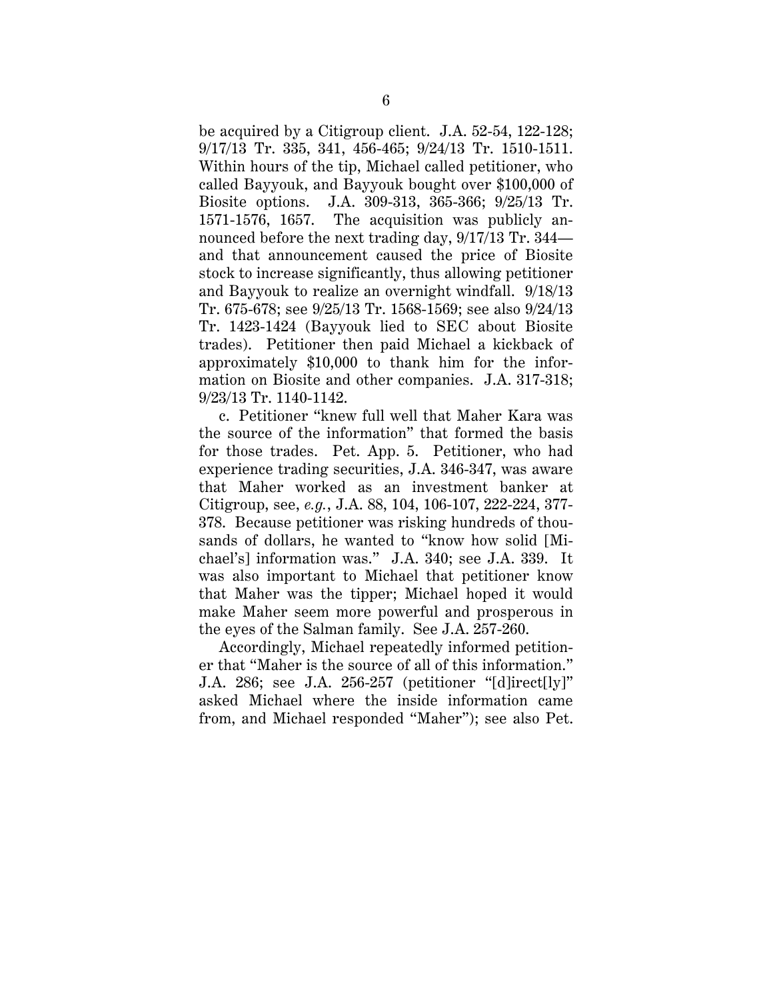be acquired by a Citigroup client. J.A. 52-54, 122-128; 9/17/13 Tr. 335, 341, 456-465; 9/24/13 Tr. 1510-1511. Within hours of the tip, Michael called petitioner, who called Bayyouk, and Bayyouk bought over \$100,000 of Biosite options. J.A. 309-313, 365-366; 9/25/13 Tr. 1571-1576, 1657. The acquisition was publicly announced before the next trading day, 9/17/13 Tr. 344 and that announcement caused the price of Biosite stock to increase significantly, thus allowing petitioner and Bayyouk to realize an overnight windfall. 9/18/13 Tr. 675-678; see 9/25/13 Tr. 1568-1569; see also 9/24/13 Tr. 1423-1424 (Bayyouk lied to SEC about Biosite trades). Petitioner then paid Michael a kickback of approximately \$10,000 to thank him for the information on Biosite and other companies. J.A. 317-318; 9/23/13 Tr. 1140-1142.

c. Petitioner "knew full well that Maher Kara was the source of the information" that formed the basis for those trades. Pet. App. 5. Petitioner, who had experience trading securities, J.A. 346-347, was aware that Maher worked as an investment banker at Citigroup, see, *e.g.*, J.A. 88, 104, 106-107, 222-224, 377- 378. Because petitioner was risking hundreds of thousands of dollars, he wanted to "know how solid [Michael's] information was." J.A. 340; see J.A. 339. It was also important to Michael that petitioner know that Maher was the tipper; Michael hoped it would make Maher seem more powerful and prosperous in the eyes of the Salman family. See J.A. 257-260.

Accordingly, Michael repeatedly informed petitioner that "Maher is the source of all of this information." J.A. 286; see J.A. 256-257 (petitioner "[d]irect[ly]" asked Michael where the inside information came from, and Michael responded "Maher"); see also Pet.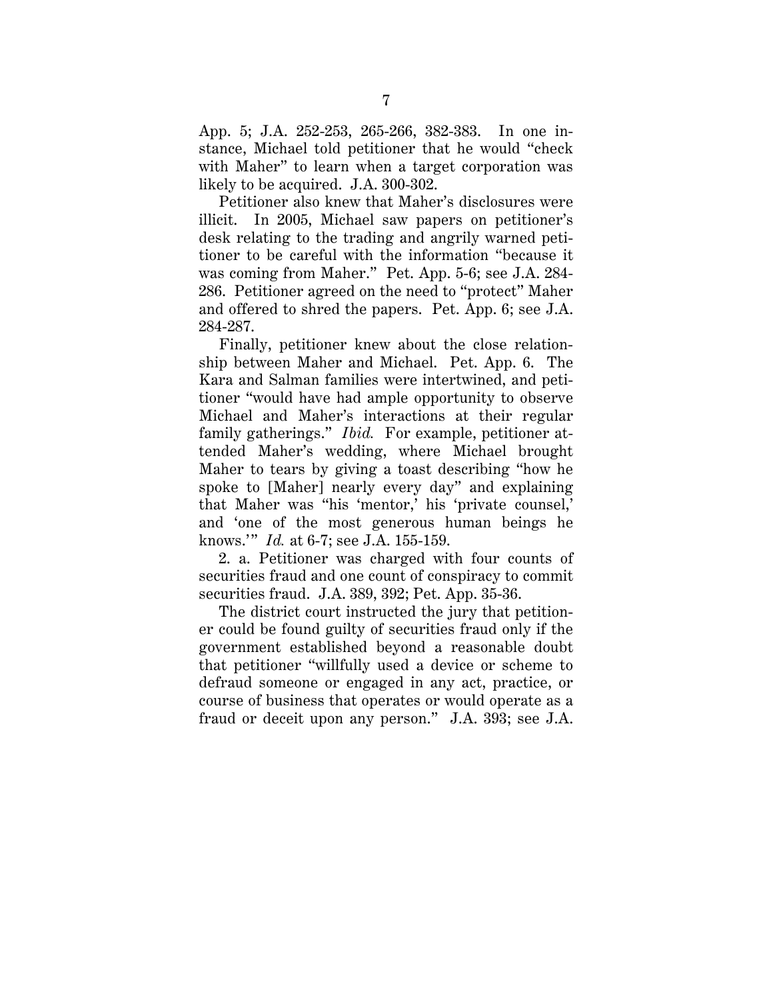App. 5; J.A. 252-253, 265-266, 382-383. In one instance, Michael told petitioner that he would "check with Maher" to learn when a target corporation was likely to be acquired. J.A. 300-302.

Petitioner also knew that Maher's disclosures were illicit. In 2005, Michael saw papers on petitioner's desk relating to the trading and angrily warned petitioner to be careful with the information "because it was coming from Maher." Pet. App. 5-6; see J.A. 284- 286. Petitioner agreed on the need to "protect" Maher and offered to shred the papers. Pet. App. 6; see J.A. 284-287.

Finally, petitioner knew about the close relationship between Maher and Michael. Pet. App. 6. The Kara and Salman families were intertwined, and petitioner "would have had ample opportunity to observe Michael and Maher's interactions at their regular family gatherings." *Ibid.* For example, petitioner attended Maher's wedding, where Michael brought Maher to tears by giving a toast describing "how he spoke to [Maher] nearly every day" and explaining that Maher was "his 'mentor,' his 'private counsel,' and 'one of the most generous human beings he knows.'" *Id.* at 6-7; see J.A. 155-159.

2. a. Petitioner was charged with four counts of securities fraud and one count of conspiracy to commit securities fraud. J.A. 389, 392; Pet. App. 35-36.

The district court instructed the jury that petitioner could be found guilty of securities fraud only if the government established beyond a reasonable doubt that petitioner "willfully used a device or scheme to defraud someone or engaged in any act, practice, or course of business that operates or would operate as a fraud or deceit upon any person." J.A. 393; see J.A.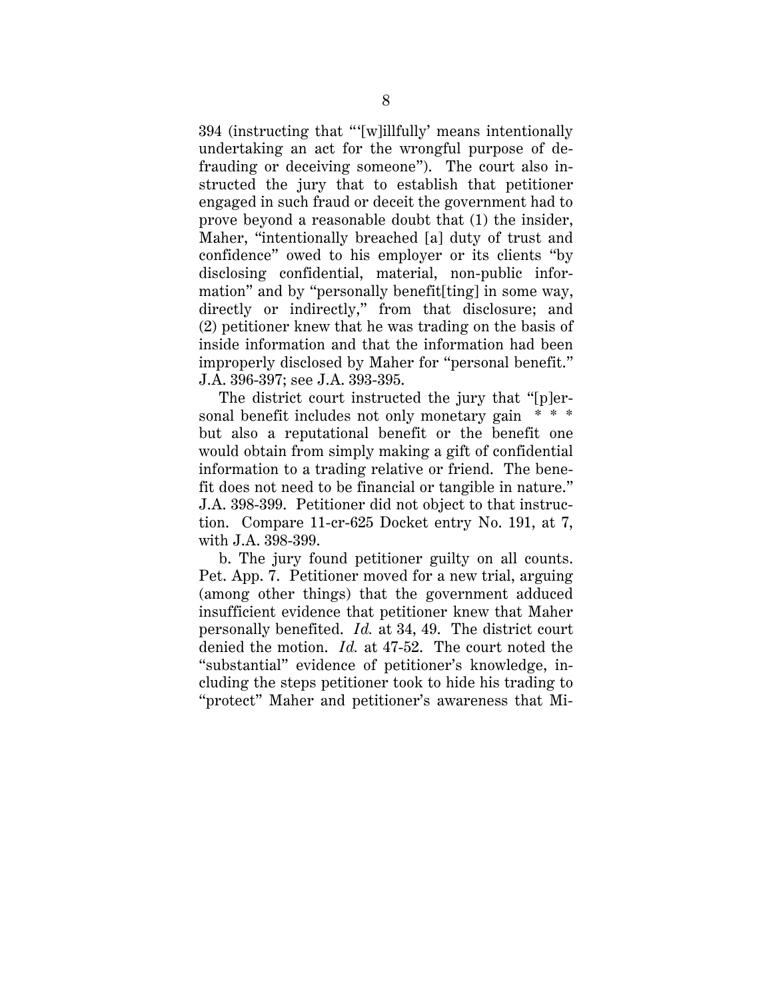394 (instructing that "'[w]illfully' means intentionally undertaking an act for the wrongful purpose of defrauding or deceiving someone"). The court also instructed the jury that to establish that petitioner engaged in such fraud or deceit the government had to prove beyond a reasonable doubt that (1) the insider, Maher, "intentionally breached [a] duty of trust and confidence" owed to his employer or its clients "by disclosing confidential, material, non-public information" and by "personally benefit[ting] in some way, directly or indirectly," from that disclosure; and (2) petitioner knew that he was trading on the basis of inside information and that the information had been improperly disclosed by Maher for "personal benefit." J.A. 396-397; see J.A. 393-395.

The district court instructed the jury that "[p]ersonal benefit includes not only monetary gain \* \* \* but also a reputational benefit or the benefit one would obtain from simply making a gift of confidential information to a trading relative or friend. The benefit does not need to be financial or tangible in nature." J.A. 398-399. Petitioner did not object to that instruction. Compare 11-cr-625 Docket entry No. 191, at 7, with J.A. 398-399.

b. The jury found petitioner guilty on all counts. Pet. App. 7. Petitioner moved for a new trial, arguing (among other things) that the government adduced insufficient evidence that petitioner knew that Maher personally benefited. *Id.* at 34, 49. The district court denied the motion. *Id.* at 47-52. The court noted the "substantial" evidence of petitioner's knowledge, including the steps petitioner took to hide his trading to "protect" Maher and petitioner's awareness that Mi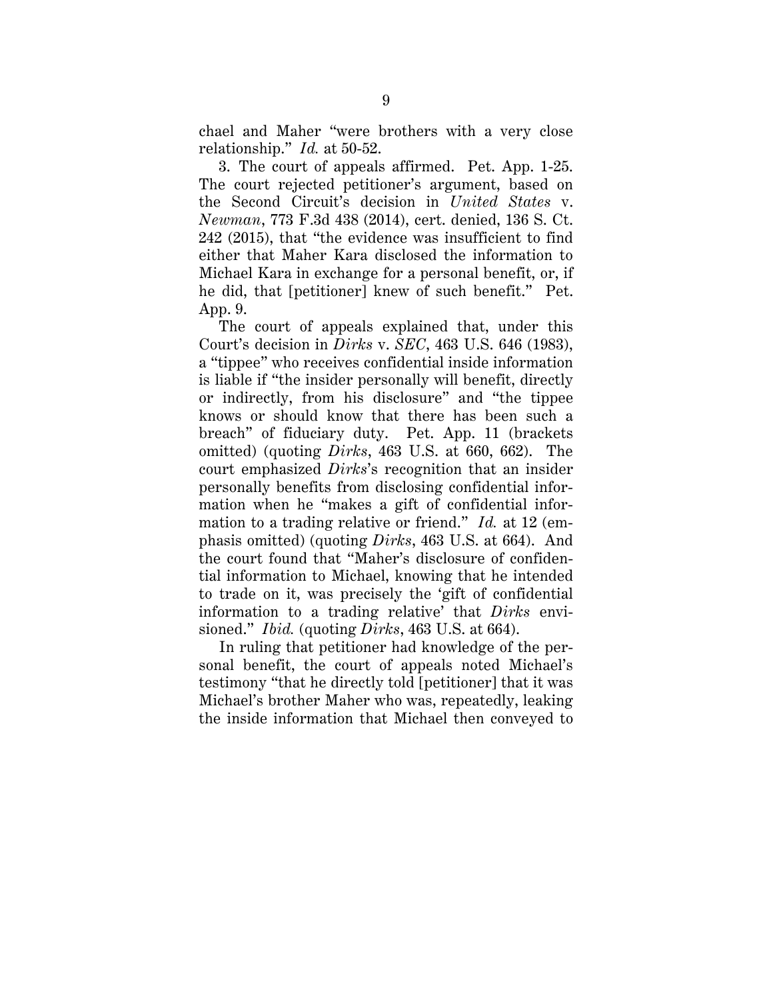chael and Maher "were brothers with a very close relationship." *Id.* at 50-52.

3. The court of appeals affirmed. Pet. App. 1-25. The court rejected petitioner's argument, based on the Second Circuit's decision in *United States* v. *Newman*, 773 F.3d 438 (2014), cert. denied, 136 S. Ct. 242 (2015), that "the evidence was insufficient to find either that Maher Kara disclosed the information to Michael Kara in exchange for a personal benefit, or, if he did, that [petitioner] knew of such benefit." Pet. App. 9.

The court of appeals explained that, under this Court's decision in *Dirks* v. *SEC*, 463 U.S. 646 (1983), a "tippee" who receives confidential inside information is liable if "the insider personally will benefit, directly or indirectly, from his disclosure" and "the tippee knows or should know that there has been such a breach" of fiduciary duty. Pet. App. 11 (brackets omitted) (quoting *Dirks*, 463 U.S. at 660, 662). The court emphasized *Dirks*'s recognition that an insider personally benefits from disclosing confidential information when he "makes a gift of confidential information to a trading relative or friend." *Id.* at 12 (emphasis omitted) (quoting *Dirks*, 463 U.S. at 664). And the court found that "Maher's disclosure of confidential information to Michael, knowing that he intended to trade on it, was precisely the 'gift of confidential information to a trading relative' that *Dirks* envisioned." *Ibid.* (quoting *Dirks*, 463 U.S. at 664).

In ruling that petitioner had knowledge of the personal benefit, the court of appeals noted Michael's testimony "that he directly told [petitioner] that it was Michael's brother Maher who was, repeatedly, leaking the inside information that Michael then conveyed to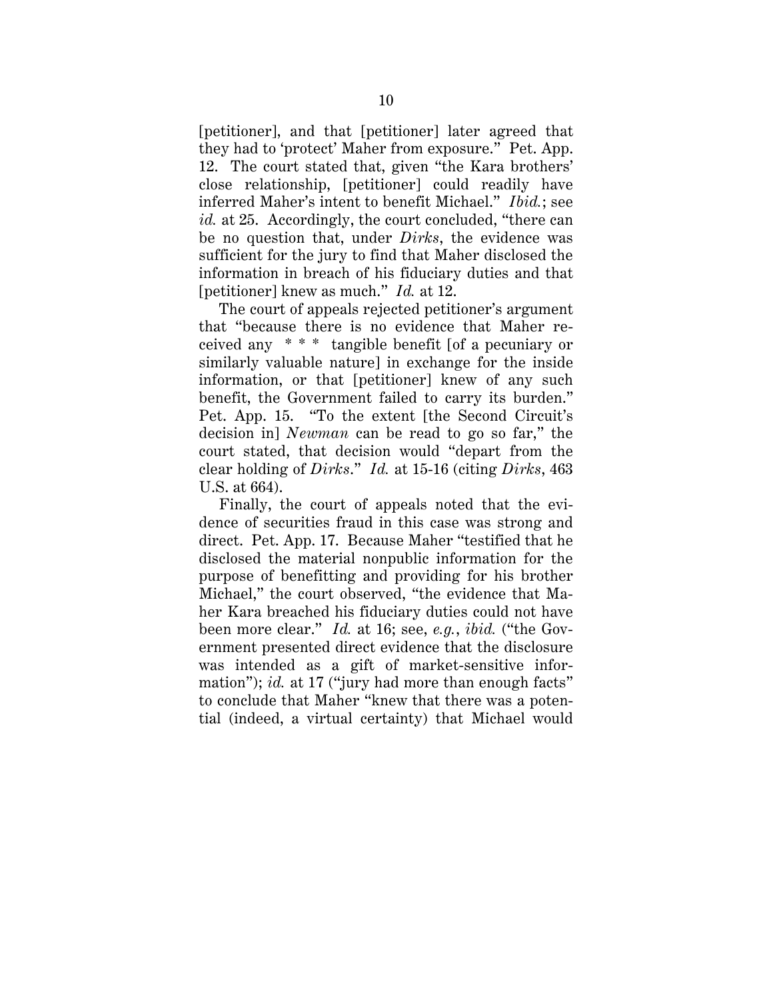[petitioner], and that [petitioner] later agreed that they had to 'protect' Maher from exposure." Pet. App. 12. The court stated that, given "the Kara brothers' close relationship, [petitioner] could readily have inferred Maher's intent to benefit Michael." *Ibid.*; see *id.* at 25. Accordingly, the court concluded, "there can be no question that, under *Dirks*, the evidence was sufficient for the jury to find that Maher disclosed the information in breach of his fiduciary duties and that [petitioner] knew as much." *Id.* at 12.

The court of appeals rejected petitioner's argument that "because there is no evidence that Maher received any \* \* \* tangible benefit [of a pecuniary or similarly valuable nature] in exchange for the inside information, or that [petitioner] knew of any such benefit, the Government failed to carry its burden." Pet. App. 15. "To the extent [the Second Circuit's decision in] *Newman* can be read to go so far," the court stated, that decision would "depart from the clear holding of *Dirks*." *Id.* at 15-16 (citing *Dirks*, 463 U.S. at 664).

Finally, the court of appeals noted that the evidence of securities fraud in this case was strong and direct. Pet. App. 17. Because Maher "testified that he disclosed the material nonpublic information for the purpose of benefitting and providing for his brother Michael," the court observed, "the evidence that Maher Kara breached his fiduciary duties could not have been more clear." *Id.* at 16; see, *e.g.*, *ibid.* ("the Government presented direct evidence that the disclosure was intended as a gift of market-sensitive information"); *id.* at 17 ("jury had more than enough facts" to conclude that Maher "knew that there was a potential (indeed, a virtual certainty) that Michael would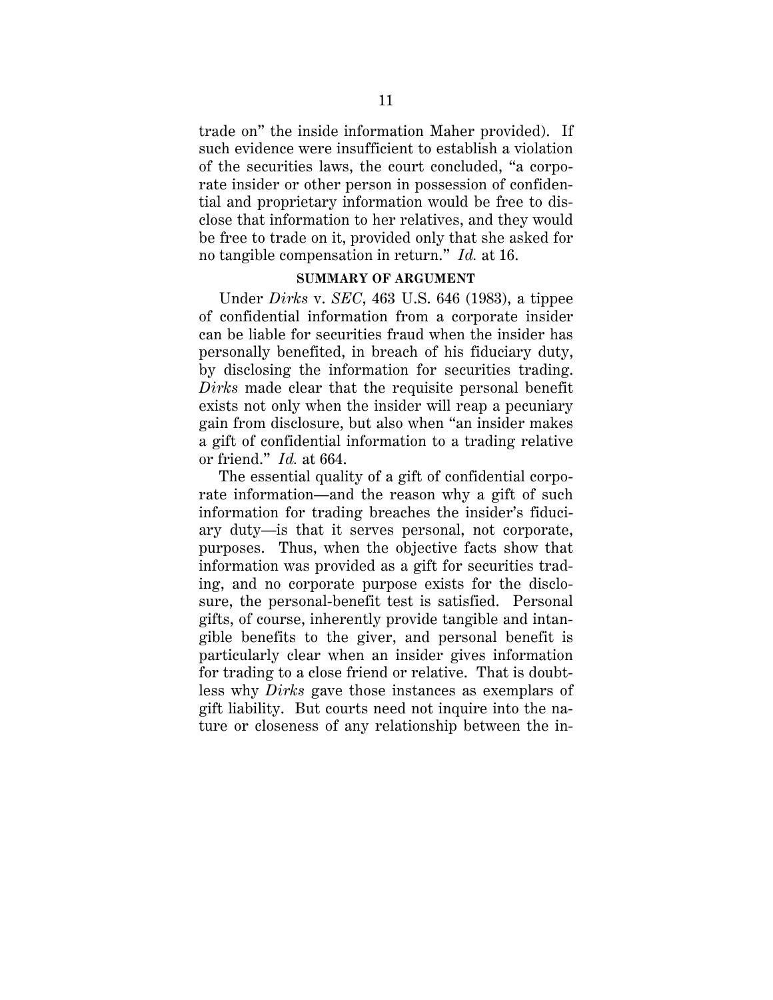trade on" the inside information Maher provided). If such evidence were insufficient to establish a violation of the securities laws, the court concluded, "a corporate insider or other person in possession of confidential and proprietary information would be free to disclose that information to her relatives, and they would be free to trade on it, provided only that she asked for no tangible compensation in return." *Id.* at 16.

### **SUMMARY OF ARGUMENT**

Under *Dirks* v. *SEC*, 463 U.S. 646 (1983), a tippee of confidential information from a corporate insider can be liable for securities fraud when the insider has personally benefited, in breach of his fiduciary duty, by disclosing the information for securities trading. *Dirks* made clear that the requisite personal benefit exists not only when the insider will reap a pecuniary gain from disclosure, but also when "an insider makes a gift of confidential information to a trading relative or friend." *Id.* at 664.

The essential quality of a gift of confidential corporate information—and the reason why a gift of such information for trading breaches the insider's fiduciary duty—is that it serves personal, not corporate, purposes. Thus, when the objective facts show that information was provided as a gift for securities trading, and no corporate purpose exists for the disclosure, the personal-benefit test is satisfied. Personal gifts, of course, inherently provide tangible and intangible benefits to the giver, and personal benefit is particularly clear when an insider gives information for trading to a close friend or relative. That is doubtless why *Dirks* gave those instances as exemplars of gift liability. But courts need not inquire into the nature or closeness of any relationship between the in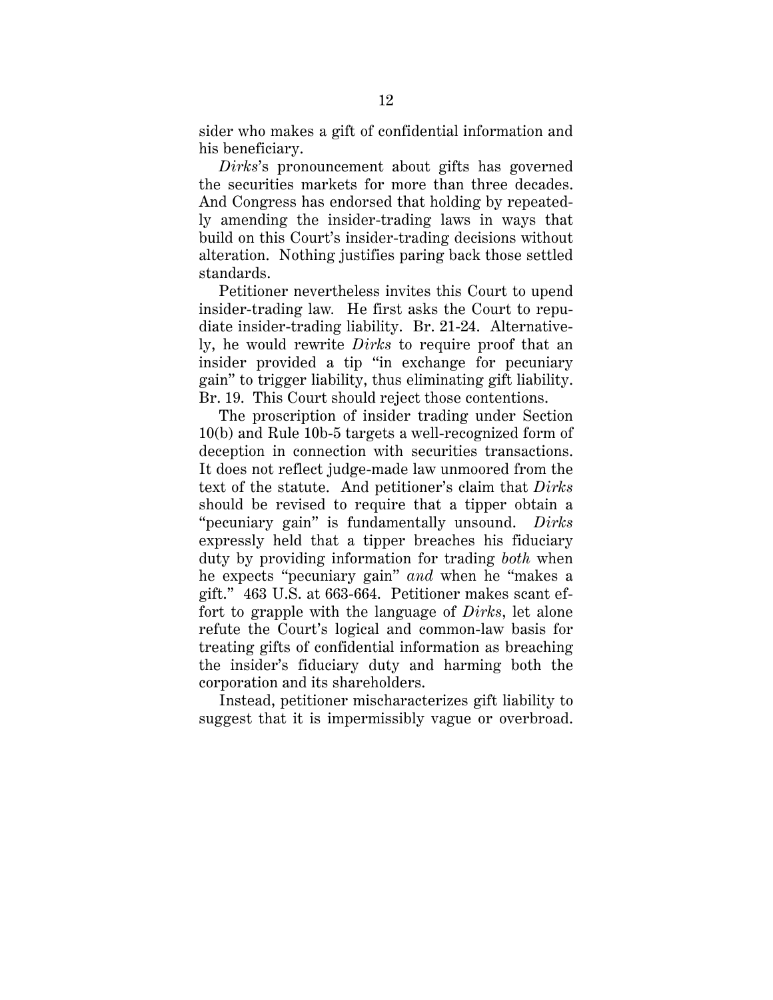sider who makes a gift of confidential information and his beneficiary.

*Dirks*'s pronouncement about gifts has governed the securities markets for more than three decades. And Congress has endorsed that holding by repeatedly amending the insider-trading laws in ways that build on this Court's insider-trading decisions without alteration. Nothing justifies paring back those settled standards.

Petitioner nevertheless invites this Court to upend insider-trading law*.* He first asks the Court to repudiate insider-trading liability. Br. 21-24. Alternatively, he would rewrite *Dirks* to require proof that an insider provided a tip "in exchange for pecuniary gain" to trigger liability, thus eliminating gift liability. Br. 19. This Court should reject those contentions.

The proscription of insider trading under Section 10(b) and Rule 10b-5 targets a well-recognized form of deception in connection with securities transactions. It does not reflect judge-made law unmoored from the text of the statute. And petitioner's claim that *Dirks*  should be revised to require that a tipper obtain a "pecuniary gain" is fundamentally unsound. *Dirks* expressly held that a tipper breaches his fiduciary duty by providing information for trading *both* when he expects "pecuniary gain" *and* when he "makes a gift." 463 U.S. at 663-664. Petitioner makes scant effort to grapple with the language of *Dirks*, let alone refute the Court's logical and common-law basis for treating gifts of confidential information as breaching the insider's fiduciary duty and harming both the corporation and its shareholders.

Instead, petitioner mischaracterizes gift liability to suggest that it is impermissibly vague or overbroad.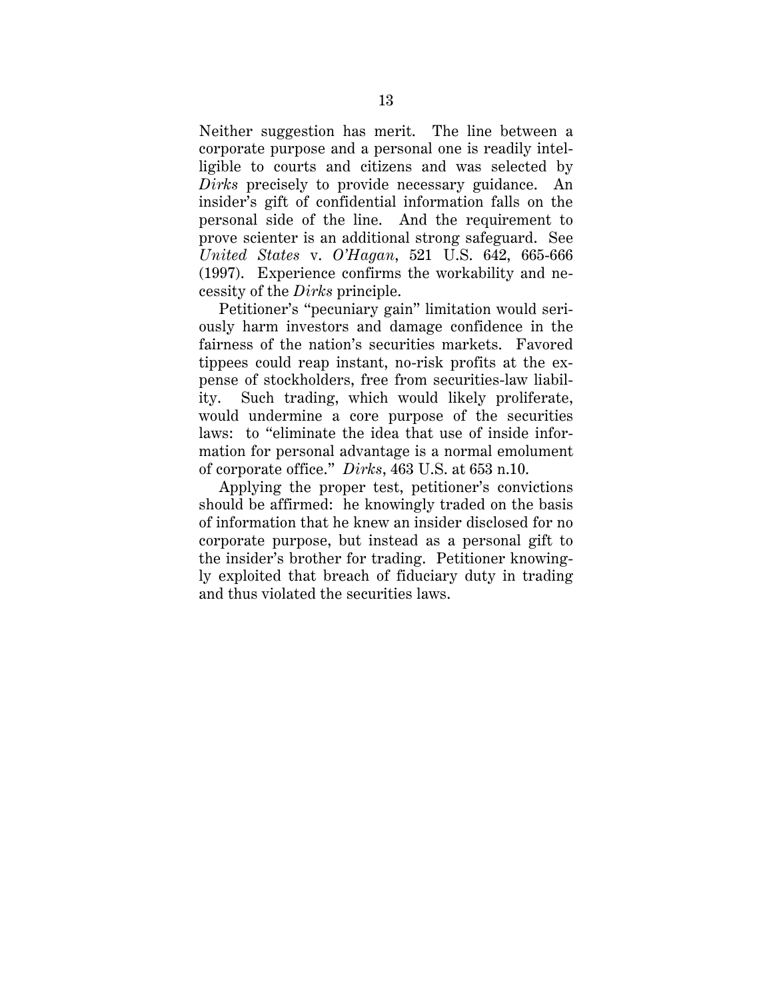Neither suggestion has merit. The line between a corporate purpose and a personal one is readily intelligible to courts and citizens and was selected by *Dirks* precisely to provide necessary guidance. An insider's gift of confidential information falls on the personal side of the line. And the requirement to prove scienter is an additional strong safeguard. See *United States* v. *O'Hagan*, 521 U.S. 642, 665-666 (1997). Experience confirms the workability and necessity of the *Dirks* principle.

Petitioner's "pecuniary gain" limitation would seriously harm investors and damage confidence in the fairness of the nation's securities markets. Favored tippees could reap instant, no-risk profits at the expense of stockholders, free from securities-law liability. Such trading, which would likely proliferate, would undermine a core purpose of the securities laws: to "eliminate the idea that use of inside information for personal advantage is a normal emolument of corporate office." *Dirks*, 463 U.S. at 653 n.10.

Applying the proper test, petitioner's convictions should be affirmed: he knowingly traded on the basis of information that he knew an insider disclosed for no corporate purpose, but instead as a personal gift to the insider's brother for trading. Petitioner knowingly exploited that breach of fiduciary duty in trading and thus violated the securities laws.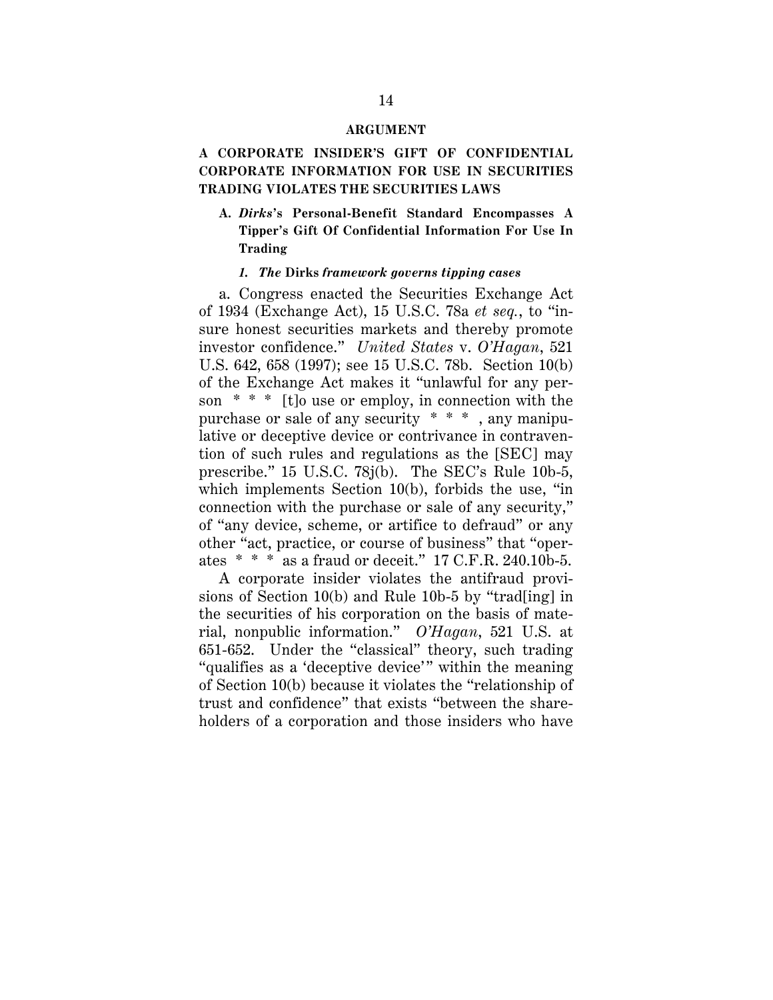#### **ARGUMENT**

## **A CORPORATE INSIDER'S GIFT OF CONFIDENTIAL CORPORATE INFORMATION FOR USE IN SECURITIES TRADING VIOLATES THE SECURITIES LAWS**

### **A.** *Dirks***'s Personal-Benefit Standard Encompasses A Tipper's Gift Of Confidential Information For Use In Trading**

#### *1. The* **Dirks** *framework governs tipping cases*

a. Congress enacted the Securities Exchange Act of 1934 (Exchange Act), 15 U.S.C. 78a *et seq.*, to "insure honest securities markets and thereby promote investor confidence." *United States* v. *O'Hagan*, 521 U.S. 642, 658 (1997); see 15 U.S.C. 78b. Section 10(b) of the Exchange Act makes it "unlawful for any person  $* * *$  [t] o use or employ, in connection with the purchase or sale of any security \* \* \* , any manipulative or deceptive device or contrivance in contravention of such rules and regulations as the [SEC] may prescribe." 15 U.S.C. 78j(b). The SEC's Rule 10b-5, which implements Section 10(b), forbids the use, "in connection with the purchase or sale of any security," of "any device, scheme, or artifice to defraud" or any other "act, practice, or course of business" that "operates \* \* \* as a fraud or deceit." 17 C.F.R. 240.10b-5.

A corporate insider violates the antifraud provisions of Section 10(b) and Rule 10b-5 by "trad[ing] in the securities of his corporation on the basis of material, nonpublic information." *O'Hagan*, 521 U.S. at 651-652. Under the "classical" theory, such trading "qualifies as a 'deceptive device'" within the meaning of Section 10(b) because it violates the "relationship of trust and confidence" that exists "between the shareholders of a corporation and those insiders who have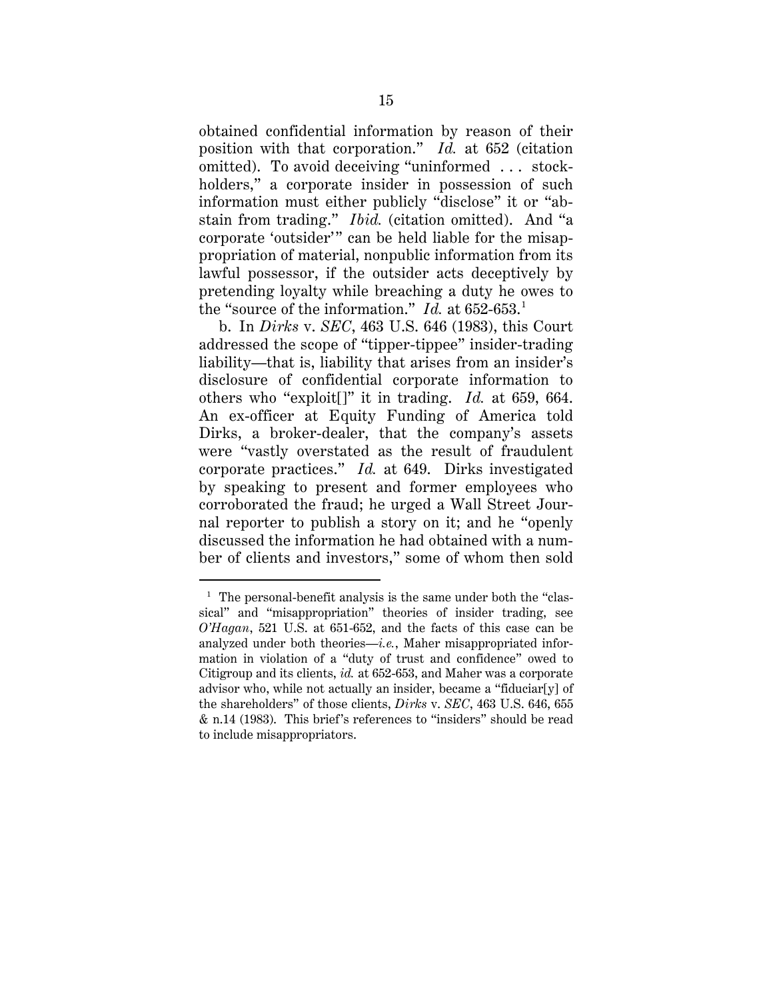obtained confidential information by reason of their position with that corporation." *Id.* at 652 (citation omitted). To avoid deceiving "uninformed . . . stockholders," a corporate insider in possession of such information must either publicly "disclose" it or "abstain from trading." *Ibid.* (citation omitted). And "a corporate 'outsider'" can be held liable for the misappropriation of material, nonpublic information from its lawful possessor, if the outsider acts deceptively by pretending loyalty while breaching a duty he owes to the "source of the information." *Id.* at  $652-653$ .<sup>1</sup>

b. In *Dirks* v. *SEC*, 463 U.S. 646 (1983), this Court addressed the scope of "tipper-tippee" insider-trading liability—that is, liability that arises from an insider's disclosure of confidential corporate information to others who "exploit[]" it in trading. *Id.* at 659, 664. An ex-officer at Equity Funding of America told Dirks, a broker-dealer, that the company's assets were "vastly overstated as the result of fraudulent corporate practices." *Id.* at 649. Dirks investigated by speaking to present and former employees who corroborated the fraud; he urged a Wall Street Journal reporter to publish a story on it; and he "openly discussed the information he had obtained with a number of clients and investors," some of whom then sold

 $1$  The personal-benefit analysis is the same under both the "classical" and "misappropriation" theories of insider trading, see *O'Hagan*, 521 U.S. at 651-652, and the facts of this case can be analyzed under both theories—*i.e.*, Maher misappropriated information in violation of a "duty of trust and confidence" owed to Citigroup and its clients, *id.* at 652-653, and Maher was a corporate advisor who, while not actually an insider, became a "fiduciar[y] of the shareholders" of those clients, *Dirks* v. *SEC*, 463 U.S. 646, 655 & n.14 (1983). This brief's references to "insiders" should be read to include misappropriators.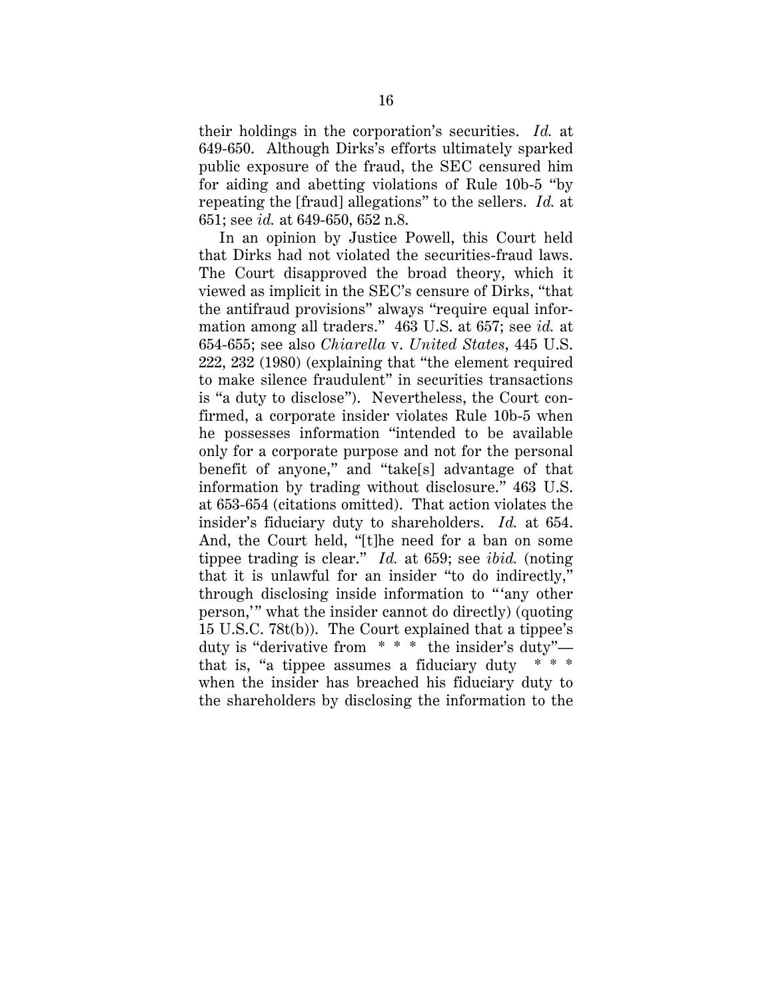their holdings in the corporation's securities. *Id.* at 649-650. Although Dirks's efforts ultimately sparked public exposure of the fraud, the SEC censured him for aiding and abetting violations of Rule 10b-5 "by repeating the [fraud] allegations" to the sellers. *Id.* at 651; see *id.* at 649-650, 652 n.8.

In an opinion by Justice Powell, this Court held that Dirks had not violated the securities-fraud laws. The Court disapproved the broad theory, which it viewed as implicit in the SEC's censure of Dirks, "that the antifraud provisions" always "require equal information among all traders." 463 U.S. at 657; see *id.* at 654-655; see also *Chiarella* v. *United States*, 445 U.S. 222, 232 (1980) (explaining that "the element required to make silence fraudulent" in securities transactions is "a duty to disclose"). Nevertheless, the Court confirmed, a corporate insider violates Rule 10b-5 when he possesses information "intended to be available only for a corporate purpose and not for the personal benefit of anyone," and "take[s] advantage of that information by trading without disclosure." 463 U.S. at 653-654 (citations omitted). That action violates the insider's fiduciary duty to shareholders. *Id.* at 654. And, the Court held, "[t]he need for a ban on some tippee trading is clear." *Id.* at 659; see *ibid.* (noting that it is unlawful for an insider "to do indirectly," through disclosing inside information to " 'any other person," what the insider cannot do directly) (quoting 15 U.S.C. 78t(b)). The Court explained that a tippee's duty is "derivative from  $* * *$  the insider's duty" that is, "a tippee assumes a fiduciary duty  $* * *$ when the insider has breached his fiduciary duty to the shareholders by disclosing the information to the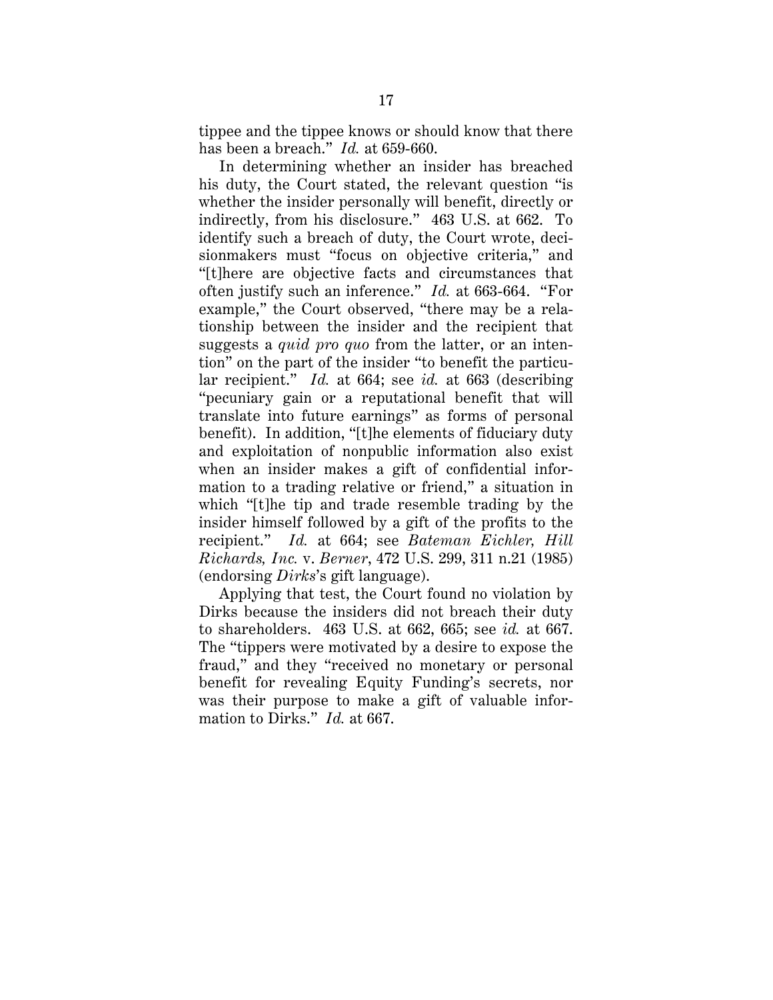tippee and the tippee knows or should know that there has been a breach." *Id.* at 659-660.

In determining whether an insider has breached his duty, the Court stated, the relevant question "is whether the insider personally will benefit, directly or indirectly, from his disclosure." 463 U.S. at 662. To identify such a breach of duty, the Court wrote, decisionmakers must "focus on objective criteria," and "[t]here are objective facts and circumstances that often justify such an inference." *Id.* at 663-664. "For example," the Court observed, "there may be a relationship between the insider and the recipient that suggests a *quid pro quo* from the latter, or an intention" on the part of the insider "to benefit the particular recipient." *Id.* at 664; see *id.* at 663 (describing "pecuniary gain or a reputational benefit that will translate into future earnings" as forms of personal benefit). In addition, "[t]he elements of fiduciary duty and exploitation of nonpublic information also exist when an insider makes a gift of confidential information to a trading relative or friend," a situation in which "[t]he tip and trade resemble trading by the insider himself followed by a gift of the profits to the recipient." *Id.* at 664; see *Bateman Eichler, Hill Richards, Inc.* v. *Berner*, 472 U.S. 299, 311 n.21 (1985) (endorsing *Dirks*'s gift language).

Applying that test, the Court found no violation by Dirks because the insiders did not breach their duty to shareholders. 463 U.S. at 662, 665; see *id.* at 667. The "tippers were motivated by a desire to expose the fraud," and they "received no monetary or personal benefit for revealing Equity Funding's secrets, nor was their purpose to make a gift of valuable information to Dirks." *Id.* at 667.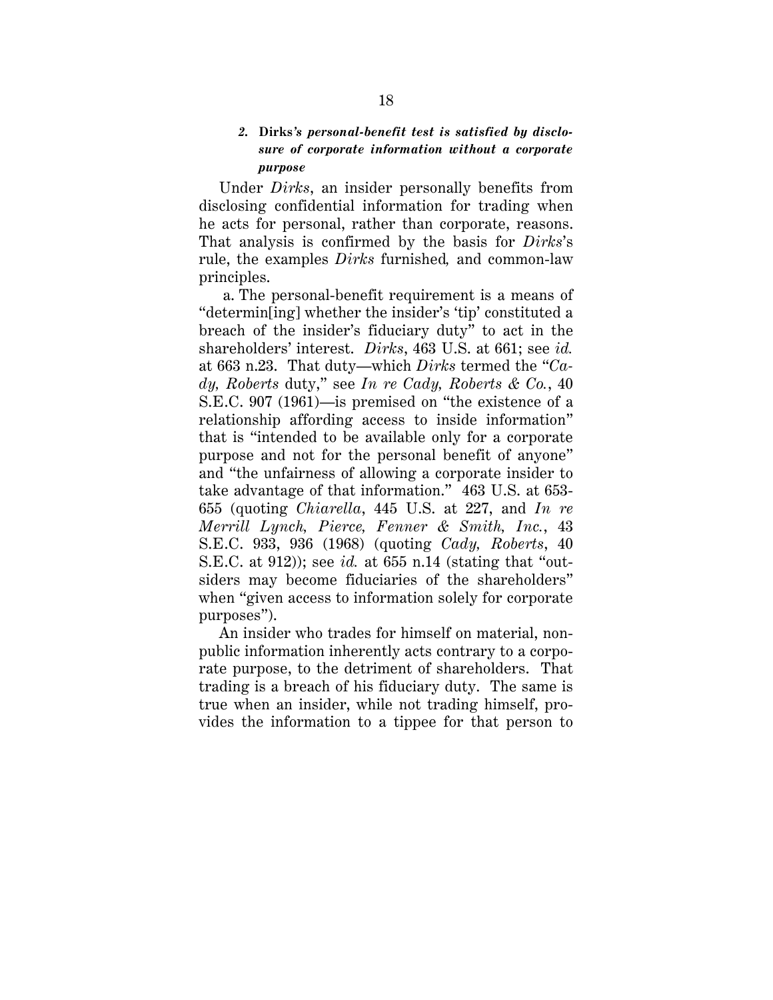## *2.* **Dirks***'s personal-benefit test is satisfied by disclosure of corporate information without a corporate purpose*

Under *Dirks*, an insider personally benefits from disclosing confidential information for trading when he acts for personal, rather than corporate, reasons. That analysis is confirmed by the basis for *Dirks*'s rule, the examples *Dirks* furnished*,* and common-law principles.

a. The personal-benefit requirement is a means of "determin[ing] whether the insider's 'tip' constituted a breach of the insider's fiduciary duty" to act in the shareholders' interest. *Dirks*, 463 U.S. at 661; see *id.*  at 663 n.23. That duty—which *Dirks* termed the "*Cady, Roberts* duty," see *In re Cady, Roberts & Co.*, 40 S.E.C. 907 (1961)—is premised on "the existence of a relationship affording access to inside information" that is "intended to be available only for a corporate purpose and not for the personal benefit of anyone" and "the unfairness of allowing a corporate insider to take advantage of that information." 463 U.S. at 653- 655 (quoting *Chiarella*, 445 U.S. at 227, and *In re Merrill Lynch, Pierce, Fenner & Smith, Inc.*, 43 S.E.C. 933, 936 (1968) (quoting *Cady, Roberts*, 40 S.E.C. at 912)); see *id.* at 655 n.14 (stating that "outsiders may become fiduciaries of the shareholders" when "given access to information solely for corporate purposes").

An insider who trades for himself on material, nonpublic information inherently acts contrary to a corporate purpose, to the detriment of shareholders. That trading is a breach of his fiduciary duty. The same is true when an insider, while not trading himself, provides the information to a tippee for that person to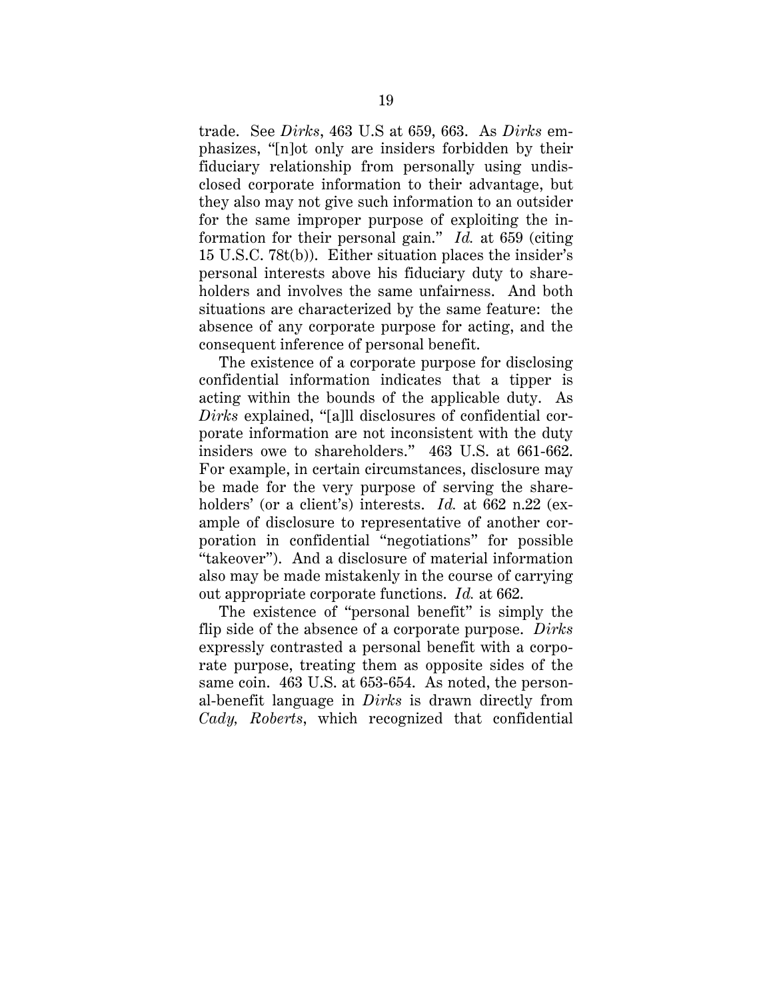trade. See *Dirks*, 463 U.S at 659, 663. As *Dirks* emphasizes, "[n]ot only are insiders forbidden by their fiduciary relationship from personally using undisclosed corporate information to their advantage, but they also may not give such information to an outsider for the same improper purpose of exploiting the information for their personal gain." *Id.* at 659 (citing 15 U.S.C. 78t(b)). Either situation places the insider's personal interests above his fiduciary duty to shareholders and involves the same unfairness. And both situations are characterized by the same feature: the absence of any corporate purpose for acting, and the consequent inference of personal benefit.

The existence of a corporate purpose for disclosing confidential information indicates that a tipper is acting within the bounds of the applicable duty. As *Dirks* explained, "[a]ll disclosures of confidential corporate information are not inconsistent with the duty insiders owe to shareholders." 463 U.S. at 661-662. For example, in certain circumstances, disclosure may be made for the very purpose of serving the shareholders' (or a client's) interests. *Id.* at 662 n.22 (example of disclosure to representative of another corporation in confidential "negotiations" for possible "takeover"). And a disclosure of material information also may be made mistakenly in the course of carrying out appropriate corporate functions. *Id.* at 662.

The existence of "personal benefit" is simply the flip side of the absence of a corporate purpose. *Dirks* expressly contrasted a personal benefit with a corporate purpose, treating them as opposite sides of the same coin. 463 U.S. at 653-654. As noted, the personal-benefit language in *Dirks* is drawn directly from *Cady, Roberts*, which recognized that confidential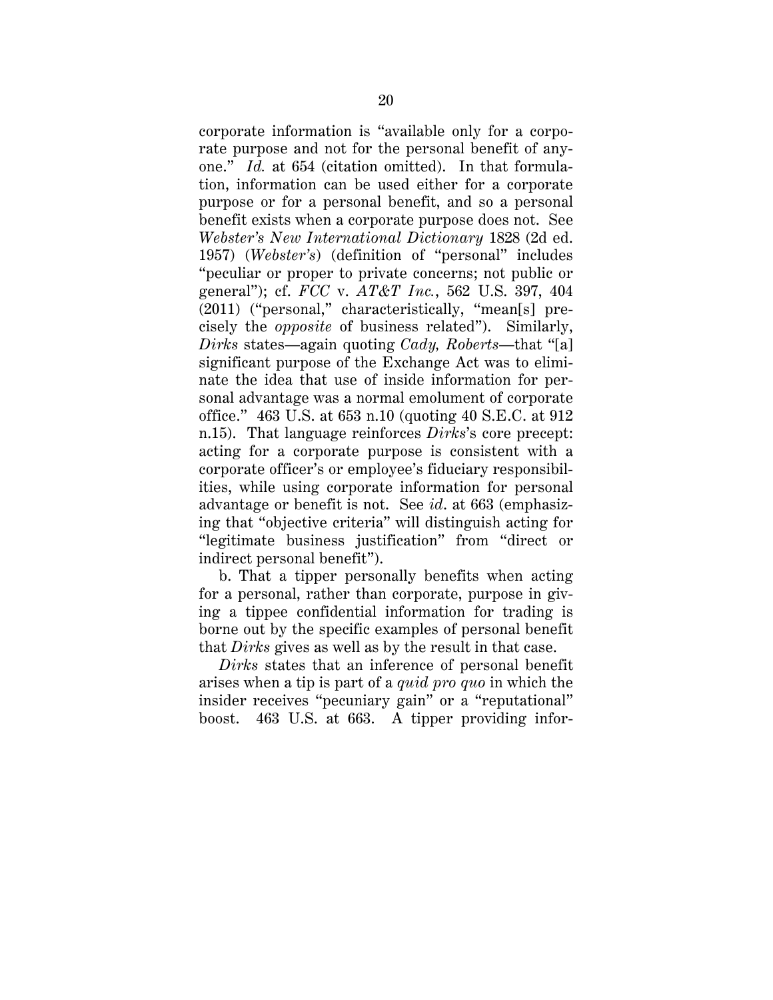corporate information is "available only for a corporate purpose and not for the personal benefit of anyone." *Id.* at 654 (citation omitted). In that formulation, information can be used either for a corporate purpose or for a personal benefit, and so a personal benefit exists when a corporate purpose does not. See *Webster's New International Dictionary* 1828 (2d ed. 1957) (*Webster's*) (definition of "personal" includes "peculiar or proper to private concerns; not public or general"); cf. *FCC* v. *AT&T Inc.*, 562 U.S. 397, 404 (2011) ("personal," characteristically, "mean[s] precisely the *opposite* of business related"). Similarly, *Dirks* states—again quoting *Cady, Roberts*—that "[a] significant purpose of the Exchange Act was to eliminate the idea that use of inside information for personal advantage was a normal emolument of corporate office." 463 U.S. at 653 n.10 (quoting 40 S.E.C. at 912 n.15). That language reinforces *Dirks*'s core precept: acting for a corporate purpose is consistent with a corporate officer's or employee's fiduciary responsibilities, while using corporate information for personal advantage or benefit is not. See *id*. at 663 (emphasizing that "objective criteria" will distinguish acting for "legitimate business justification" from "direct or indirect personal benefit").

b. That a tipper personally benefits when acting for a personal, rather than corporate, purpose in giving a tippee confidential information for trading is borne out by the specific examples of personal benefit that *Dirks* gives as well as by the result in that case.

*Dirks* states that an inference of personal benefit arises when a tip is part of a *quid pro quo* in which the insider receives "pecuniary gain" or a "reputational" boost. 463 U.S. at 663. A tipper providing infor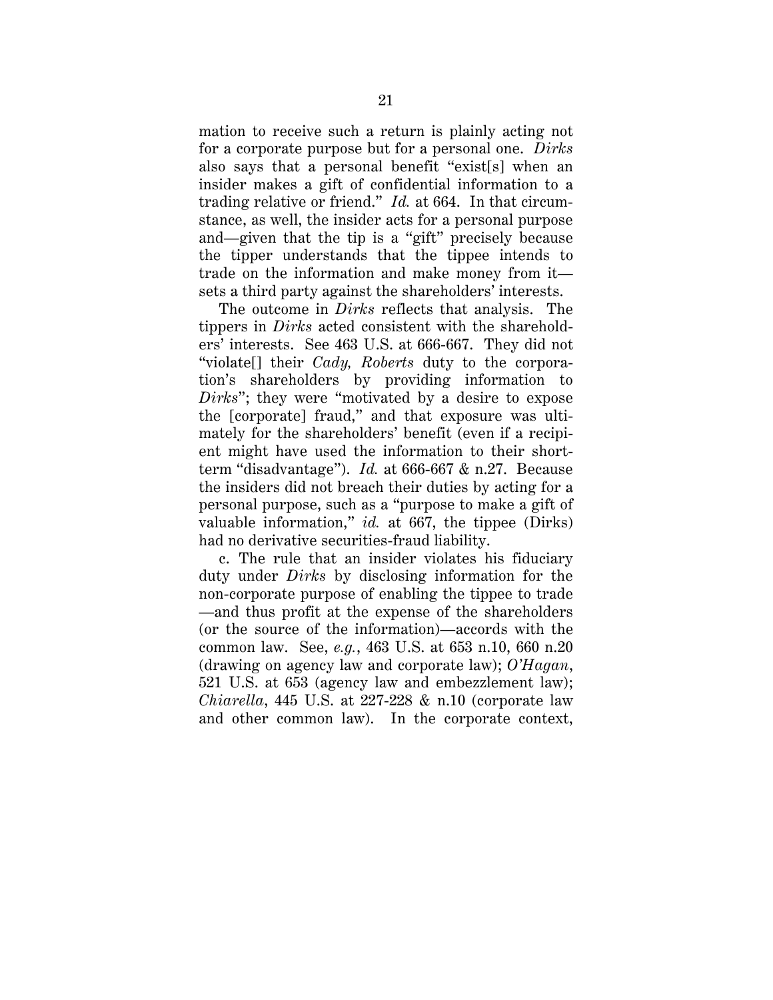mation to receive such a return is plainly acting not for a corporate purpose but for a personal one. *Dirks* also says that a personal benefit "exist[s] when an insider makes a gift of confidential information to a trading relative or friend." *Id.* at 664. In that circumstance, as well, the insider acts for a personal purpose and—given that the tip is a "gift" precisely because the tipper understands that the tippee intends to trade on the information and make money from it sets a third party against the shareholders' interests.

The outcome in *Dirks* reflects that analysis. The tippers in *Dirks* acted consistent with the shareholders' interests. See 463 U.S. at 666-667. They did not "violate[] their *Cady, Roberts* duty to the corporation's shareholders by providing information to *Dirks*"; they were "motivated by a desire to expose the [corporate] fraud," and that exposure was ultimately for the shareholders' benefit (even if a recipient might have used the information to their shortterm "disadvantage"). *Id.* at 666-667 & n.27. Because the insiders did not breach their duties by acting for a personal purpose, such as a "purpose to make a gift of valuable information," *id.* at 667, the tippee (Dirks) had no derivative securities-fraud liability.

c. The rule that an insider violates his fiduciary duty under *Dirks* by disclosing information for the non-corporate purpose of enabling the tippee to trade —and thus profit at the expense of the shareholders (or the source of the information)—accords with the common law. See, *e.g.*, 463 U.S. at 653 n.10, 660 n.20 (drawing on agency law and corporate law); *O'Hagan*, 521 U.S. at 653 (agency law and embezzlement law); *Chiarella*, 445 U.S. at 227-228 & n.10 (corporate law and other common law). In the corporate context,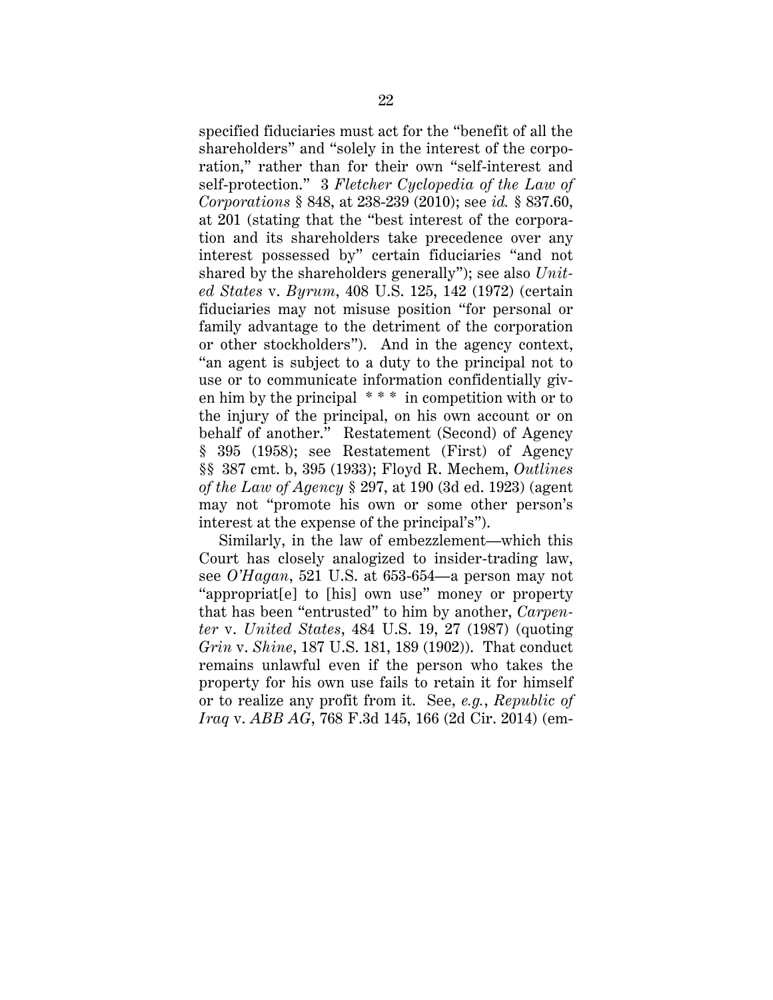specified fiduciaries must act for the "benefit of all the shareholders" and "solely in the interest of the corporation," rather than for their own "self-interest and self-protection." 3 *Fletcher Cyclopedia of the Law of Corporations* § 848, at 238-239 (2010); see *id.* § 837.60, at 201 (stating that the "best interest of the corporation and its shareholders take precedence over any interest possessed by" certain fiduciaries "and not shared by the shareholders generally"); see also *United States* v. *Byrum*, 408 U.S. 125, 142 (1972) (certain fiduciaries may not misuse position "for personal or family advantage to the detriment of the corporation or other stockholders"). And in the agency context, "an agent is subject to a duty to the principal not to use or to communicate information confidentially given him by the principal \* \* \* in competition with or to the injury of the principal, on his own account or on behalf of another." Restatement (Second) of Agency § 395 (1958); see Restatement (First) of Agency §§ 387 cmt. b, 395 (1933); Floyd R. Mechem, *Outlines of the Law of Agency* § 297, at 190 (3d ed. 1923) (agent may not "promote his own or some other person's interest at the expense of the principal's").

Similarly, in the law of embezzlement—which this Court has closely analogized to insider-trading law, see *O'Hagan*, 521 U.S. at 653-654—a person may not "appropriat[e] to [his] own use" money or property that has been "entrusted" to him by another, *Carpenter* v. *United States*, 484 U.S. 19, 27 (1987) (quoting *Grin* v. *Shine*, 187 U.S. 181, 189 (1902)). That conduct remains unlawful even if the person who takes the property for his own use fails to retain it for himself or to realize any profit from it. See, *e.g.*, *Republic of Iraq* v. *ABB AG*, 768 F.3d 145, 166 (2d Cir. 2014) (em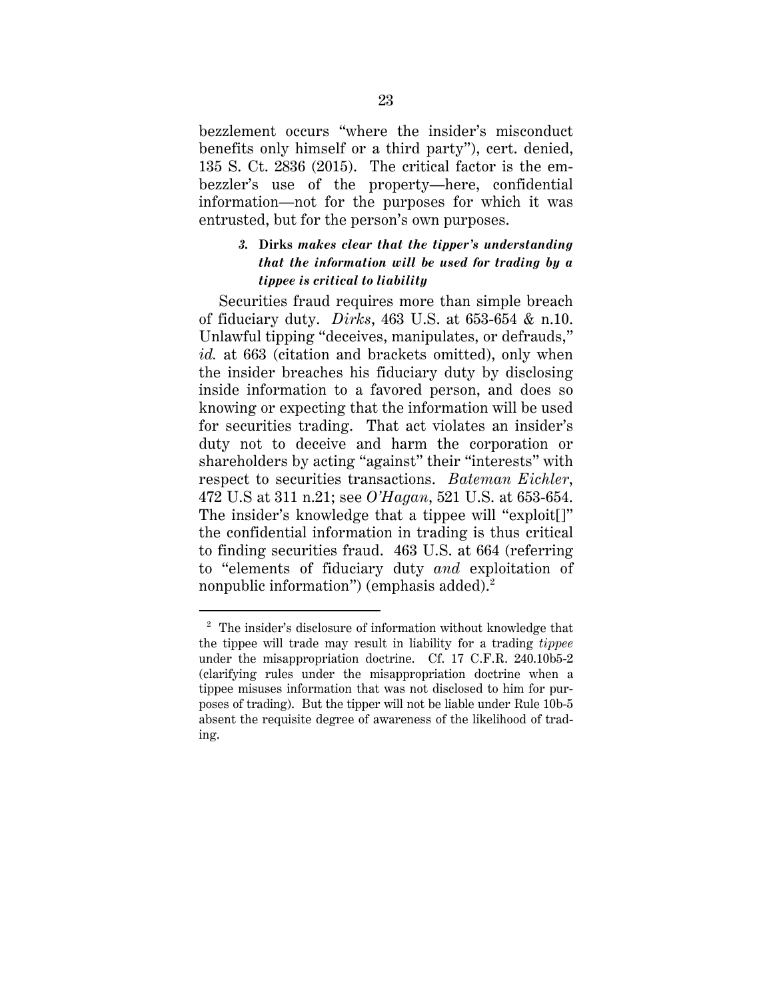bezzlement occurs "where the insider's misconduct benefits only himself or a third party"), cert. denied, 135 S. Ct. 2836 (2015). The critical factor is the embezzler's use of the property—here, confidential information—not for the purposes for which it was entrusted, but for the person's own purposes.

# *3.* **Dirks** *makes clear that the tipper's understanding that the information will be used for trading by a tippee is critical to liability*

Securities fraud requires more than simple breach of fiduciary duty. *Dirks*, 463 U.S. at 653-654 & n.10. Unlawful tipping "deceives, manipulates, or defrauds," *id.* at 663 (citation and brackets omitted), only when the insider breaches his fiduciary duty by disclosing inside information to a favored person, and does so knowing or expecting that the information will be used for securities trading. That act violates an insider's duty not to deceive and harm the corporation or shareholders by acting "against" their "interests" with respect to securities transactions. *Bateman Eichler*, 472 U.S at 311 n.21; see *O'Hagan*, 521 U.S. at 653-654. The insider's knowledge that a tippee will "exploit[]" the confidential information in trading is thus critical to finding securities fraud. 463 U.S. at 664 (referring to "elements of fiduciary duty *and* exploitation of nonpublic information") (emphasis added). $^{2}$ 

<sup>&</sup>lt;sup>2</sup> The insider's disclosure of information without knowledge that the tippee will trade may result in liability for a trading *tippee*  under the misappropriation doctrine. Cf. 17 C.F.R. 240.10b5-2 (clarifying rules under the misappropriation doctrine when a tippee misuses information that was not disclosed to him for purposes of trading). But the tipper will not be liable under Rule 10b-5 absent the requisite degree of awareness of the likelihood of trading.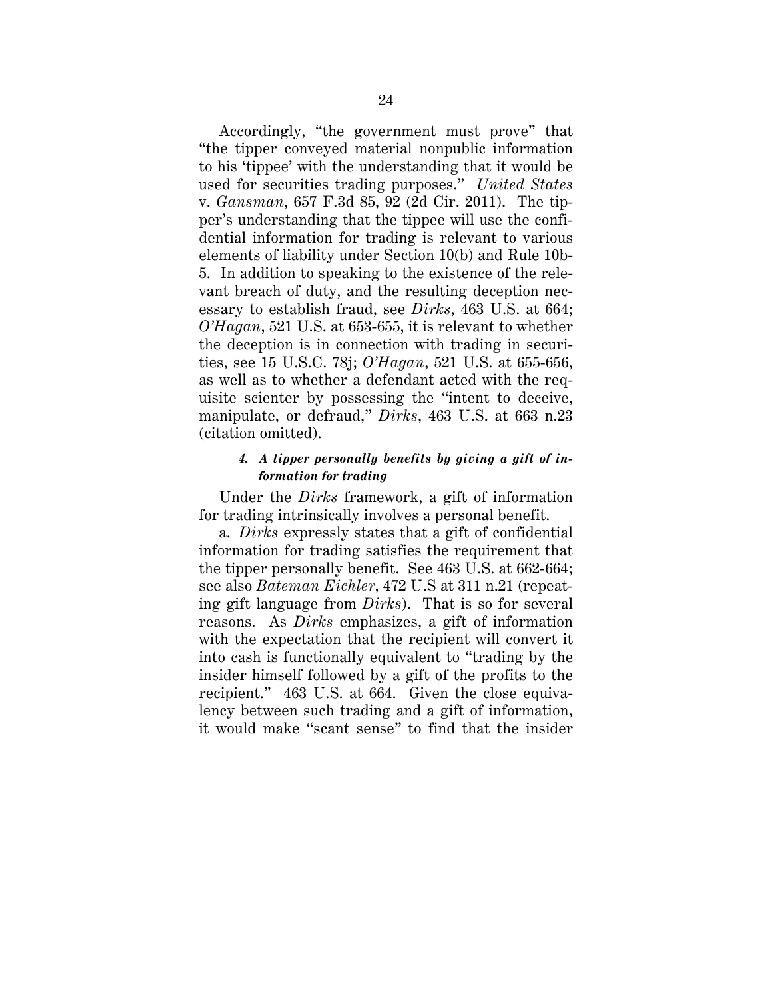Accordingly, "the government must prove" that "the tipper conveyed material nonpublic information to his 'tippee' with the understanding that it would be used for securities trading purposes." *United States* v. *Gansman*, 657 F.3d 85, 92 (2d Cir. 2011). The tipper's understanding that the tippee will use the confidential information for trading is relevant to various elements of liability under Section 10(b) and Rule 10b-5. In addition to speaking to the existence of the relevant breach of duty, and the resulting deception necessary to establish fraud, see *Dirks*, 463 U.S. at 664; *O'Hagan*, 521 U.S. at 653-655, it is relevant to whether the deception is in connection with trading in securities, see 15 U.S.C. 78j; *O'Hagan*, 521 U.S. at 655-656, as well as to whether a defendant acted with the requisite scienter by possessing the "intent to deceive, manipulate, or defraud," *Dirks*, 463 U.S. at 663 n.23 (citation omitted).

### *4. A tipper personally benefits by giving a gift of information for trading*

Under the *Dirks* framework, a gift of information for trading intrinsically involves a personal benefit.

a. *Dirks* expressly states that a gift of confidential information for trading satisfies the requirement that the tipper personally benefit. See 463 U.S. at 662-664; see also *Bateman Eichler*, 472 U.S at 311 n.21 (repeating gift language from *Dirks*). That is so for several reasons. As *Dirks* emphasizes, a gift of information with the expectation that the recipient will convert it into cash is functionally equivalent to "trading by the insider himself followed by a gift of the profits to the recipient." 463 U.S. at 664. Given the close equivalency between such trading and a gift of information, it would make "scant sense" to find that the insider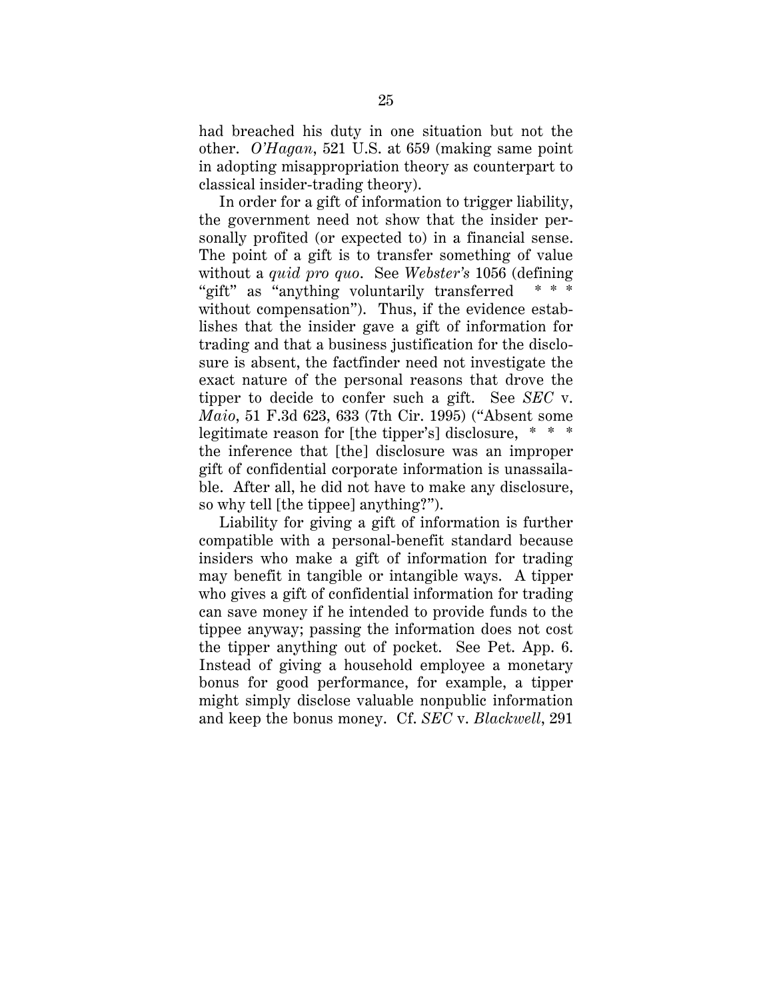had breached his duty in one situation but not the other. *O'Hagan*, 521 U.S. at 659 (making same point in adopting misappropriation theory as counterpart to classical insider-trading theory).

In order for a gift of information to trigger liability, the government need not show that the insider personally profited (or expected to) in a financial sense. The point of a gift is to transfer something of value without a *quid pro quo*. See *Webster's* 1056 (defining "gift" as "anything voluntarily transferred without compensation"). Thus, if the evidence establishes that the insider gave a gift of information for trading and that a business justification for the disclosure is absent, the factfinder need not investigate the exact nature of the personal reasons that drove the tipper to decide to confer such a gift. See *SEC* v. *Maio*, 51 F.3d 623, 633 (7th Cir. 1995) ("Absent some legitimate reason for [the tipper's] disclosure, \* \* \* the inference that [the] disclosure was an improper gift of confidential corporate information is unassailable. After all, he did not have to make any disclosure, so why tell [the tippee] anything?").

Liability for giving a gift of information is further compatible with a personal-benefit standard because insiders who make a gift of information for trading may benefit in tangible or intangible ways. A tipper who gives a gift of confidential information for trading can save money if he intended to provide funds to the tippee anyway; passing the information does not cost the tipper anything out of pocket. See Pet. App. 6. Instead of giving a household employee a monetary bonus for good performance, for example, a tipper might simply disclose valuable nonpublic information and keep the bonus money. Cf. *SEC* v. *Blackwell*, 291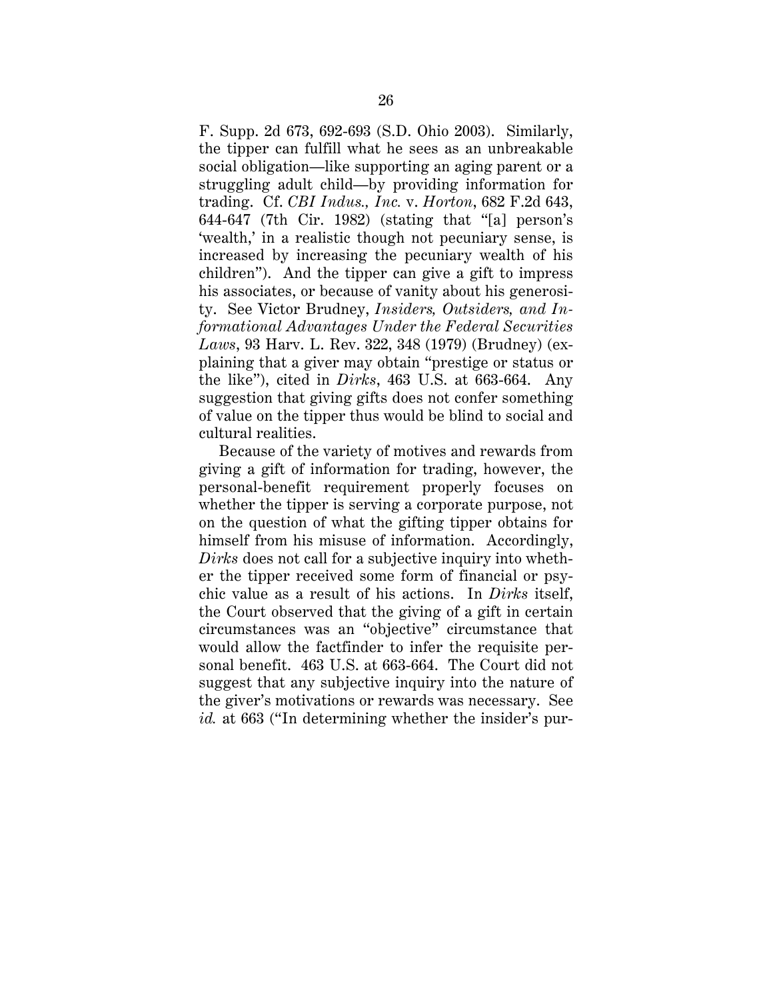F. Supp. 2d 673, 692-693 (S.D. Ohio 2003). Similarly, the tipper can fulfill what he sees as an unbreakable social obligation—like supporting an aging parent or a struggling adult child—by providing information for trading. Cf. *CBI Indus., Inc.* v. *Horton*, 682 F.2d 643, 644-647 (7th Cir. 1982) (stating that "[a] person's 'wealth,' in a realistic though not pecuniary sense, is increased by increasing the pecuniary wealth of his children"). And the tipper can give a gift to impress his associates, or because of vanity about his generosity. See Victor Brudney, *Insiders, Outsiders, and Informational Advantages Under the Federal Securities Laws*, 93 Harv. L. Rev. 322, 348 (1979) (Brudney) (explaining that a giver may obtain "prestige or status or the like"), cited in *Dirks*, 463 U.S. at 663-664. Any suggestion that giving gifts does not confer something of value on the tipper thus would be blind to social and cultural realities.

Because of the variety of motives and rewards from giving a gift of information for trading, however, the personal-benefit requirement properly focuses on whether the tipper is serving a corporate purpose, not on the question of what the gifting tipper obtains for himself from his misuse of information. Accordingly, *Dirks* does not call for a subjective inquiry into whether the tipper received some form of financial or psychic value as a result of his actions. In *Dirks* itself, the Court observed that the giving of a gift in certain circumstances was an "objective" circumstance that would allow the factfinder to infer the requisite personal benefit. 463 U.S. at 663-664. The Court did not suggest that any subjective inquiry into the nature of the giver's motivations or rewards was necessary. See *id.* at 663 ("In determining whether the insider's pur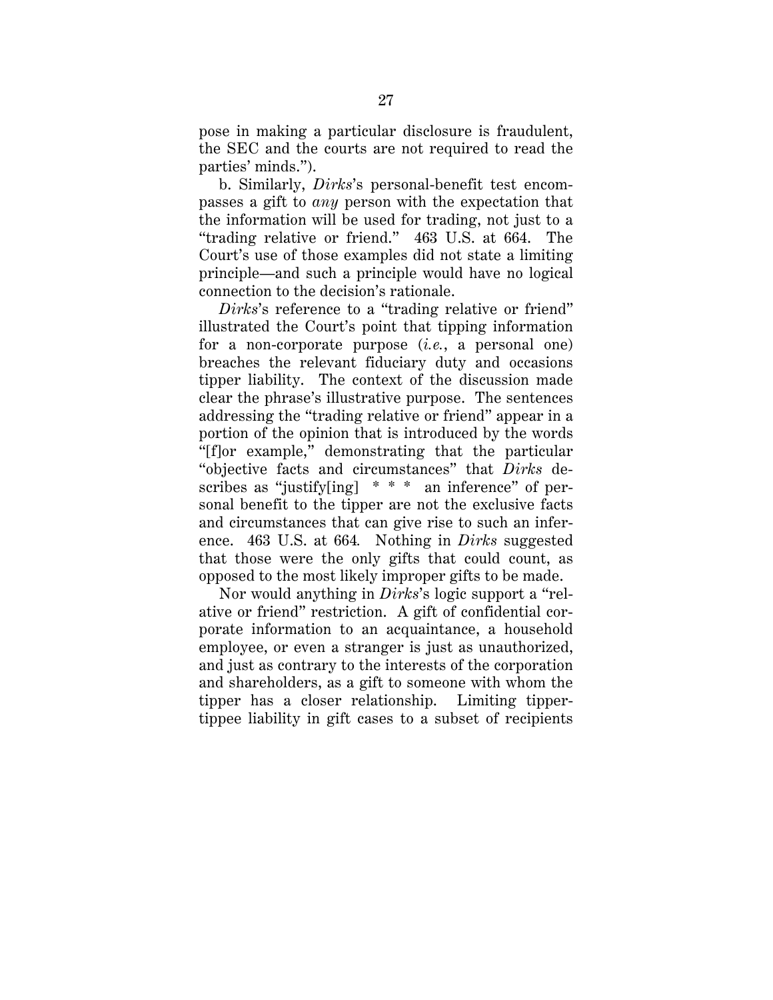pose in making a particular disclosure is fraudulent, the SEC and the courts are not required to read the parties' minds.").

b. Similarly, *Dirks*'s personal-benefit test encompasses a gift to *any* person with the expectation that the information will be used for trading, not just to a "trading relative or friend." 463 U.S. at 664. The Court's use of those examples did not state a limiting principle—and such a principle would have no logical connection to the decision's rationale.

*Dirks*'s reference to a "trading relative or friend" illustrated the Court's point that tipping information for a non-corporate purpose (*i.e.*, a personal one) breaches the relevant fiduciary duty and occasions tipper liability. The context of the discussion made clear the phrase's illustrative purpose. The sentences addressing the "trading relative or friend" appear in a portion of the opinion that is introduced by the words "[f]or example," demonstrating that the particular "objective facts and circumstances" that *Dirks* describes as "justify[ing]  $* * *$  an inference" of personal benefit to the tipper are not the exclusive facts and circumstances that can give rise to such an inference. 463 U.S. at 664*.* Nothing in *Dirks* suggested that those were the only gifts that could count, as opposed to the most likely improper gifts to be made.

Nor would anything in *Dirks*'s logic support a "relative or friend" restriction. A gift of confidential corporate information to an acquaintance, a household employee, or even a stranger is just as unauthorized, and just as contrary to the interests of the corporation and shareholders, as a gift to someone with whom the tipper has a closer relationship. Limiting tippertippee liability in gift cases to a subset of recipients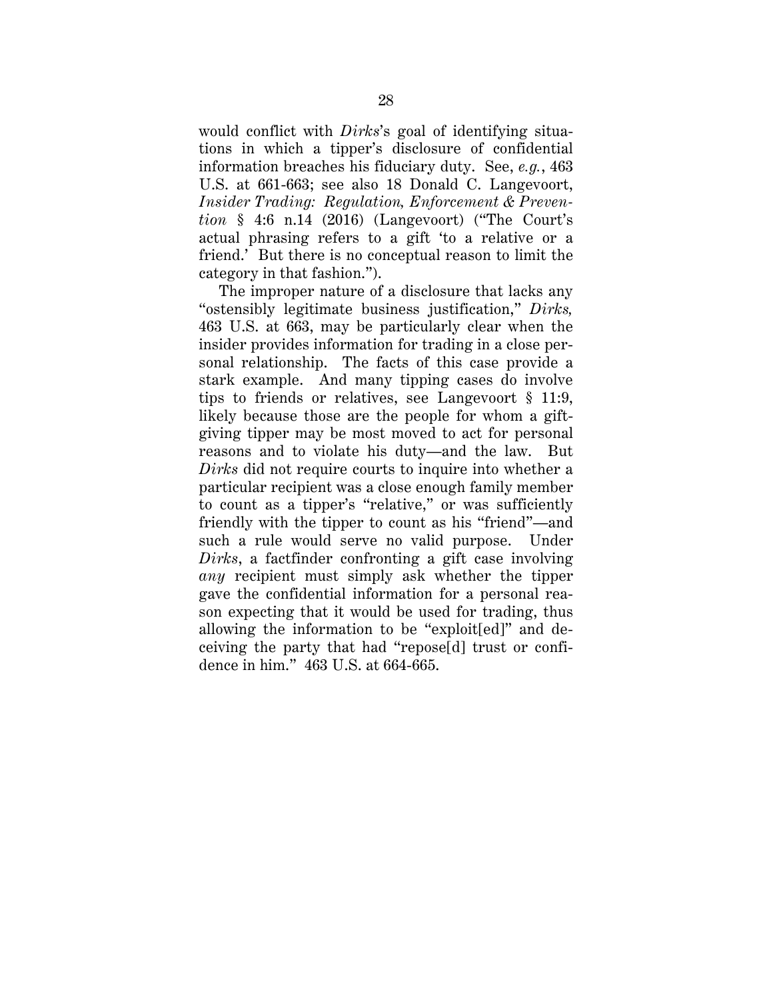would conflict with *Dirks*'s goal of identifying situations in which a tipper's disclosure of confidential information breaches his fiduciary duty. See, *e.g.*, 463 U.S. at 661-663; see also 18 Donald C. Langevoort, *Insider Trading: Regulation, Enforcement & Prevention* § 4:6 n.14 (2016) (Langevoort) ("The Court's actual phrasing refers to a gift 'to a relative or a friend.' But there is no conceptual reason to limit the category in that fashion.").

The improper nature of a disclosure that lacks any "ostensibly legitimate business justification," *Dirks,*  463 U.S. at 663, may be particularly clear when the insider provides information for trading in a close personal relationship. The facts of this case provide a stark example. And many tipping cases do involve tips to friends or relatives, see Langevoort § 11:9, likely because those are the people for whom a giftgiving tipper may be most moved to act for personal reasons and to violate his duty—and the law. But *Dirks* did not require courts to inquire into whether a particular recipient was a close enough family member to count as a tipper's "relative," or was sufficiently friendly with the tipper to count as his "friend"—and such a rule would serve no valid purpose. Under *Dirks*, a factfinder confronting a gift case involving *any* recipient must simply ask whether the tipper gave the confidential information for a personal reason expecting that it would be used for trading, thus allowing the information to be "exploit[ed]" and deceiving the party that had "repose[d] trust or confidence in him." 463 U.S. at 664-665.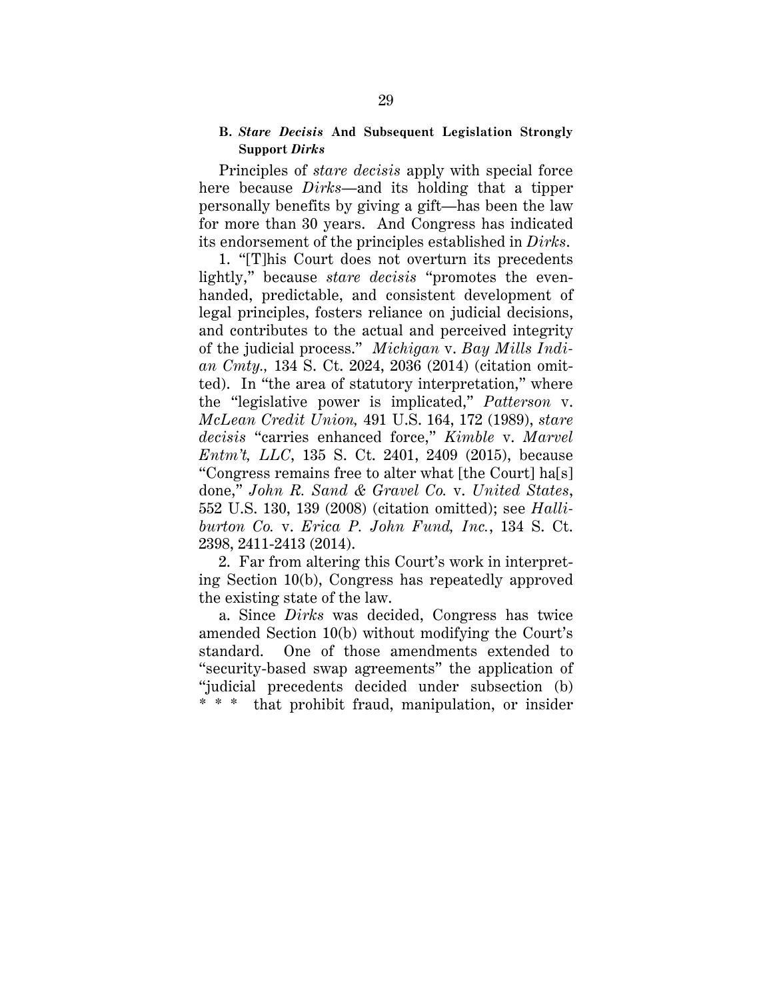### **B.** *Stare Decisis* **And Subsequent Legislation Strongly Support** *Dirks*

Principles of *stare decisis* apply with special force here because *Dirks*—and its holding that a tipper personally benefits by giving a gift—has been the law for more than 30 years. And Congress has indicated its endorsement of the principles established in *Dirks*.

1. "[T]his Court does not overturn its precedents lightly," because *stare decisis* "promotes the evenhanded, predictable, and consistent development of legal principles, fosters reliance on judicial decisions, and contributes to the actual and perceived integrity of the judicial process." *Michigan* v. *Bay Mills Indian Cmty.,* 134 S. Ct. 2024, 2036 (2014) (citation omitted). In "the area of statutory interpretation," where the "legislative power is implicated," *Patterson* v. *McLean Credit Union,* 491 U.S. 164, 172 (1989), *stare decisis* "carries enhanced force," *Kimble* v. *Marvel Entm't, LLC*, 135 S. Ct. 2401, 2409 (2015), because "Congress remains free to alter what [the Court] ha[s] done," *John R. Sand & Gravel Co.* v. *United States*, 552 U.S. 130, 139 (2008) (citation omitted); see *Halliburton Co.* v. *Erica P. John Fund, Inc.*, 134 S. Ct. 2398, 2411-2413 (2014).

2. Far from altering this Court's work in interpreting Section 10(b), Congress has repeatedly approved the existing state of the law.

a. Since *Dirks* was decided, Congress has twice amended Section 10(b) without modifying the Court's standard. One of those amendments extended to "security-based swap agreements" the application of "judicial precedents decided under subsection (b) \* \* \* that prohibit fraud, manipulation, or insider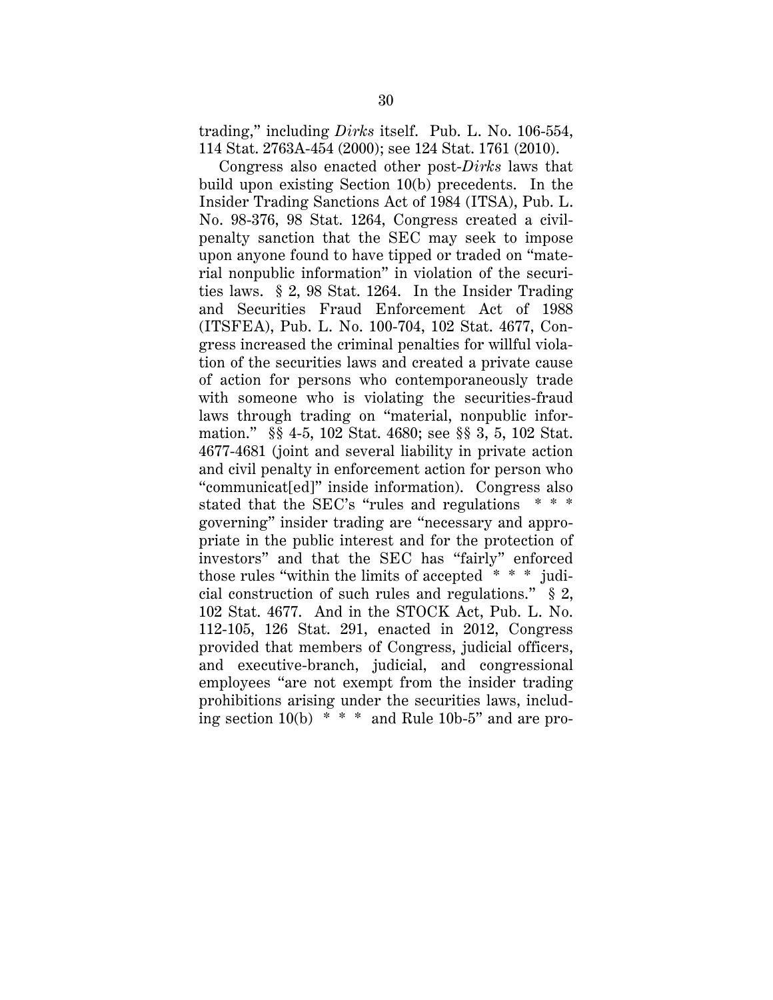trading," including *Dirks* itself. Pub. L. No. 106-554, 114 Stat. 2763A-454 (2000); see 124 Stat. 1761 (2010).

Congress also enacted other post-*Dirks* laws that build upon existing Section 10(b) precedents. In the Insider Trading Sanctions Act of 1984 (ITSA), Pub. L. No. 98-376, 98 Stat. 1264, Congress created a civilpenalty sanction that the SEC may seek to impose upon anyone found to have tipped or traded on "material nonpublic information" in violation of the securities laws. § 2, 98 Stat. 1264. In the Insider Trading and Securities Fraud Enforcement Act of 1988 (ITSFEA), Pub. L. No. 100-704, 102 Stat. 4677, Congress increased the criminal penalties for willful violation of the securities laws and created a private cause of action for persons who contemporaneously trade with someone who is violating the securities-fraud laws through trading on "material, nonpublic information." §§ 4-5, 102 Stat. 4680; see §§ 3, 5, 102 Stat. 4677-4681 (joint and several liability in private action and civil penalty in enforcement action for person who "communicat[ed]" inside information). Congress also stated that the SEC's "rules and regulations \* \* \* governing" insider trading are "necessary and appropriate in the public interest and for the protection of investors" and that the SEC has "fairly" enforced those rules "within the limits of accepted \* \* \* judicial construction of such rules and regulations." § 2, 102 Stat. 4677. And in the STOCK Act, Pub. L. No. 112-105, 126 Stat. 291, enacted in 2012, Congress provided that members of Congress, judicial officers, and executive-branch, judicial, and congressional employees "are not exempt from the insider trading prohibitions arising under the securities laws, including section  $10(b)$  \* \* \* and Rule 10b-5" and are pro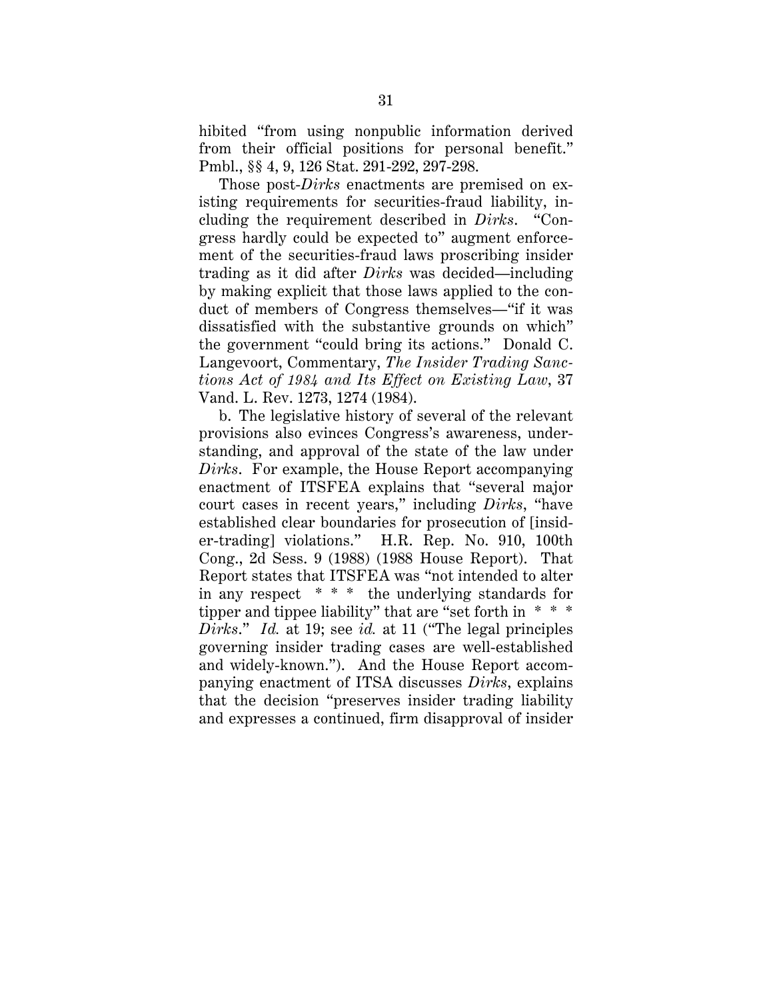hibited "from using nonpublic information derived from their official positions for personal benefit." Pmbl., §§ 4, 9, 126 Stat. 291-292, 297-298.

Those post-*Dirks* enactments are premised on existing requirements for securities-fraud liability, including the requirement described in *Dirks*. "Congress hardly could be expected to" augment enforcement of the securities-fraud laws proscribing insider trading as it did after *Dirks* was decided—including by making explicit that those laws applied to the conduct of members of Congress themselves—"if it was dissatisfied with the substantive grounds on which" the government "could bring its actions." Donald C. Langevoort, Commentary, *The Insider Trading Sanctions Act of 1984 and Its Effect on Existing Law*, 37 Vand. L. Rev. 1273, 1274 (1984).

b. The legislative history of several of the relevant provisions also evinces Congress's awareness, understanding, and approval of the state of the law under *Dirks*. For example, the House Report accompanying enactment of ITSFEA explains that "several major court cases in recent years," including *Dirks*, "have established clear boundaries for prosecution of [insider-trading] violations." H.R. Rep. No. 910, 100th Cong., 2d Sess. 9 (1988) (1988 House Report). That Report states that ITSFEA was "not intended to alter in any respect \* \* \* the underlying standards for tipper and tippee liability" that are "set forth in \* \* \* *Dirks*." *Id.* at 19; see *id.* at 11 ("The legal principles governing insider trading cases are well-established and widely-known."). And the House Report accompanying enactment of ITSA discusses *Dirks*, explains that the decision "preserves insider trading liability and expresses a continued, firm disapproval of insider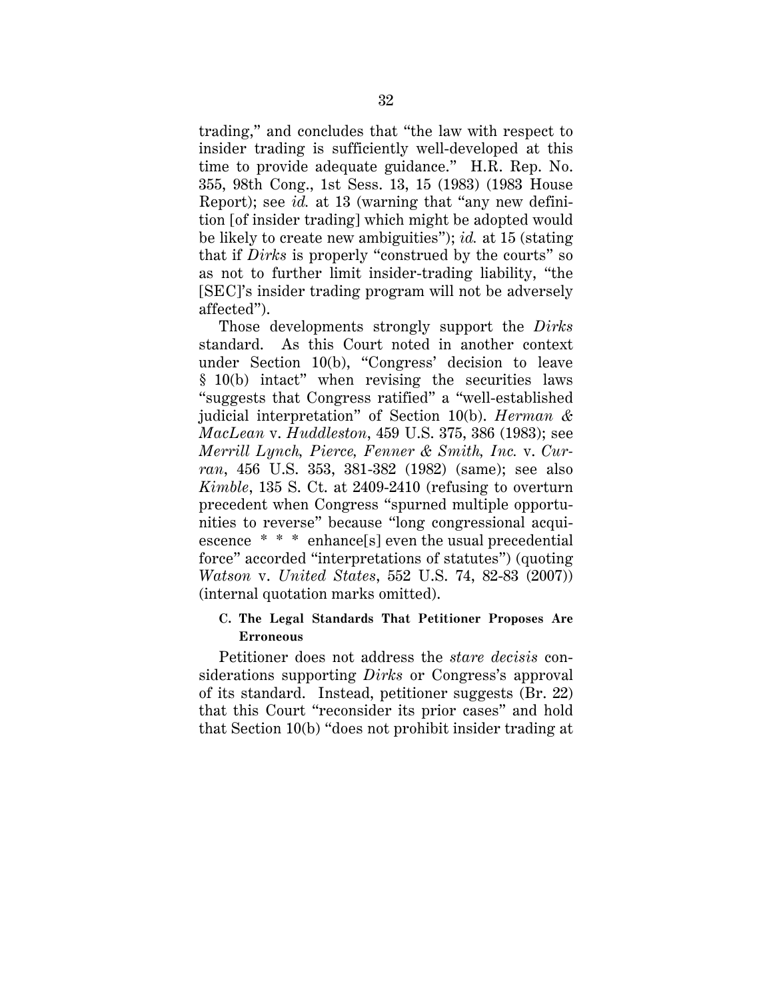trading," and concludes that "the law with respect to insider trading is sufficiently well-developed at this time to provide adequate guidance." H.R. Rep. No. 355, 98th Cong., 1st Sess. 13, 15 (1983) (1983 House Report); see *id.* at 13 (warning that "any new definition [of insider trading] which might be adopted would be likely to create new ambiguities"); *id.* at 15 (stating that if *Dirks* is properly "construed by the courts" so as not to further limit insider-trading liability, "the [SEC]'s insider trading program will not be adversely affected").

Those developments strongly support the *Dirks* standard. As this Court noted in another context under Section 10(b), "Congress' decision to leave § 10(b) intact" when revising the securities laws "suggests that Congress ratified" a "well-established judicial interpretation" of Section 10(b). *Herman & MacLean* v. *Huddleston*, 459 U.S. 375, 386 (1983); see *Merrill Lynch, Pierce, Fenner & Smith, Inc.* v. *Curran*, 456 U.S. 353, 381-382 (1982) (same); see also *Kimble*, 135 S. Ct. at 2409-2410 (refusing to overturn precedent when Congress "spurned multiple opportunities to reverse" because "long congressional acquiescence \* \* \* enhance[s] even the usual precedential force" accorded "interpretations of statutes") (quoting *Watson* v. *United States*, 552 U.S. 74, 82-83 (2007)) (internal quotation marks omitted).

## **C. The Legal Standards That Petitioner Proposes Are Erroneous**

Petitioner does not address the *stare decisis* considerations supporting *Dirks* or Congress's approval of its standard. Instead, petitioner suggests (Br. 22) that this Court "reconsider its prior cases" and hold that Section 10(b) "does not prohibit insider trading at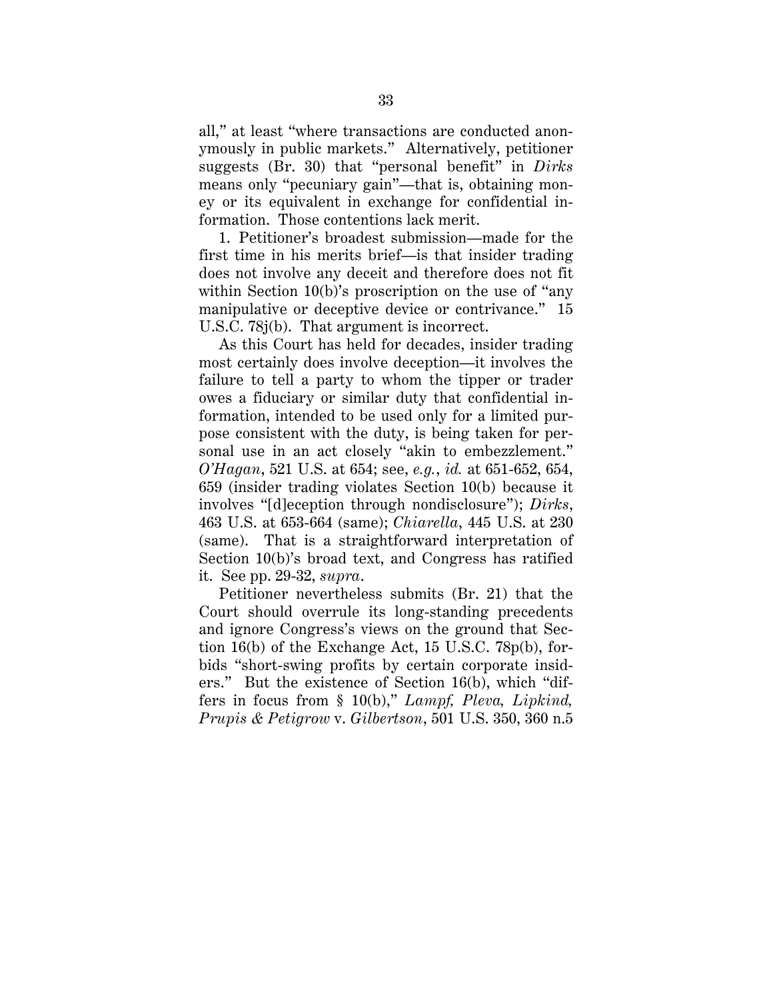all," at least "where transactions are conducted anonymously in public markets." Alternatively, petitioner suggests (Br. 30) that "personal benefit" in *Dirks* means only "pecuniary gain"—that is, obtaining money or its equivalent in exchange for confidential information. Those contentions lack merit.

1. Petitioner's broadest submission—made for the first time in his merits brief—is that insider trading does not involve any deceit and therefore does not fit within Section 10(b)'s proscription on the use of "any manipulative or deceptive device or contrivance." 15 U.S.C. 78j(b). That argument is incorrect.

As this Court has held for decades, insider trading most certainly does involve deception—it involves the failure to tell a party to whom the tipper or trader owes a fiduciary or similar duty that confidential information, intended to be used only for a limited purpose consistent with the duty, is being taken for personal use in an act closely "akin to embezzlement." *O'Hagan*, 521 U.S. at 654; see, *e.g.*, *id.* at 651-652, 654, 659 (insider trading violates Section 10(b) because it involves "[d]eception through nondisclosure"); *Dirks*, 463 U.S. at 653-664 (same); *Chiarella*, 445 U.S. at 230 (same). That is a straightforward interpretation of Section 10(b)'s broad text, and Congress has ratified it. See pp. 29-32, *supra*.

Petitioner nevertheless submits (Br. 21) that the Court should overrule its long-standing precedents and ignore Congress's views on the ground that Section 16(b) of the Exchange Act, 15 U.S.C. 78p(b), forbids "short-swing profits by certain corporate insiders." But the existence of Section 16(b), which "differs in focus from § 10(b)," *Lampf, Pleva, Lipkind, Prupis & Petigrow* v. *Gilbertson*, 501 U.S. 350, 360 n.5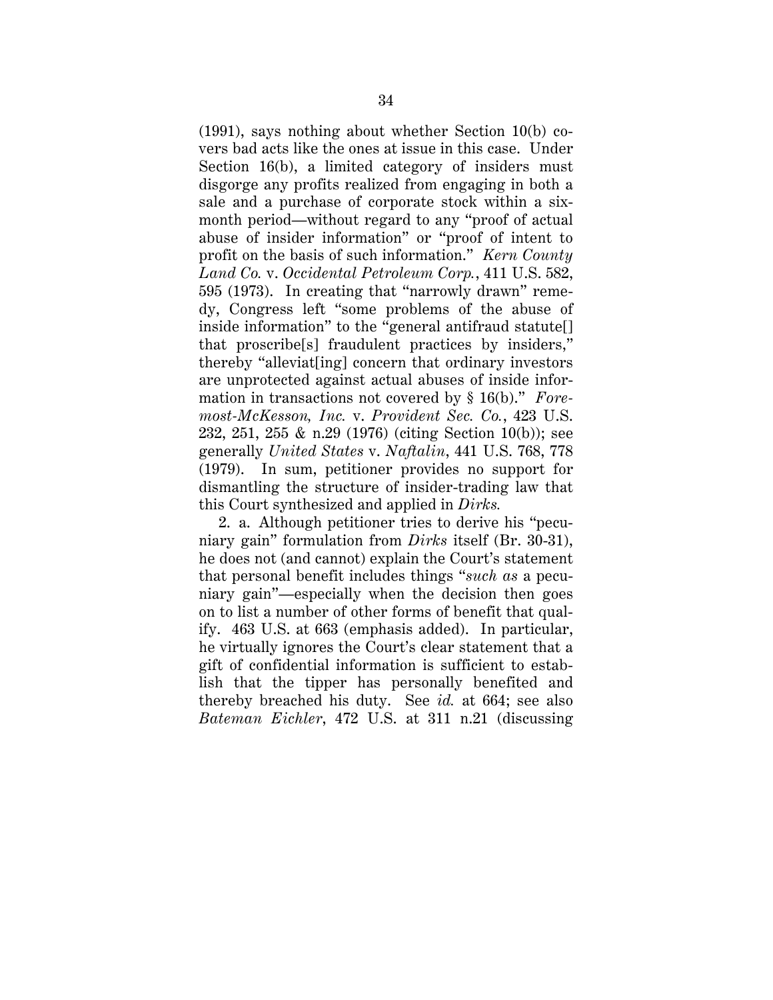(1991), says nothing about whether Section 10(b) covers bad acts like the ones at issue in this case. Under Section 16(b), a limited category of insiders must disgorge any profits realized from engaging in both a sale and a purchase of corporate stock within a sixmonth period—without regard to any "proof of actual abuse of insider information" or "proof of intent to profit on the basis of such information." *Kern County Land Co.* v. *Occidental Petroleum Corp.*, 411 U.S. 582, 595 (1973). In creating that "narrowly drawn" remedy, Congress left "some problems of the abuse of inside information" to the "general antifraud statute[] that proscribe[s] fraudulent practices by insiders," thereby "alleviat[ing] concern that ordinary investors are unprotected against actual abuses of inside information in transactions not covered by § 16(b)." *Foremost-McKesson, Inc.* v. *Provident Sec. Co.*, 423 U.S. 232, 251, 255 & n.29 (1976) (citing Section 10(b)); see generally *United States* v. *Naftalin*, 441 U.S. 768, 778 (1979). In sum, petitioner provides no support for dismantling the structure of insider-trading law that this Court synthesized and applied in *Dirks.*

2. a. Although petitioner tries to derive his "pecuniary gain" formulation from *Dirks* itself (Br. 30-31), he does not (and cannot) explain the Court's statement that personal benefit includes things "*such as* a pecuniary gain"—especially when the decision then goes on to list a number of other forms of benefit that qualify. 463 U.S. at 663 (emphasis added). In particular, he virtually ignores the Court's clear statement that a gift of confidential information is sufficient to establish that the tipper has personally benefited and thereby breached his duty. See *id.* at 664; see also *Bateman Eichler*, 472 U.S. at 311 n.21 (discussing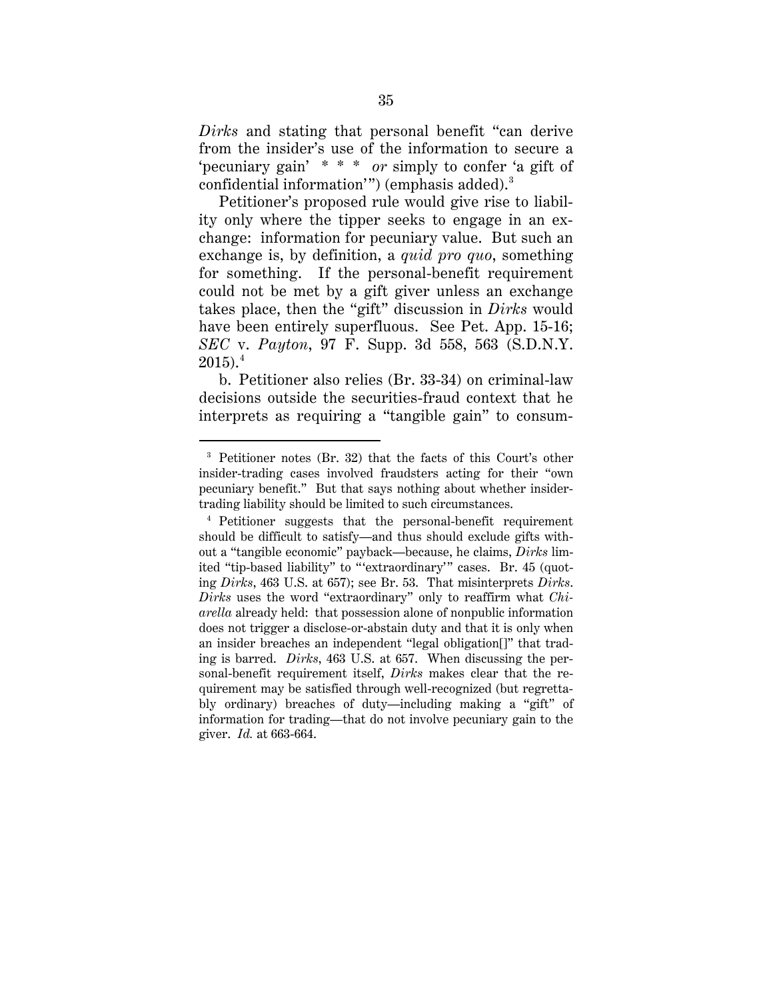*Dirks* and stating that personal benefit "can derive from the insider's use of the information to secure a 'pecuniary gain' \* \* \* *or* simply to confer 'a gift of confidential information'") (emphasis added).<sup>3</sup>

Petitioner's proposed rule would give rise to liability only where the tipper seeks to engage in an exchange: information for pecuniary value. But such an exchange is, by definition, a *quid pro quo*, something for something. If the personal-benefit requirement could not be met by a gift giver unless an exchange takes place, then the "gift" discussion in *Dirks* would have been entirely superfluous. See Pet. App. 15-16; *SEC* v. *Payton*, 97 F. Supp. 3d 558, 563 (S.D.N.Y.  $2015$ ). $^4$ 

b. Petitioner also relies (Br. 33-34) on criminal-law decisions outside the securities-fraud context that he interprets as requiring a "tangible gain" to consum-

 <sup>3</sup> Petitioner notes (Br. 32) that the facts of this Court's other insider-trading cases involved fraudsters acting for their "own pecuniary benefit." But that says nothing about whether insidertrading liability should be limited to such circumstances.

<sup>4</sup> Petitioner suggests that the personal-benefit requirement should be difficult to satisfy—and thus should exclude gifts without a "tangible economic" payback—because, he claims, *Dirks* limited "tip-based liability" to "'extraordinary'" cases. Br. 45 (quoting *Dirks*, 463 U.S. at 657); see Br. 53.That misinterprets *Dirks*. *Dirks* uses the word "extraordinary" only to reaffirm what *Chiarella* already held: that possession alone of nonpublic information does not trigger a disclose-or-abstain duty and that it is only when an insider breaches an independent "legal obligation[]" that trading is barred. *Dirks*, 463 U.S. at 657. When discussing the personal-benefit requirement itself, *Dirks* makes clear that the requirement may be satisfied through well-recognized (but regrettably ordinary) breaches of duty—including making a "gift" of information for trading—that do not involve pecuniary gain to the giver. *Id.* at 663-664.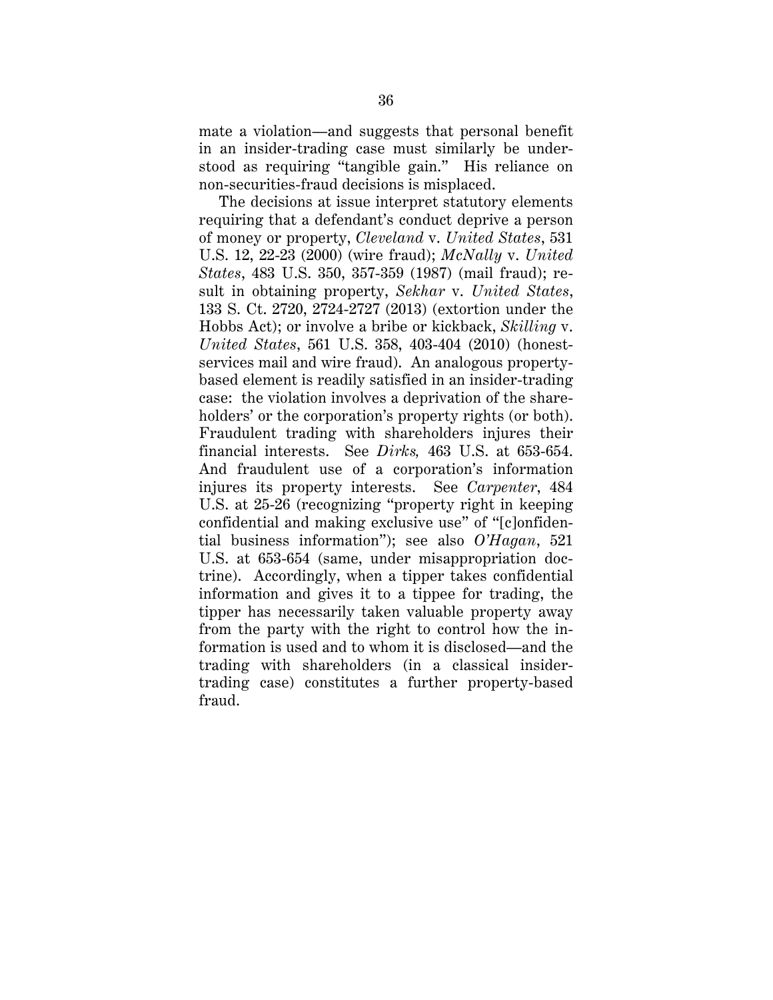mate a violation—and suggests that personal benefit in an insider-trading case must similarly be understood as requiring "tangible gain." His reliance on non-securities-fraud decisions is misplaced.

The decisions at issue interpret statutory elements requiring that a defendant's conduct deprive a person of money or property, *Cleveland* v. *United States*, 531 U.S. 12, 22-23 (2000) (wire fraud); *McNally* v. *United States*, 483 U.S. 350, 357-359 (1987) (mail fraud); result in obtaining property, *Sekhar* v. *United States*, 133 S. Ct. 2720, 2724-2727 (2013) (extortion under the Hobbs Act); or involve a bribe or kickback, *Skilling* v. *United States*, 561 U.S. 358, 403-404 (2010) (honestservices mail and wire fraud). An analogous propertybased element is readily satisfied in an insider-trading case: the violation involves a deprivation of the shareholders' or the corporation's property rights (or both). Fraudulent trading with shareholders injures their financial interests. See *Dirks,* 463 U.S. at 653-654. And fraudulent use of a corporation's information injures its property interests. See *Carpenter*, 484 U.S. at 25-26 (recognizing "property right in keeping confidential and making exclusive use" of "[c]onfidential business information"); see also *O'Hagan*, 521 U.S. at 653-654 (same, under misappropriation doctrine). Accordingly, when a tipper takes confidential information and gives it to a tippee for trading, the tipper has necessarily taken valuable property away from the party with the right to control how the information is used and to whom it is disclosed—and the trading with shareholders (in a classical insidertrading case) constitutes a further property-based fraud.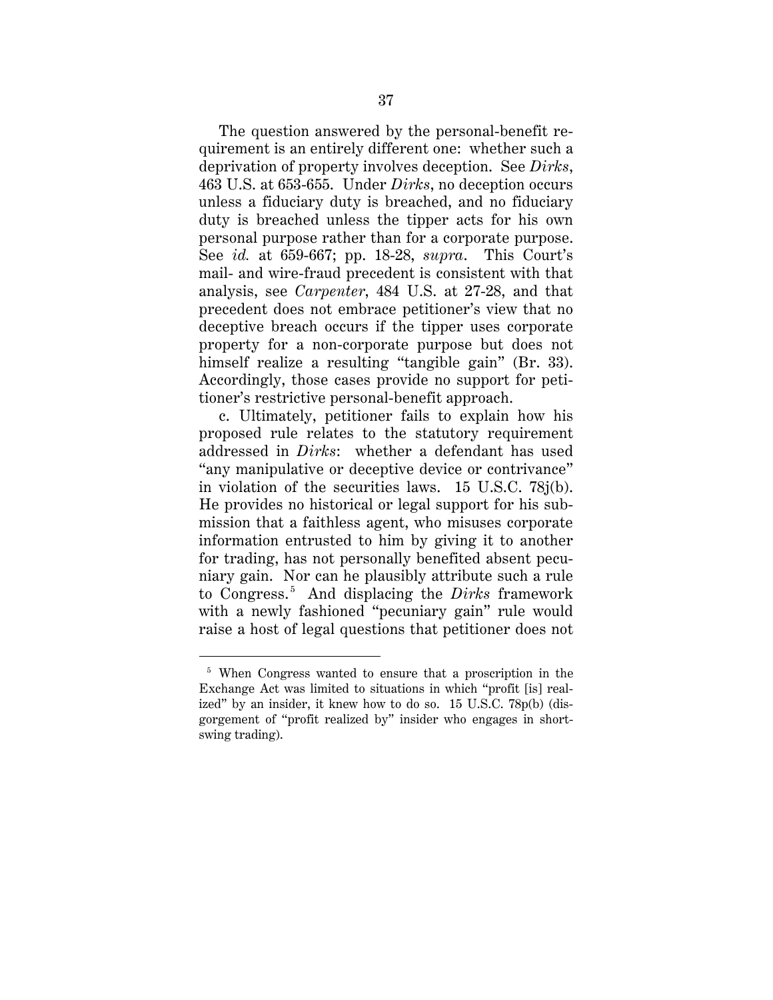The question answered by the personal-benefit requirement is an entirely different one: whether such a deprivation of property involves deception. See *Dirks*, 463 U.S. at 653-655. Under *Dirks*, no deception occurs unless a fiduciary duty is breached, and no fiduciary duty is breached unless the tipper acts for his own personal purpose rather than for a corporate purpose. See *id.* at 659-667; pp. 18-28, *supra*. This Court's mail- and wire-fraud precedent is consistent with that analysis, see *Carpenter*, 484 U.S. at 27-28, and that precedent does not embrace petitioner's view that no deceptive breach occurs if the tipper uses corporate property for a non-corporate purpose but does not himself realize a resulting "tangible gain" (Br. 33). Accordingly, those cases provide no support for petitioner's restrictive personal-benefit approach.

c. Ultimately, petitioner fails to explain how his proposed rule relates to the statutory requirement addressed in *Dirks*: whether a defendant has used "any manipulative or deceptive device or contrivance" in violation of the securities laws. 15 U.S.C. 78j(b). He provides no historical or legal support for his submission that a faithless agent, who misuses corporate information entrusted to him by giving it to another for trading, has not personally benefited absent pecuniary gain. Nor can he plausibly attribute such a rule to Congress. <sup>5</sup> And displacing the *Dirks* framework with a newly fashioned "pecuniary gain" rule would raise a host of legal questions that petitioner does not

 <sup>5</sup> When Congress wanted to ensure that a proscription in the Exchange Act was limited to situations in which "profit [is] realized" by an insider, it knew how to do so. 15 U.S.C. 78p(b) (disgorgement of "profit realized by" insider who engages in shortswing trading).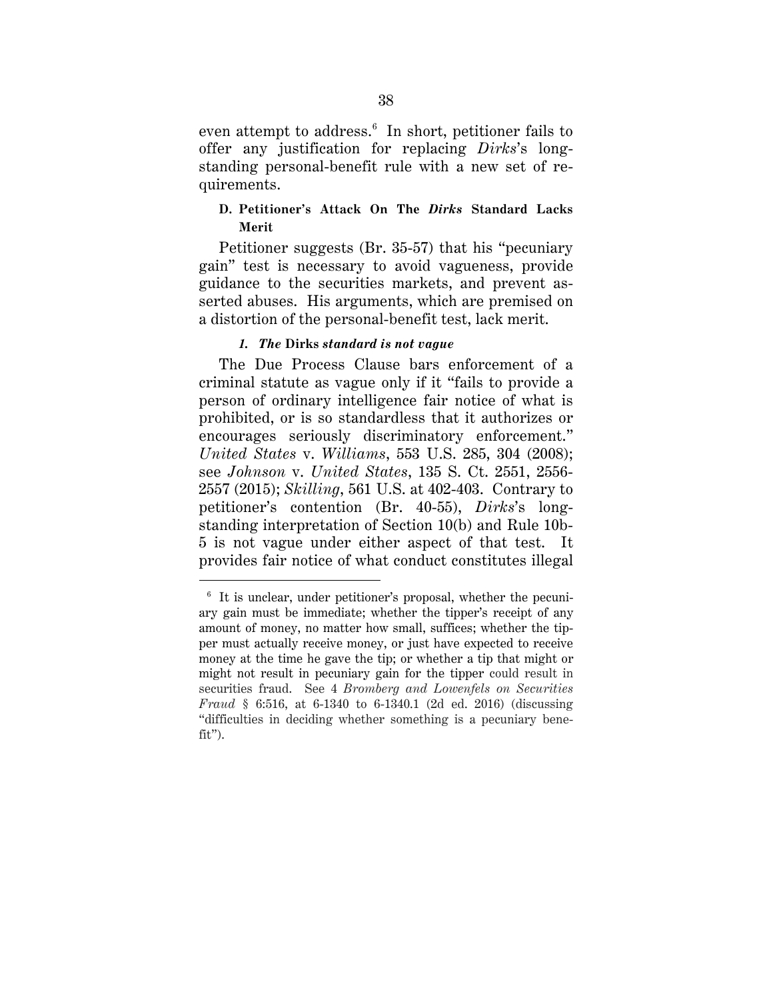even attempt to address.<sup>6</sup> In short, petitioner fails to offer any justification for replacing *Dirks*'s longstanding personal-benefit rule with a new set of requirements.

## **D. Petitioner's Attack On The** *Dirks* **Standard Lacks Merit**

Petitioner suggests (Br. 35-57) that his "pecuniary gain" test is necessary to avoid vagueness, provide guidance to the securities markets, and prevent asserted abuses. His arguments, which are premised on a distortion of the personal-benefit test, lack merit.

### *1. The* **Dirks** *standard is not vague*

The Due Process Clause bars enforcement of a criminal statute as vague only if it "fails to provide a person of ordinary intelligence fair notice of what is prohibited, or is so standardless that it authorizes or encourages seriously discriminatory enforcement." *United States* v. *Williams*, 553 U.S. 285, 304 (2008); see *Johnson* v. *United States*, 135 S. Ct. 2551, 2556- 2557 (2015); *Skilling*, 561 U.S. at 402-403. Contrary to petitioner's contention (Br. 40-55), *Dirks*'s longstanding interpretation of Section 10(b) and Rule 10b-5 is not vague under either aspect of that test. It provides fair notice of what conduct constitutes illegal

 $6$  It is unclear, under petitioner's proposal, whether the pecuniary gain must be immediate; whether the tipper's receipt of any amount of money, no matter how small, suffices; whether the tipper must actually receive money, or just have expected to receive money at the time he gave the tip; or whether a tip that might or might not result in pecuniary gain for the tipper could result in securities fraud. See 4 *Bromberg and Lowenfels on Securities Fraud* § 6:516, at 6-1340 to 6-1340.1 (2d ed. 2016) (discussing "difficulties in deciding whether something is a pecuniary benefit").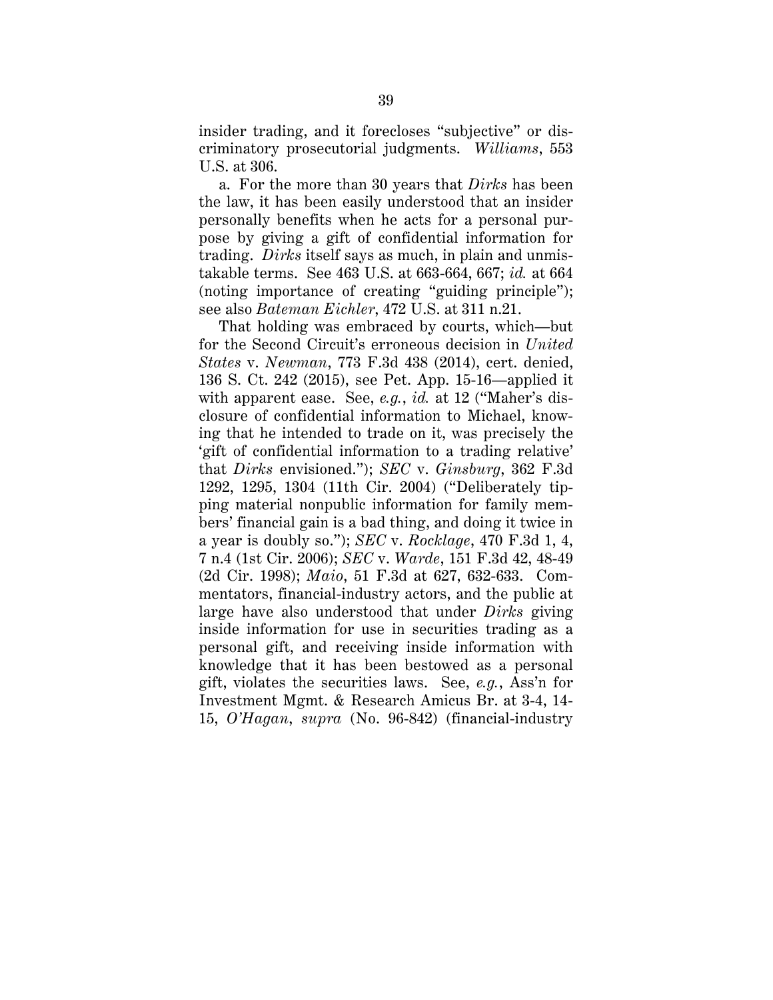insider trading, and it forecloses "subjective" or discriminatory prosecutorial judgments. *Williams*, 553 U.S. at 306.

a. For the more than 30 years that *Dirks* has been the law, it has been easily understood that an insider personally benefits when he acts for a personal purpose by giving a gift of confidential information for trading. *Dirks* itself says as much, in plain and unmistakable terms. See 463 U.S. at 663-664, 667; *id.* at 664 (noting importance of creating "guiding principle"); see also *Bateman Eichler*, 472 U.S. at 311 n.21.

That holding was embraced by courts, which—but for the Second Circuit's erroneous decision in *United States* v. *Newman*, 773 F.3d 438 (2014), cert. denied, 136 S. Ct. 242 (2015), see Pet. App. 15-16—applied it with apparent ease. See, *e.g.*, *id.* at 12 ("Maher's disclosure of confidential information to Michael, knowing that he intended to trade on it, was precisely the 'gift of confidential information to a trading relative' that *Dirks* envisioned."); *SEC* v. *Ginsburg*, 362 F.3d 1292, 1295, 1304 (11th Cir. 2004) ("Deliberately tipping material nonpublic information for family members' financial gain is a bad thing, and doing it twice in a year is doubly so."); *SEC* v. *Rocklage*, 470 F.3d 1, 4, 7 n.4 (1st Cir. 2006); *SEC* v. *Warde*, 151 F.3d 42, 48-49 (2d Cir. 1998); *Maio*, 51 F.3d at 627, 632-633. Commentators, financial-industry actors, and the public at large have also understood that under *Dirks* giving inside information for use in securities trading as a personal gift, and receiving inside information with knowledge that it has been bestowed as a personal gift, violates the securities laws. See, *e.g.*, Ass'n for Investment Mgmt. & Research Amicus Br. at 3-4, 14- 15, *O'Hagan*, *supra* (No. 96-842) (financial-industry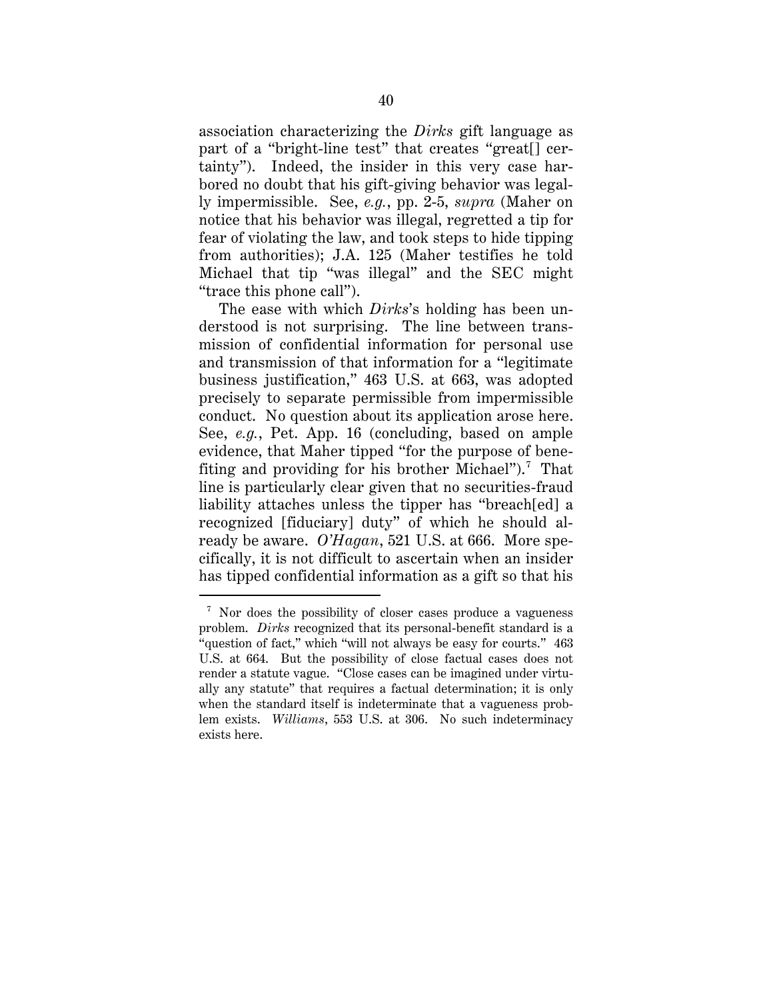association characterizing the *Dirks* gift language as part of a "bright-line test" that creates "great[] certainty"). Indeed, the insider in this very case harbored no doubt that his gift-giving behavior was legally impermissible. See, *e.g.*, pp. 2-5, *supra* (Maher on notice that his behavior was illegal, regretted a tip for fear of violating the law, and took steps to hide tipping from authorities); J.A. 125 (Maher testifies he told Michael that tip "was illegal" and the SEC might "trace this phone call").

The ease with which *Dirks*'s holding has been understood is not surprising. The line between transmission of confidential information for personal use and transmission of that information for a "legitimate business justification," 463 U.S. at 663, was adopted precisely to separate permissible from impermissible conduct. No question about its application arose here. See, *e.g.*, Pet. App. 16 (concluding, based on ample evidence, that Maher tipped "for the purpose of benefiting and providing for his brother Michael").<sup>7</sup> That line is particularly clear given that no securities-fraud liability attaches unless the tipper has "breach[ed] a recognized [fiduciary] duty" of which he should already be aware. *O'Hagan*, 521 U.S. at 666. More specifically, it is not difficult to ascertain when an insider has tipped confidential information as a gift so that his

<sup>&</sup>lt;sup>7</sup> Nor does the possibility of closer cases produce a vagueness problem. *Dirks* recognized that its personal-benefit standard is a "question of fact," which "will not always be easy for courts." 463 U.S. at 664. But the possibility of close factual cases does not render a statute vague. "Close cases can be imagined under virtually any statute" that requires a factual determination; it is only when the standard itself is indeterminate that a vagueness problem exists. *Williams*, 553 U.S. at 306. No such indeterminacy exists here.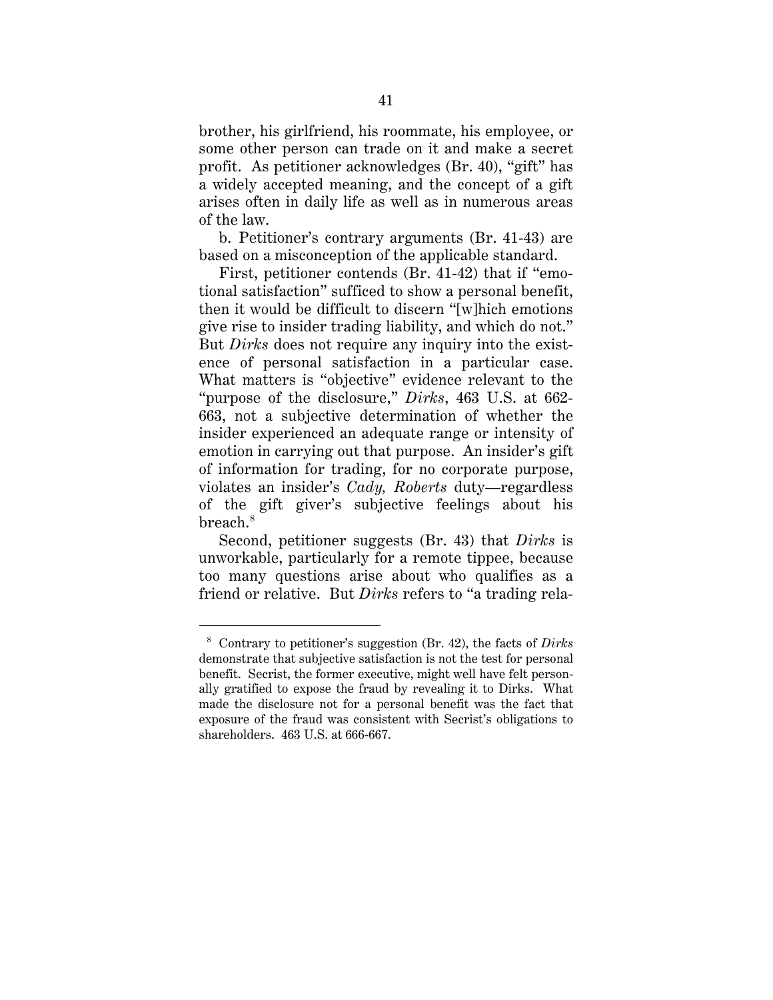brother, his girlfriend, his roommate, his employee, or some other person can trade on it and make a secret profit. As petitioner acknowledges (Br. 40), "gift" has a widely accepted meaning, and the concept of a gift arises often in daily life as well as in numerous areas of the law.

b. Petitioner's contrary arguments (Br. 41-43) are based on a misconception of the applicable standard.

First, petitioner contends (Br. 41-42) that if "emotional satisfaction" sufficed to show a personal benefit, then it would be difficult to discern "[w]hich emotions give rise to insider trading liability, and which do not." But *Dirks* does not require any inquiry into the existence of personal satisfaction in a particular case. What matters is "objective" evidence relevant to the "purpose of the disclosure," *Dirks*, 463 U.S. at 662- 663, not a subjective determination of whether the insider experienced an adequate range or intensity of emotion in carrying out that purpose. An insider's gift of information for trading, for no corporate purpose, violates an insider's *Cady, Roberts* duty—regardless of the gift giver's subjective feelings about his  $break.$  $^8$ 

Second, petitioner suggests (Br. 43) that *Dirks* is unworkable, particularly for a remote tippee, because too many questions arise about who qualifies as a friend or relative. But *Dirks* refers to "a trading rela-

 <sup>8</sup> Contrary to petitioner's suggestion (Br. 42), the facts of *Dirks* demonstrate that subjective satisfaction is not the test for personal benefit. Secrist, the former executive, might well have felt personally gratified to expose the fraud by revealing it to Dirks. What made the disclosure not for a personal benefit was the fact that exposure of the fraud was consistent with Secrist's obligations to shareholders. 463 U.S. at 666-667.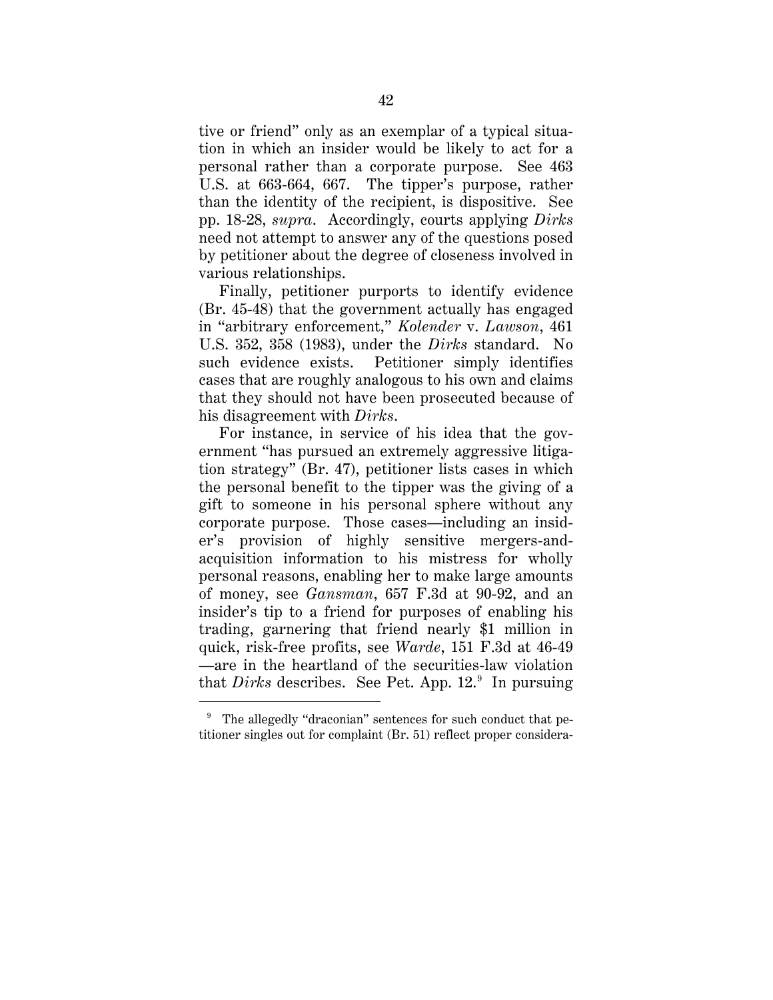tive or friend" only as an exemplar of a typical situation in which an insider would be likely to act for a personal rather than a corporate purpose. See 463 U.S. at 663-664, 667. The tipper's purpose, rather than the identity of the recipient, is dispositive. See pp. 18-28, *supra*. Accordingly, courts applying *Dirks* need not attempt to answer any of the questions posed by petitioner about the degree of closeness involved in various relationships.

Finally, petitioner purports to identify evidence (Br. 45-48) that the government actually has engaged in "arbitrary enforcement," *Kolender* v. *Lawson*, 461 U.S. 352, 358 (1983), under the *Dirks* standard. No such evidence exists. Petitioner simply identifies cases that are roughly analogous to his own and claims that they should not have been prosecuted because of his disagreement with *Dirks*.

For instance, in service of his idea that the government "has pursued an extremely aggressive litigation strategy" (Br. 47), petitioner lists cases in which the personal benefit to the tipper was the giving of a gift to someone in his personal sphere without any corporate purpose. Those cases—including an insider's provision of highly sensitive mergers-andacquisition information to his mistress for wholly personal reasons, enabling her to make large amounts of money, see *Gansman*, 657 F.3d at 90-92, and an insider's tip to a friend for purposes of enabling his trading, garnering that friend nearly \$1 million in quick, risk-free profits, see *Warde*, 151 F.3d at 46-49 —are in the heartland of the securities-law violation that  $Dirks$  describes. See Pet. App.  $12<sup>9</sup>$  In pursuing

<sup>&</sup>lt;sup>9</sup> The allegedly "draconian" sentences for such conduct that petitioner singles out for complaint (Br. 51) reflect proper considera-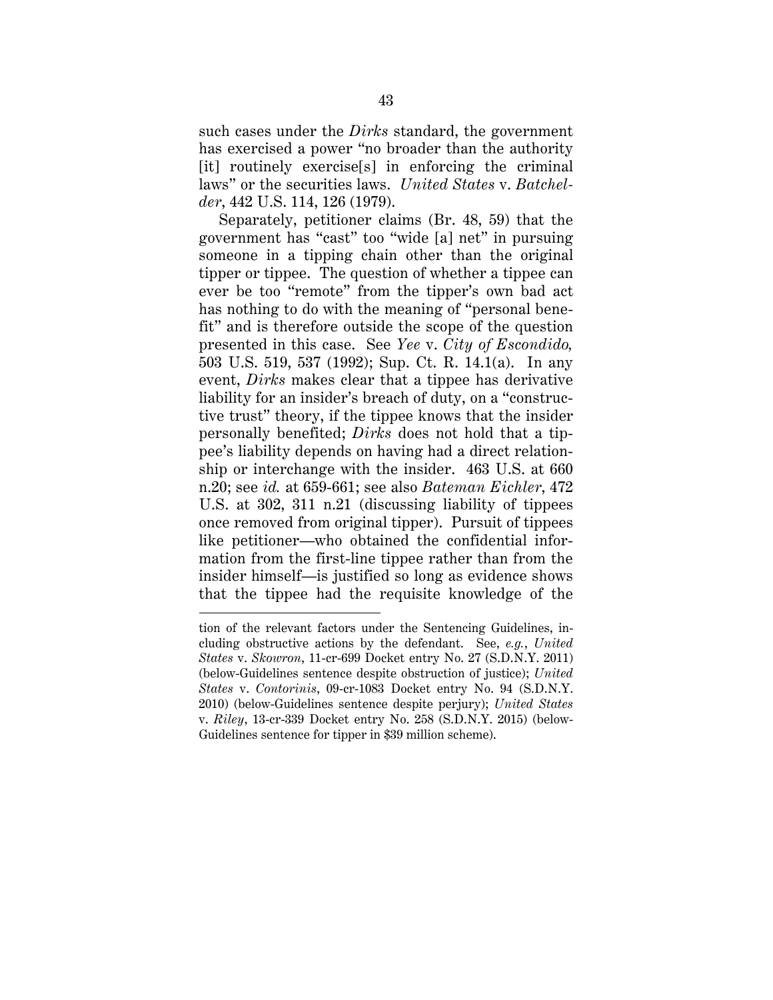such cases under the *Dirks* standard, the government has exercised a power "no broader than the authority [it] routinely exercise[s] in enforcing the criminal laws" or the securities laws. *United States* v. *Batchelder*, 442 U.S. 114, 126 (1979).

Separately, petitioner claims (Br. 48, 59) that the government has "cast" too "wide [a] net" in pursuing someone in a tipping chain other than the original tipper or tippee. The question of whether a tippee can ever be too "remote" from the tipper's own bad act has nothing to do with the meaning of "personal benefit" and is therefore outside the scope of the question presented in this case. See *Yee* v. *City of Escondido,* 503 U.S. 519, 537 (1992); Sup. Ct. R. 14.1(a). In any event, *Dirks* makes clear that a tippee has derivative liability for an insider's breach of duty, on a "constructive trust" theory, if the tippee knows that the insider personally benefited; *Dirks* does not hold that a tippee's liability depends on having had a direct relationship or interchange with the insider. 463 U.S. at 660 n.20; see *id.* at 659-661; see also *Bateman Eichler*, 472 U.S. at 302, 311 n.21 (discussing liability of tippees once removed from original tipper). Pursuit of tippees like petitioner—who obtained the confidential information from the first-line tippee rather than from the insider himself—is justified so long as evidence shows that the tippee had the requisite knowledge of the

 $\ddot{\phantom{a}}$ 

tion of the relevant factors under the Sentencing Guidelines, including obstructive actions by the defendant. See, *e.g.*, *United States* v. *Skowron*, 11-cr-699 Docket entry No. 27 (S.D.N.Y. 2011) (below-Guidelines sentence despite obstruction of justice); *United States* v. *Contorinis*, 09-cr-1083 Docket entry No. 94 (S.D.N.Y. 2010) (below-Guidelines sentence despite perjury); *United States*  v. *Riley*, 13-cr-339 Docket entry No. 258 (S.D.N.Y. 2015) (below-Guidelines sentence for tipper in \$39 million scheme).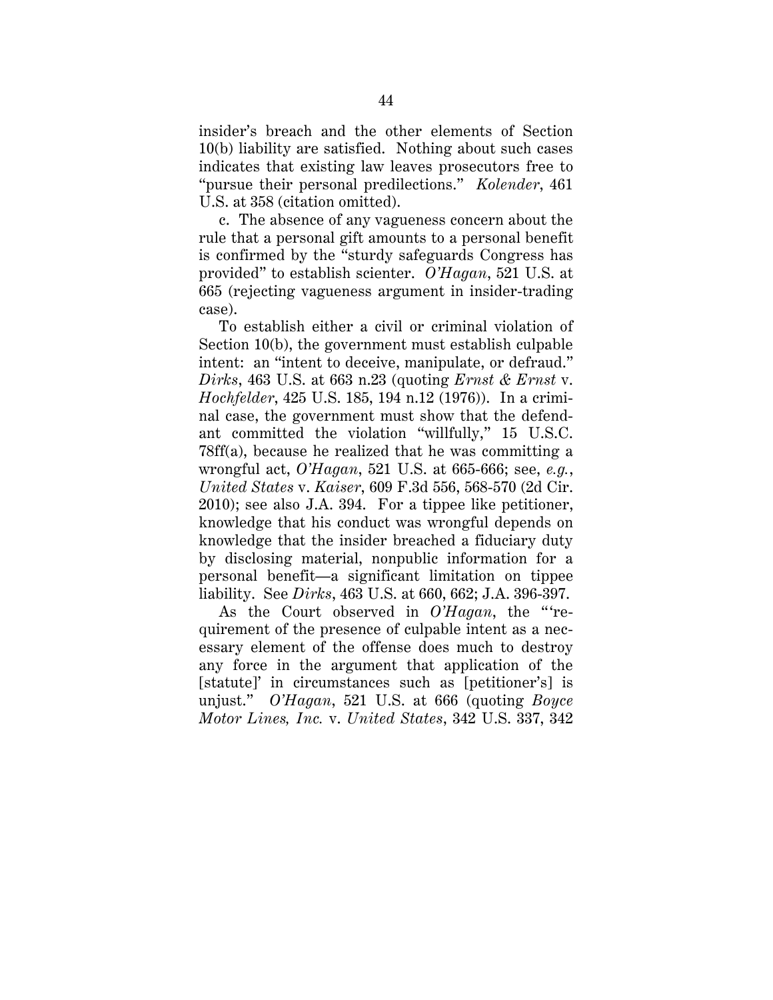insider's breach and the other elements of Section 10(b) liability are satisfied. Nothing about such cases indicates that existing law leaves prosecutors free to "pursue their personal predilections." *Kolender*, 461 U.S. at 358 (citation omitted).

c. The absence of any vagueness concern about the rule that a personal gift amounts to a personal benefit is confirmed by the "sturdy safeguards Congress has provided" to establish scienter. *O'Hagan*, 521 U.S. at 665 (rejecting vagueness argument in insider-trading case).

To establish either a civil or criminal violation of Section 10(b), the government must establish culpable intent: an "intent to deceive, manipulate, or defraud." *Dirks*, 463 U.S. at 663 n.23 (quoting *Ernst & Ernst* v. *Hochfelder*, 425 U.S. 185, 194 n.12 (1976)). In a criminal case, the government must show that the defendant committed the violation "willfully," 15 U.S.C. 78ff(a), because he realized that he was committing a wrongful act, *O'Hagan*, 521 U.S. at 665-666; see, *e.g.*, *United States* v. *Kaiser*, 609 F.3d 556, 568-570 (2d Cir. 2010); see also J.A. 394. For a tippee like petitioner, knowledge that his conduct was wrongful depends on knowledge that the insider breached a fiduciary duty by disclosing material, nonpublic information for a personal benefit—a significant limitation on tippee liability. See *Dirks*, 463 U.S. at 660, 662; J.A. 396-397.

As the Court observed in *O'Hagan*, the "'requirement of the presence of culpable intent as a necessary element of the offense does much to destroy any force in the argument that application of the [statute]' in circumstances such as [petitioner's] is unjust." *O'Hagan*, 521 U.S. at 666 (quoting *Boyce Motor Lines, Inc.* v. *United States*, 342 U.S. 337, 342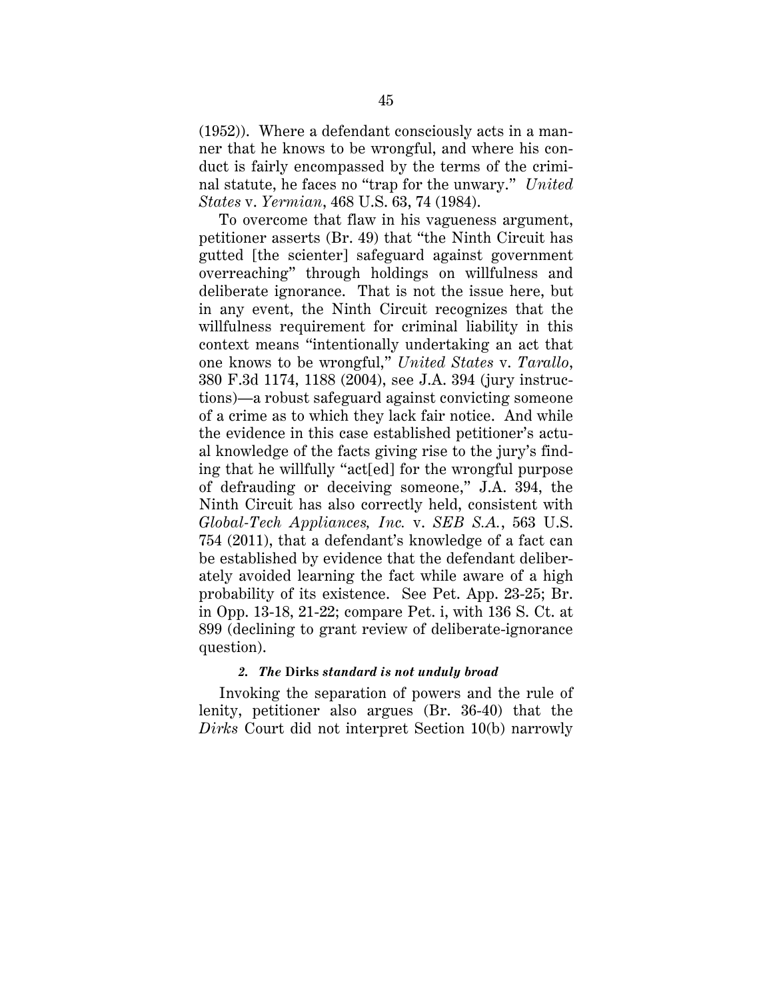(1952)). Where a defendant consciously acts in a manner that he knows to be wrongful, and where his conduct is fairly encompassed by the terms of the criminal statute, he faces no "trap for the unwary." *United States* v. *Yermian*, 468 U.S. 63, 74 (1984).

To overcome that flaw in his vagueness argument, petitioner asserts (Br. 49) that "the Ninth Circuit has gutted [the scienter] safeguard against government overreaching" through holdings on willfulness and deliberate ignorance. That is not the issue here, but in any event, the Ninth Circuit recognizes that the willfulness requirement for criminal liability in this context means "intentionally undertaking an act that one knows to be wrongful," *United States* v. *Tarallo*, 380 F.3d 1174, 1188 (2004), see J.A. 394 (jury instructions)—a robust safeguard against convicting someone of a crime as to which they lack fair notice. And while the evidence in this case established petitioner's actual knowledge of the facts giving rise to the jury's finding that he willfully "act[ed] for the wrongful purpose of defrauding or deceiving someone," J.A. 394, the Ninth Circuit has also correctly held, consistent with *Global-Tech Appliances, Inc.* v. *SEB S.A.*, 563 U.S. 754 (2011), that a defendant's knowledge of a fact can be established by evidence that the defendant deliberately avoided learning the fact while aware of a high probability of its existence. See Pet. App. 23-25; Br. in Opp. 13-18, 21-22; compare Pet. i, with 136 S. Ct. at 899 (declining to grant review of deliberate-ignorance question).

## *2. The* **Dirks** *standard is not unduly broad*

Invoking the separation of powers and the rule of lenity, petitioner also argues (Br. 36-40) that the *Dirks* Court did not interpret Section 10(b) narrowly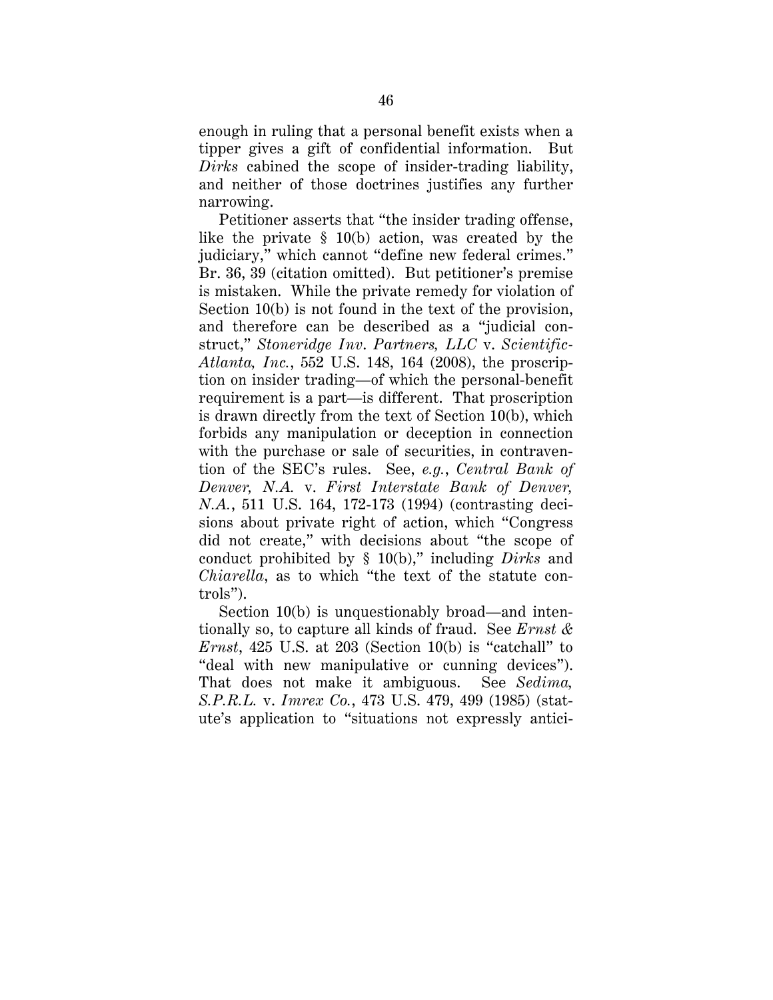enough in ruling that a personal benefit exists when a tipper gives a gift of confidential information. But *Dirks* cabined the scope of insider-trading liability, and neither of those doctrines justifies any further narrowing.

Petitioner asserts that "the insider trading offense, like the private § 10(b) action, was created by the judiciary," which cannot "define new federal crimes." Br. 36, 39 (citation omitted). But petitioner's premise is mistaken. While the private remedy for violation of Section 10(b) is not found in the text of the provision, and therefore can be described as a "judicial construct," *Stoneridge Inv*. *Partners, LLC* v. *Scientific-Atlanta, Inc.*, 552 U.S. 148, 164 (2008), the proscription on insider trading—of which the personal-benefit requirement is a part—is different. That proscription is drawn directly from the text of Section 10(b), which forbids any manipulation or deception in connection with the purchase or sale of securities, in contravention of the SEC's rules. See, *e.g.*, *Central Bank of Denver, N.A.* v. *First Interstate Bank of Denver, N.A.*, 511 U.S. 164, 172-173 (1994) (contrasting decisions about private right of action, which "Congress did not create," with decisions about "the scope of conduct prohibited by § 10(b)," including *Dirks* and *Chiarella*, as to which "the text of the statute controls").

Section 10(b) is unquestionably broad—and intentionally so, to capture all kinds of fraud. See *Ernst & Ernst*, 425 U.S. at 203 (Section 10(b) is "catchall" to "deal with new manipulative or cunning devices"). That does not make it ambiguous. See *Sedima, S.P.R.L.* v. *Imrex Co.*, 473 U.S. 479, 499 (1985) (statute's application to "situations not expressly antici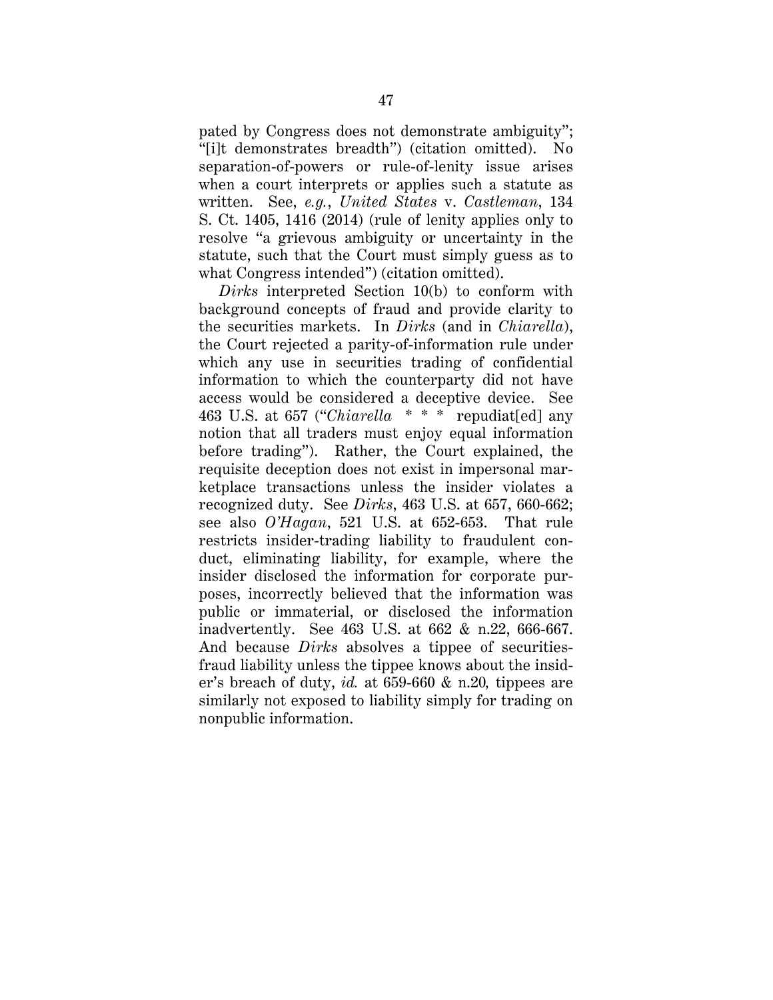pated by Congress does not demonstrate ambiguity"; "[i]t demonstrates breadth") (citation omitted).No separation-of-powers or rule-of-lenity issue arises when a court interprets or applies such a statute as written. See, *e.g.*, *United States* v. *Castleman*, 134 S. Ct. 1405, 1416 (2014) (rule of lenity applies only to resolve "a grievous ambiguity or uncertainty in the statute, such that the Court must simply guess as to what Congress intended") (citation omitted).

*Dirks* interpreted Section 10(b) to conform with background concepts of fraud and provide clarity to the securities markets. In *Dirks* (and in *Chiarella*), the Court rejected a parity-of-information rule under which any use in securities trading of confidential information to which the counterparty did not have access would be considered a deceptive device. See 463 U.S. at 657 ("*Chiarella* \* \* \* repudiat[ed] any notion that all traders must enjoy equal information before trading"). Rather, the Court explained, the requisite deception does not exist in impersonal marketplace transactions unless the insider violates a recognized duty. See *Dirks*, 463 U.S. at 657, 660-662; see also *O'Hagan*, 521 U.S. at 652-653. That rule restricts insider-trading liability to fraudulent conduct, eliminating liability, for example, where the insider disclosed the information for corporate purposes, incorrectly believed that the information was public or immaterial, or disclosed the information inadvertently. See 463 U.S. at 662 & n.22, 666-667. And because *Dirks* absolves a tippee of securitiesfraud liability unless the tippee knows about the insider's breach of duty, *id.* at 659-660 & n.20*,* tippees are similarly not exposed to liability simply for trading on nonpublic information.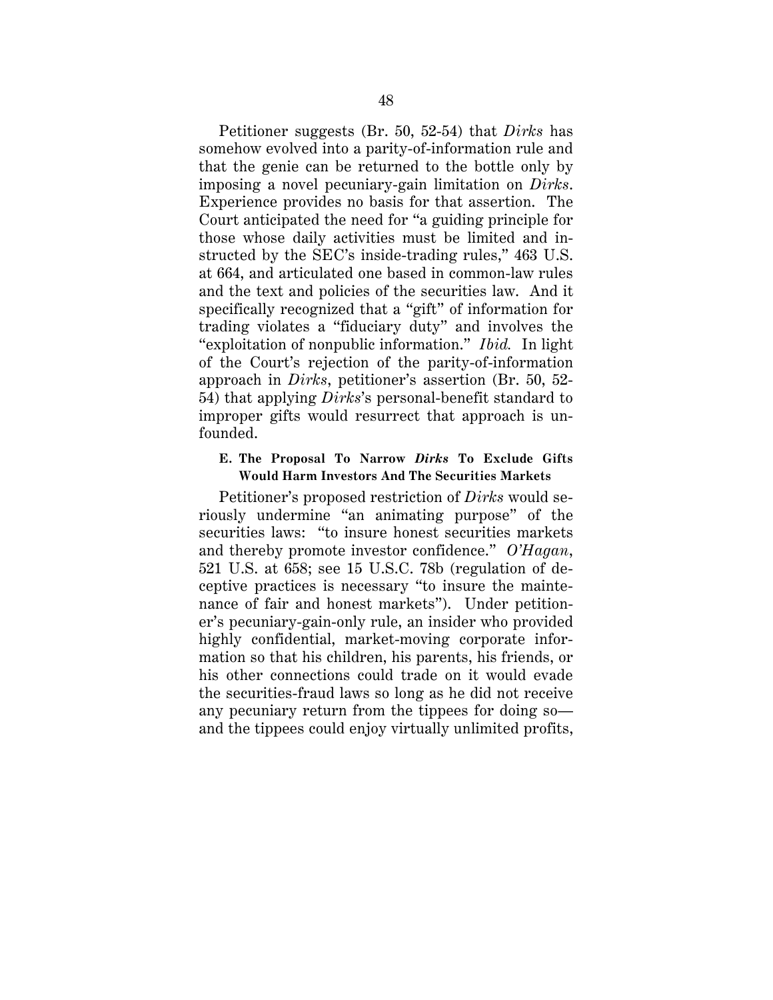Petitioner suggests (Br. 50, 52-54) that *Dirks* has somehow evolved into a parity-of-information rule and that the genie can be returned to the bottle only by imposing a novel pecuniary-gain limitation on *Dirks*. Experience provides no basis for that assertion. The Court anticipated the need for "a guiding principle for those whose daily activities must be limited and instructed by the SEC's inside-trading rules," 463 U.S. at 664, and articulated one based in common-law rules and the text and policies of the securities law. And it specifically recognized that a "gift" of information for trading violates a "fiduciary duty" and involves the "exploitation of nonpublic information." *Ibid.* In light of the Court's rejection of the parity-of-information approach in *Dirks*, petitioner's assertion (Br. 50, 52- 54) that applying *Dirks*'s personal-benefit standard to improper gifts would resurrect that approach is unfounded.

### **E. The Proposal To Narrow** *Dirks* **To Exclude Gifts Would Harm Investors And The Securities Markets**

Petitioner's proposed restriction of *Dirks* would seriously undermine "an animating purpose" of the securities laws: "to insure honest securities markets and thereby promote investor confidence." *O'Hagan*, 521 U.S. at 658; see 15 U.S.C. 78b (regulation of deceptive practices is necessary "to insure the maintenance of fair and honest markets"). Under petitioner's pecuniary-gain-only rule, an insider who provided highly confidential, market-moving corporate information so that his children, his parents, his friends, or his other connections could trade on it would evade the securities-fraud laws so long as he did not receive any pecuniary return from the tippees for doing so and the tippees could enjoy virtually unlimited profits,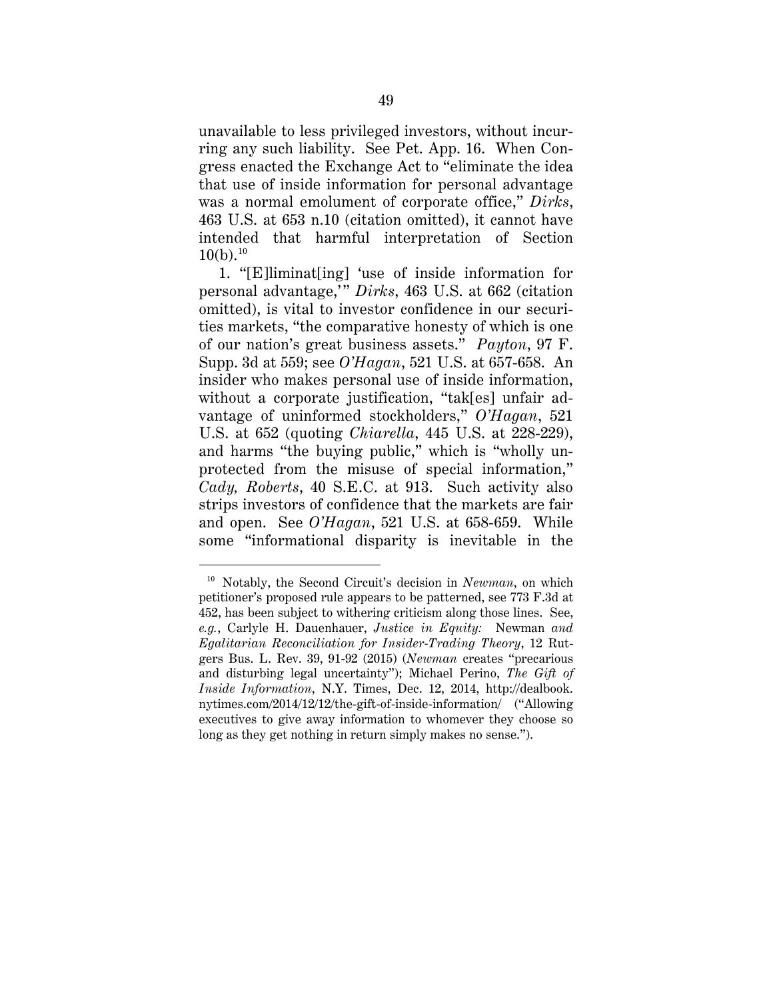unavailable to less privileged investors, without incurring any such liability. See Pet. App. 16. When Congress enacted the Exchange Act to "eliminate the idea that use of inside information for personal advantage was a normal emolument of corporate office," *Dirks*, 463 U.S. at 653 n.10 (citation omitted), it cannot have intended that harmful interpretation of Section  $10(b)$ .<sup>10</sup>

1. "[E]liminat[ing] 'use of inside information for personal advantage," *Dirks*, 463 U.S. at 662 (citation omitted), is vital to investor confidence in our securities markets, "the comparative honesty of which is one of our nation's great business assets." *Payton*, 97 F. Supp. 3d at 559; see *O'Hagan*, 521 U.S. at 657-658. An insider who makes personal use of inside information, without a corporate justification, "tak[es] unfair advantage of uninformed stockholders," *O'Hagan*, 521 U.S. at 652 (quoting *Chiarella*, 445 U.S. at 228-229), and harms "the buying public," which is "wholly unprotected from the misuse of special information," *Cady, Roberts*, 40 S.E.C. at 913. Such activity also strips investors of confidence that the markets are fair and open. See *O'Hagan*, 521 U.S. at 658-659. While some "informational disparity is inevitable in the

 <sup>10</sup> Notably, the Second Circuit's decision in *Newman*, on which petitioner's proposed rule appears to be patterned, see 773 F.3d at 452, has been subject to withering criticism along those lines. See, *e.g.*, Carlyle H. Dauenhauer, *Justice in Equity:* Newman *and Egalitarian Reconciliation for Insider-Trading Theory*, 12 Rutgers Bus. L. Rev. 39, 91-92 (2015) (*Newman* creates "precarious and disturbing legal uncertainty"); Michael Perino, *The Gift of Inside Information*, N.Y. Times, Dec. 12, 2014, http://dealbook. nytimes.com/2014/12/12/the-gift-of-inside-information/ ("Allowing executives to give away information to whomever they choose so long as they get nothing in return simply makes no sense.").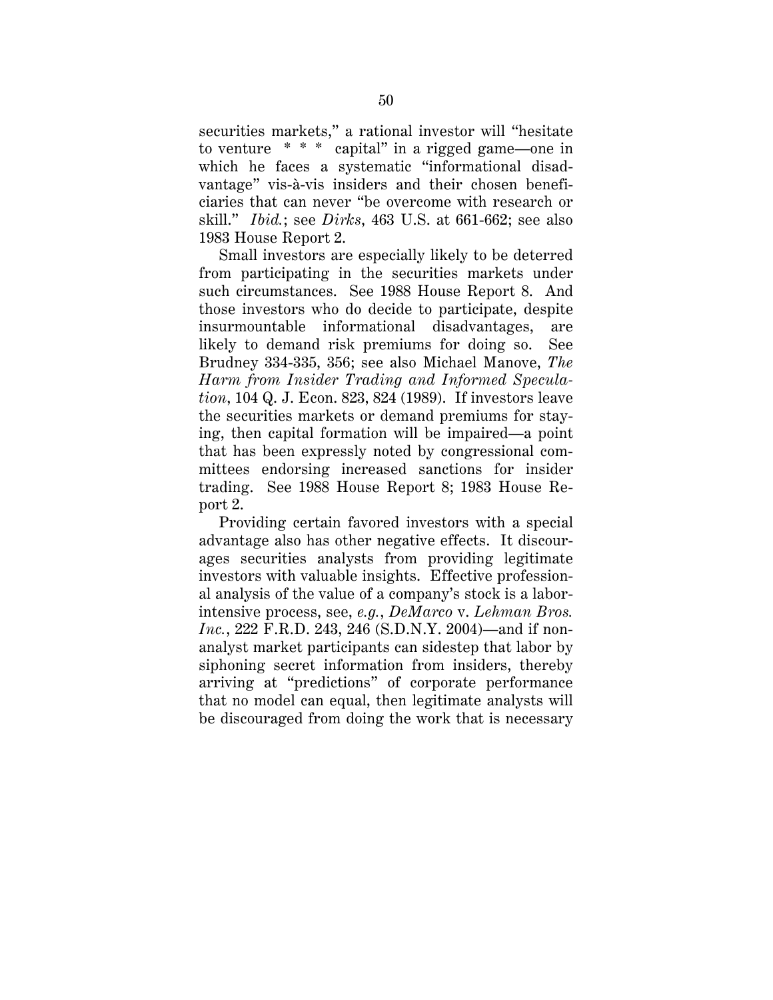securities markets," a rational investor will "hesitate to venture \* \* \* capital" in a rigged game—one in which he faces a systematic "informational disadvantage" vis-à-vis insiders and their chosen beneficiaries that can never "be overcome with research or skill." *Ibid.*; see *Dirks*, 463 U.S. at 661-662; see also 1983 House Report 2.

Small investors are especially likely to be deterred from participating in the securities markets under such circumstances. See 1988 House Report 8. And those investors who do decide to participate, despite insurmountable informational disadvantages, are likely to demand risk premiums for doing so. See Brudney 334-335, 356; see also Michael Manove, *The Harm from Insider Trading and Informed Speculation*, 104 Q. J. Econ. 823, 824 (1989). If investors leave the securities markets or demand premiums for staying, then capital formation will be impaired—a point that has been expressly noted by congressional committees endorsing increased sanctions for insider trading. See 1988 House Report 8; 1983 House Report 2.

Providing certain favored investors with a special advantage also has other negative effects. It discourages securities analysts from providing legitimate investors with valuable insights. Effective professional analysis of the value of a company's stock is a laborintensive process, see, *e.g.*, *DeMarco* v. *Lehman Bros. Inc.*, 222 F.R.D. 243, 246 (S.D.N.Y. 2004)—and if nonanalyst market participants can sidestep that labor by siphoning secret information from insiders, thereby arriving at "predictions" of corporate performance that no model can equal, then legitimate analysts will be discouraged from doing the work that is necessary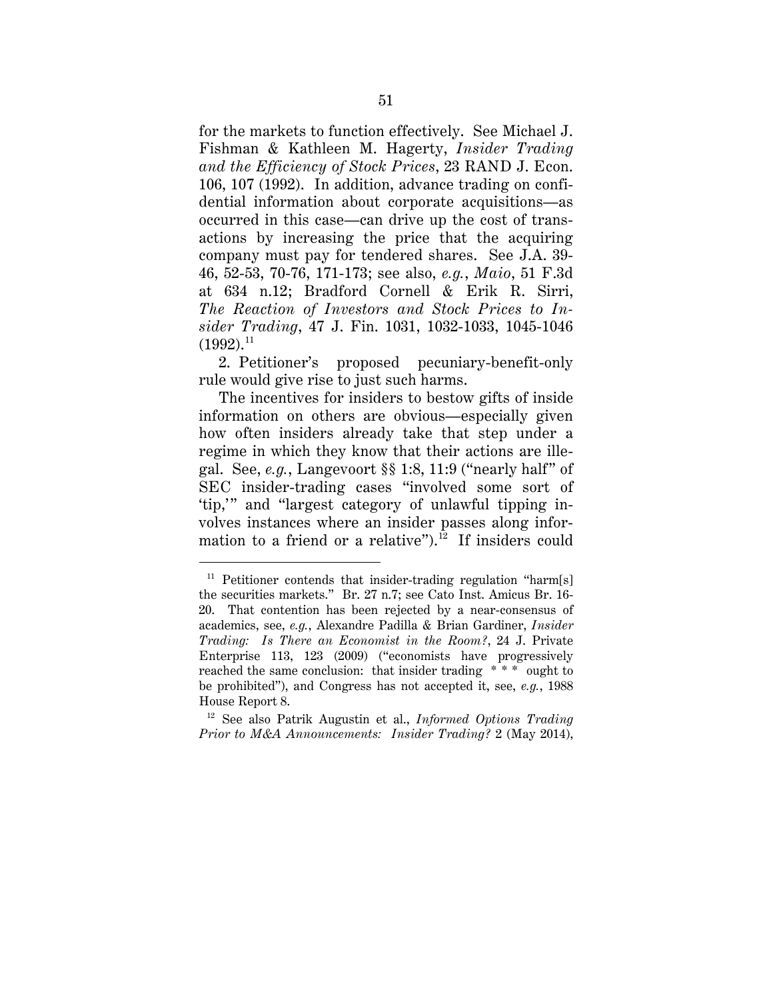for the markets to function effectively. See Michael J. Fishman & Kathleen M. Hagerty, *Insider Trading and the Efficiency of Stock Prices*, 23 RAND J. Econ. 106, 107 (1992). In addition, advance trading on confidential information about corporate acquisitions—as occurred in this case—can drive up the cost of transactions by increasing the price that the acquiring company must pay for tendered shares. See J.A. 39- 46, 52-53, 70-76, 171-173; see also, *e.g.*, *Maio*, 51 F.3d at 634 n.12; Bradford Cornell & Erik R. Sirri, *The Reaction of Investors and Stock Prices to Insider Trading*, 47 J. Fin. 1031, 1032-1033, 1045-1046  $\left( 1992\right) .^{11}$ 

2. Petitioner's proposed pecuniary-benefit-only rule would give rise to just such harms.

The incentives for insiders to bestow gifts of inside information on others are obvious—especially given how often insiders already take that step under a regime in which they know that their actions are illegal. See, *e.g.*, Langevoort §§ 1:8, 11:9 ("nearly half" of SEC insider-trading cases "involved some sort of 'tip,'" and "largest category of unlawful tipping involves instances where an insider passes along information to a friend or a relative").<sup>12</sup> If insiders could

<sup>&</sup>lt;sup>11</sup> Petitioner contends that insider-trading regulation "harm[s] the securities markets." Br. 27 n.7; see Cato Inst. Amicus Br. 16- 20. That contention has been rejected by a near-consensus of academics, see, *e.g.*, Alexandre Padilla & Brian Gardiner, *Insider Trading: Is There an Economist in the Room?*, 24 J. Private Enterprise 113, 123 (2009) ("economists have progressively reached the same conclusion: that insider trading \*\*\* ought to be prohibited"), and Congress has not accepted it, see, *e.g.*, 1988 House Report 8.

<sup>12</sup> See also Patrik Augustin et al., *Informed Options Trading Prior to M&A Announcements: Insider Trading?* 2 (May 2014),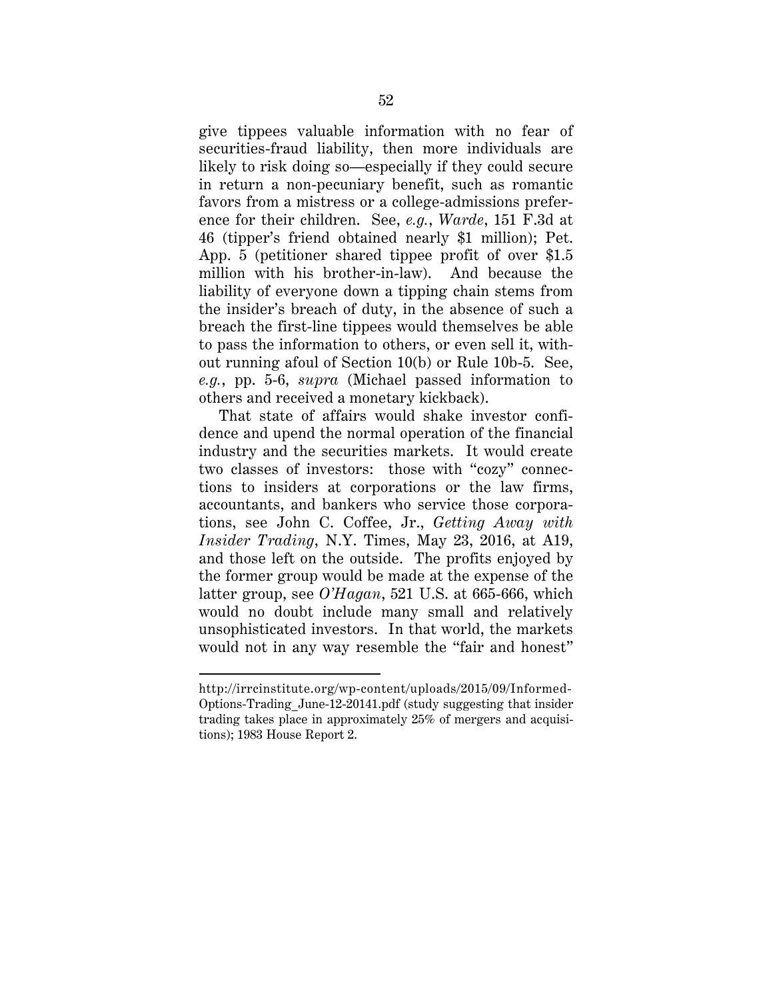give tippees valuable information with no fear of securities-fraud liability, then more individuals are likely to risk doing so—especially if they could secure in return a non-pecuniary benefit, such as romantic favors from a mistress or a college-admissions preference for their children. See, *e.g.*, *Warde*, 151 F.3d at 46 (tipper's friend obtained nearly \$1 million); Pet. App. 5 (petitioner shared tippee profit of over \$1.5 million with his brother-in-law). And because the liability of everyone down a tipping chain stems from the insider's breach of duty, in the absence of such a breach the first-line tippees would themselves be able to pass the information to others, or even sell it, without running afoul of Section 10(b) or Rule 10b-5. See, *e.g.*, pp. 5-6, *supra* (Michael passed information to others and received a monetary kickback).

That state of affairs would shake investor confidence and upend the normal operation of the financial industry and the securities markets. It would create two classes of investors: those with "cozy" connections to insiders at corporations or the law firms, accountants, and bankers who service those corporations, see John C. Coffee, Jr., *Getting Away with Insider Trading*, N.Y. Times, May 23, 2016, at A19, and those left on the outside. The profits enjoyed by the former group would be made at the expense of the latter group, see *O'Hagan*, 521 U.S. at 665-666, which would no doubt include many small and relatively unsophisticated investors. In that world, the markets would not in any way resemble the "fair and honest"

 $\ddot{\phantom{a}}$ 

http://irrcinstitute.org/wp-content/uploads/2015/09/Informed-Options-Trading\_June-12-20141.pdf (study suggesting that insider trading takes place in approximately 25% of mergers and acquisitions); 1983 House Report 2.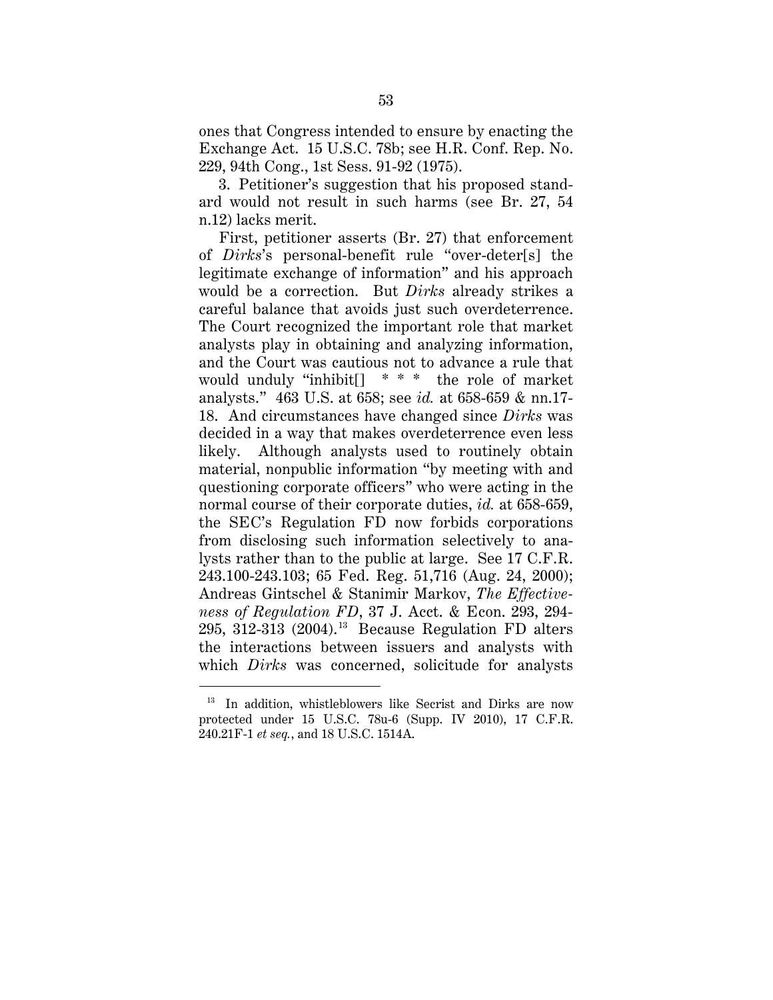ones that Congress intended to ensure by enacting the Exchange Act. 15 U.S.C. 78b; see H.R. Conf. Rep. No. 229, 94th Cong., 1st Sess. 91-92 (1975).

3. Petitioner's suggestion that his proposed standard would not result in such harms (see Br. 27, 54 n.12) lacks merit.

First, petitioner asserts (Br. 27) that enforcement of *Dirks*'s personal-benefit rule "over-deter[s] the legitimate exchange of information" and his approach would be a correction. But *Dirks* already strikes a careful balance that avoids just such overdeterrence. The Court recognized the important role that market analysts play in obtaining and analyzing information, and the Court was cautious not to advance a rule that would unduly "inhibit[] \* \* \* the role of market analysts." 463 U.S. at 658; see *id.* at 658-659 & nn.17- 18. And circumstances have changed since *Dirks* was decided in a way that makes overdeterrence even less likely. Although analysts used to routinely obtain material, nonpublic information "by meeting with and questioning corporate officers" who were acting in the normal course of their corporate duties, *id.* at 658-659, the SEC's Regulation FD now forbids corporations from disclosing such information selectively to analysts rather than to the public at large. See 17 C.F.R. 243.100-243.103; 65 Fed. Reg. 51,716 (Aug. 24, 2000); Andreas Gintschel & Stanimir Markov, *The Effectiveness of Regulation FD*, 37 J. Acct. & Econ. 293, 294-  $295, 312-313$   $(2004).$ <sup>13</sup> Because Regulation FD alters the interactions between issuers and analysts with which *Dirks* was concerned, solicitude for analysts

<sup>&</sup>lt;sup>13</sup> In addition, whistleblowers like Secrist and Dirks are now protected under 15 U.S.C. 78u-6 (Supp. IV 2010), 17 C.F.R. 240.21F-1 *et seq.*, and 18 U.S.C. 1514A.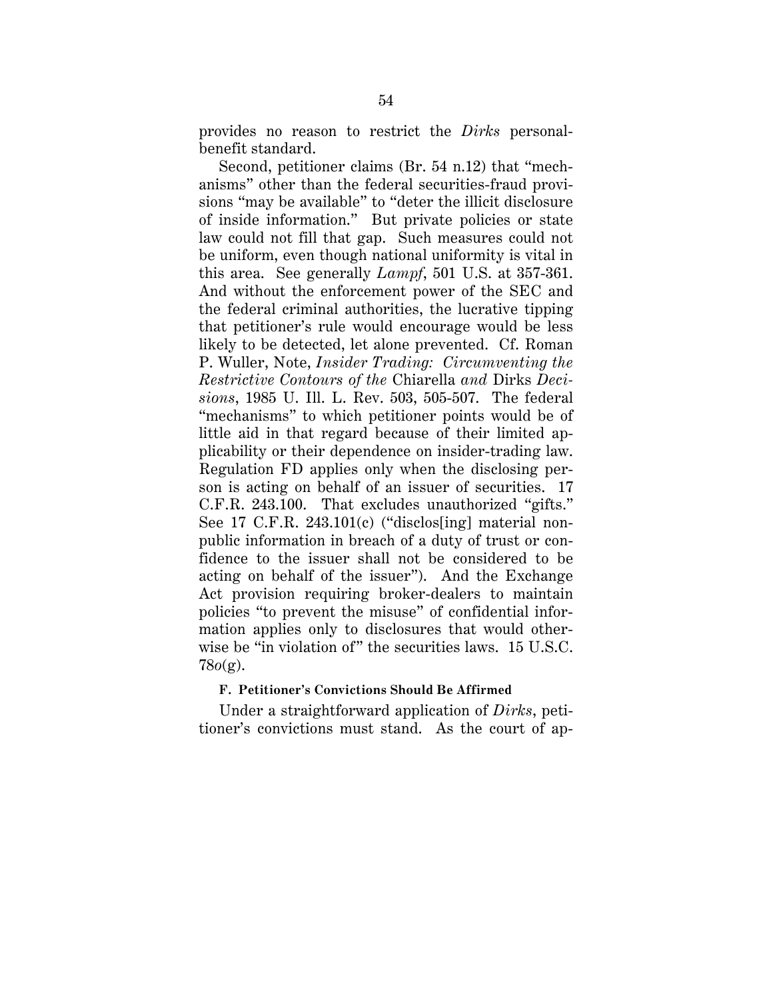provides no reason to restrict the *Dirks* personalbenefit standard.

Second, petitioner claims (Br. 54 n.12) that "mechanisms" other than the federal securities-fraud provisions "may be available" to "deter the illicit disclosure of inside information." But private policies or state law could not fill that gap. Such measures could not be uniform, even though national uniformity is vital in this area. See generally *Lampf*, 501 U.S. at 357-361. And without the enforcement power of the SEC and the federal criminal authorities, the lucrative tipping that petitioner's rule would encourage would be less likely to be detected, let alone prevented. Cf. Roman P. Wuller, Note, *Insider Trading: Circumventing the Restrictive Contours of the* Chiarella *and* Dirks *Decisions*, 1985 U. Ill. L. Rev. 503, 505-507. The federal "mechanisms" to which petitioner points would be of little aid in that regard because of their limited applicability or their dependence on insider-trading law. Regulation FD applies only when the disclosing person is acting on behalf of an issuer of securities. 17 C.F.R. 243.100. That excludes unauthorized "gifts." See 17 C.F.R. 243.101(c) ("disclos[ing] material nonpublic information in breach of a duty of trust or confidence to the issuer shall not be considered to be acting on behalf of the issuer"). And the Exchange Act provision requiring broker-dealers to maintain policies "to prevent the misuse" of confidential information applies only to disclosures that would otherwise be "in violation of" the securities laws. 15 U.S.C. 78*o*(g).

#### **F. Petitioner's Convictions Should Be Affirmed**

Under a straightforward application of *Dirks*, petitioner's convictions must stand. As the court of ap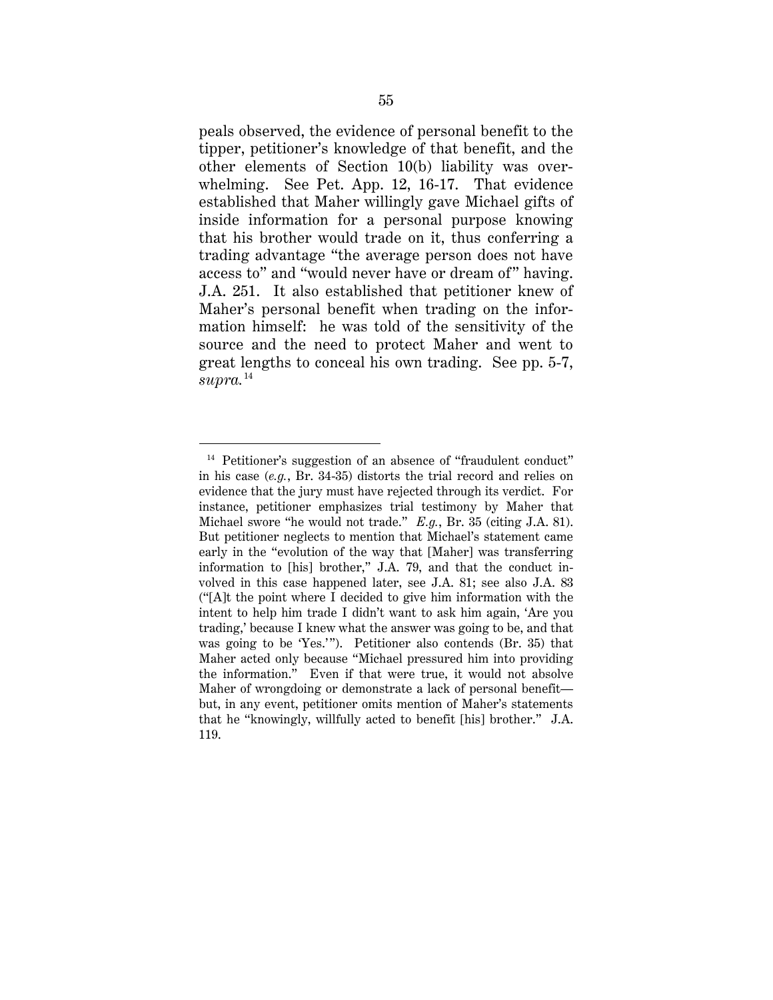peals observed, the evidence of personal benefit to the tipper, petitioner's knowledge of that benefit, and the other elements of Section 10(b) liability was overwhelming. See Pet. App. 12, 16-17. That evidence established that Maher willingly gave Michael gifts of inside information for a personal purpose knowing that his brother would trade on it, thus conferring a trading advantage "the average person does not have access to" and "would never have or dream of" having. J.A. 251. It also established that petitioner knew of Maher's personal benefit when trading on the information himself: he was told of the sensitivity of the source and the need to protect Maher and went to great lengths to conceal his own trading. See pp. 5-7,  $$ 

<sup>&</sup>lt;sup>14</sup> Petitioner's suggestion of an absence of "fraudulent conduct" in his case (*e.g.*, Br. 34-35) distorts the trial record and relies on evidence that the jury must have rejected through its verdict. For instance, petitioner emphasizes trial testimony by Maher that Michael swore "he would not trade." *E.g.*, Br. 35 (citing J.A. 81). But petitioner neglects to mention that Michael's statement came early in the "evolution of the way that [Maher] was transferring information to [his] brother," J.A. 79, and that the conduct involved in this case happened later, see J.A. 81; see also J.A. 83 ("[A]t the point where I decided to give him information with the intent to help him trade I didn't want to ask him again, 'Are you trading,' because I knew what the answer was going to be, and that was going to be 'Yes.'"). Petitioner also contends (Br. 35) that Maher acted only because "Michael pressured him into providing the information." Even if that were true, it would not absolve Maher of wrongdoing or demonstrate a lack of personal benefit but, in any event, petitioner omits mention of Maher's statements that he "knowingly, willfully acted to benefit [his] brother." J.A. 119.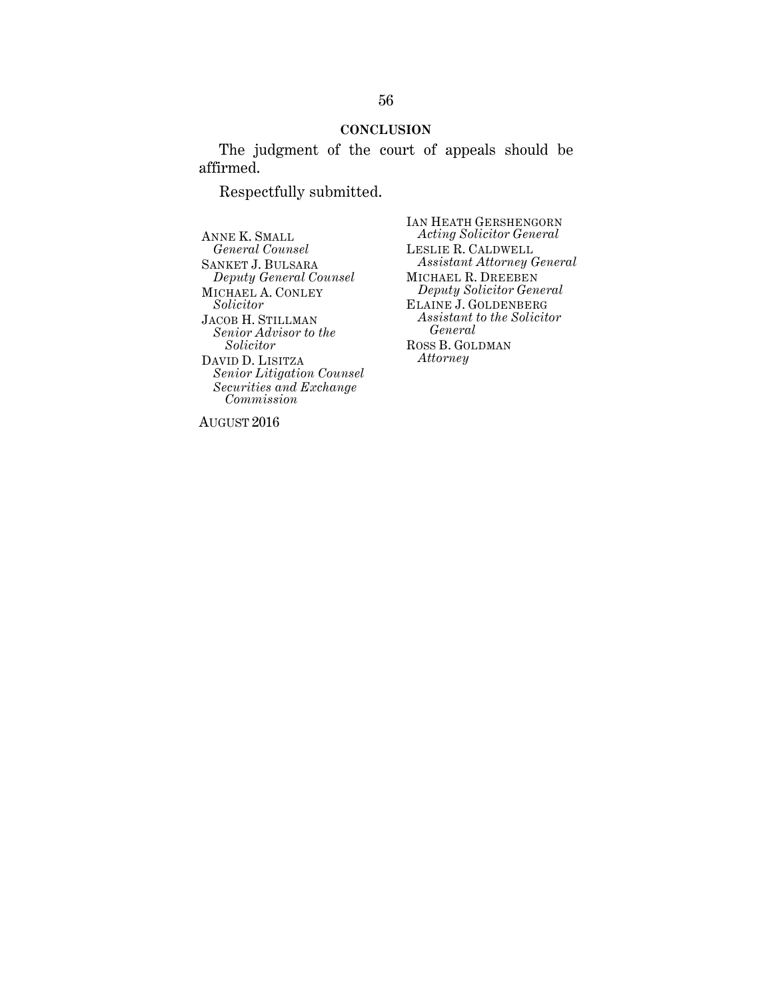#### **CONCLUSION**

The judgment of the court of appeals should be affirmed.

Respectfully submitted.

ANNE K. SMALL *General Counsel* SANKET J. BULSARA *Deputy General Counsel* MICHAEL A. CONLEY *Solicitor* JACOB H. STILLMAN *Senior Advisor to the Solicitor* DAVID D. LISITZA *Senior Litigation Counsel Securities and Exchange Commission*

IAN HEATH GERSHENGORN *Acting Solicitor General* LESLIE R. CALDWELL *Assistant Attorney General* MICHAEL R. DREEBEN *Deputy Solicitor General* ELAINE J. GOLDENBERG *Assistant to the Solicitor General* ROSS B. GOLDMAN *Attorney*

AUGUST 2016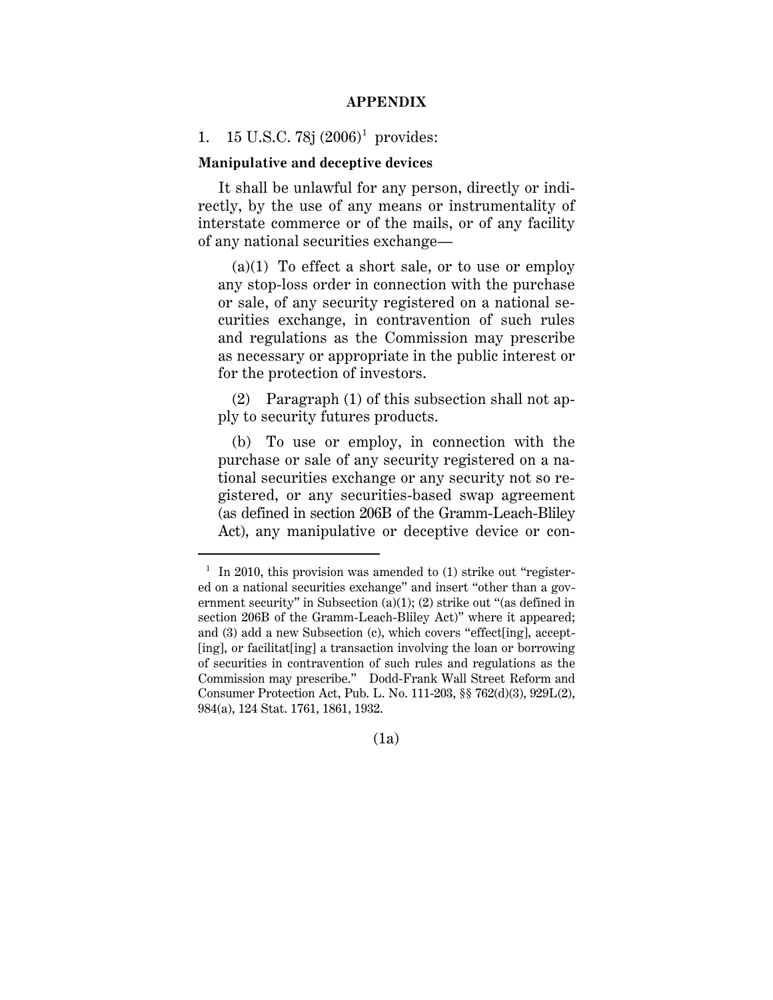#### **APPENDIX**

### 1. 15 U.S.C. 78j $(2006)^1$  provides:

#### **Manipulative and deceptive devices**

It shall be unlawful for any person, directly or indirectly, by the use of any means or instrumentality of interstate commerce or of the mails, or of any facility of any national securities exchange—

(a)(1) To effect a short sale, or to use or employ any stop-loss order in connection with the purchase or sale, of any security registered on a national securities exchange, in contravention of such rules and regulations as the Commission may prescribe as necessary or appropriate in the public interest or for the protection of investors.

(2) Paragraph (1) of this subsection shall not apply to security futures products.

(b) To use or employ, in connection with the purchase or sale of any security registered on a national securities exchange or any security not so registered, or any securities-based swap agreement (as defined in section 206B of the Gramm-Leach-Bliley Act), any manipulative or deceptive device or con-

(1a)

 $1$  In 2010, this provision was amended to (1) strike out "registered on a national securities exchange" and insert "other than a government security" in Subsection (a)(1); (2) strike out "(as defined in section 206B of the Gramm-Leach-Bliley Act)" where it appeared; and (3) add a new Subsection (c), which covers "effect[ing], accept- [ing], or facilitat[ing] a transaction involving the loan or borrowing of securities in contravention of such rules and regulations as the Commission may prescribe." Dodd-Frank Wall Street Reform and Consumer Protection Act, Pub. L. No. 111-203, §§ 762(d)(3), 929L(2), 984(a), 124 Stat. 1761, 1861, 1932.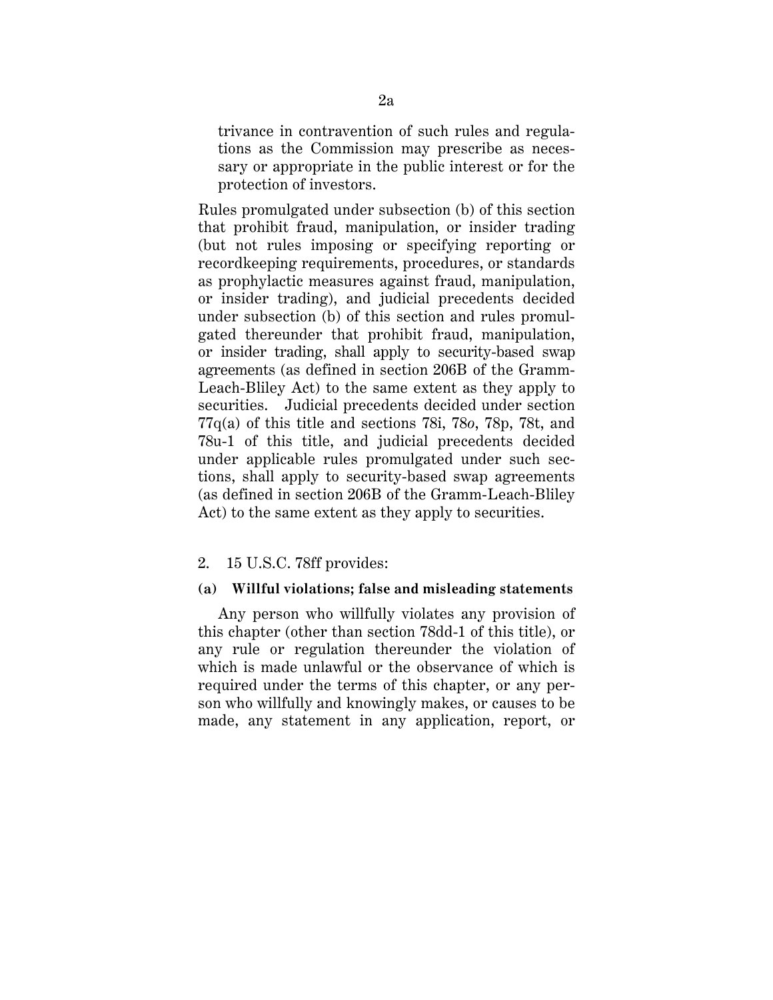trivance in contravention of such rules and regulations as the Commission may prescribe as necessary or appropriate in the public interest or for the protection of investors.

Rules promulgated under subsection (b) of this section that prohibit fraud, manipulation, or insider trading (but not rules imposing or specifying reporting or recordkeeping requirements, procedures, or standards as prophylactic measures against fraud, manipulation, or insider trading), and judicial precedents decided under subsection (b) of this section and rules promulgated thereunder that prohibit fraud, manipulation, or insider trading, shall apply to security-based swap agreements (as defined in section 206B of the Gramm-Leach-Bliley Act) to the same extent as they apply to securities. Judicial precedents decided under section 77q(a) of this title and sections 78i, 78*o*, 78p, 78t, and 78u-1 of this title, and judicial precedents decided under applicable rules promulgated under such sections, shall apply to security-based swap agreements (as defined in section 206B of the Gramm-Leach-Bliley Act) to the same extent as they apply to securities.

## 2. 15 U.S.C. 78ff provides:

#### **(a) Willful violations; false and misleading statements**

Any person who willfully violates any provision of this chapter (other than section 78dd-1 of this title), or any rule or regulation thereunder the violation of which is made unlawful or the observance of which is required under the terms of this chapter, or any person who willfully and knowingly makes, or causes to be made, any statement in any application, report, or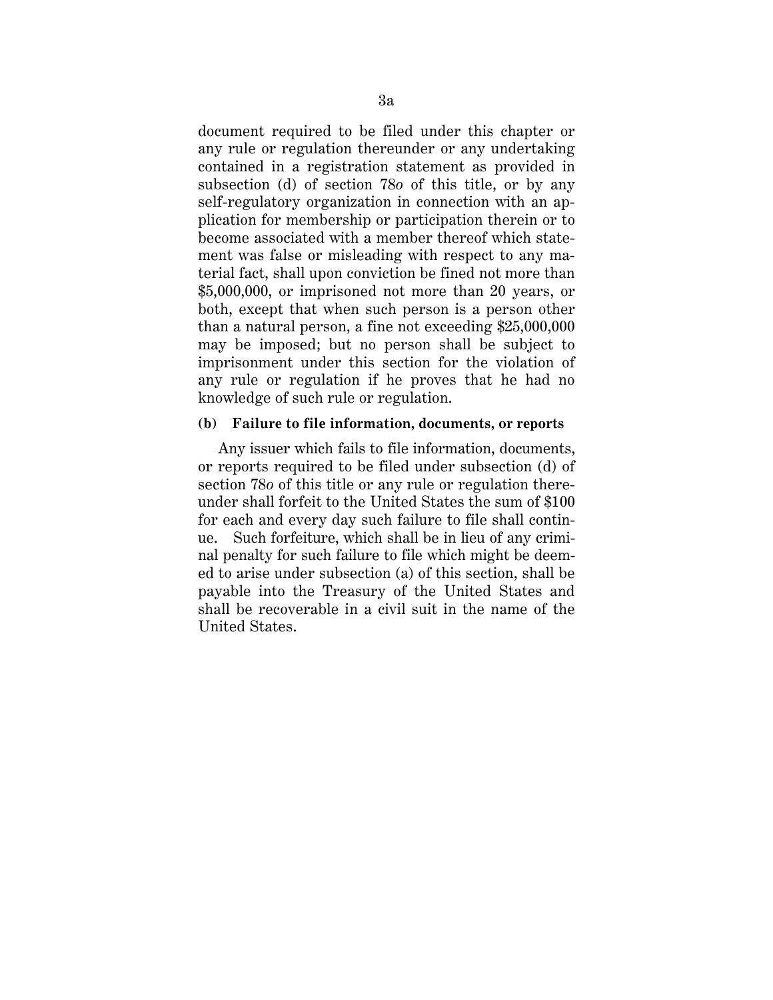document required to be filed under this chapter or any rule or regulation thereunder or any undertaking contained in a registration statement as provided in subsection (d) of section 78*o* of this title, or by any self-regulatory organization in connection with an application for membership or participation therein or to become associated with a member thereof which statement was false or misleading with respect to any material fact, shall upon conviction be fined not more than \$5,000,000, or imprisoned not more than 20 years, or both, except that when such person is a person other than a natural person, a fine not exceeding \$25,000,000 may be imposed; but no person shall be subject to imprisonment under this section for the violation of any rule or regulation if he proves that he had no knowledge of such rule or regulation.

### **(b) Failure to file information, documents, or reports**

Any issuer which fails to file information, documents, or reports required to be filed under subsection (d) of section 78*o* of this title or any rule or regulation thereunder shall forfeit to the United States the sum of \$100 for each and every day such failure to file shall continue. Such forfeiture, which shall be in lieu of any criminal penalty for such failure to file which might be deemed to arise under subsection (a) of this section, shall be payable into the Treasury of the United States and shall be recoverable in a civil suit in the name of the United States.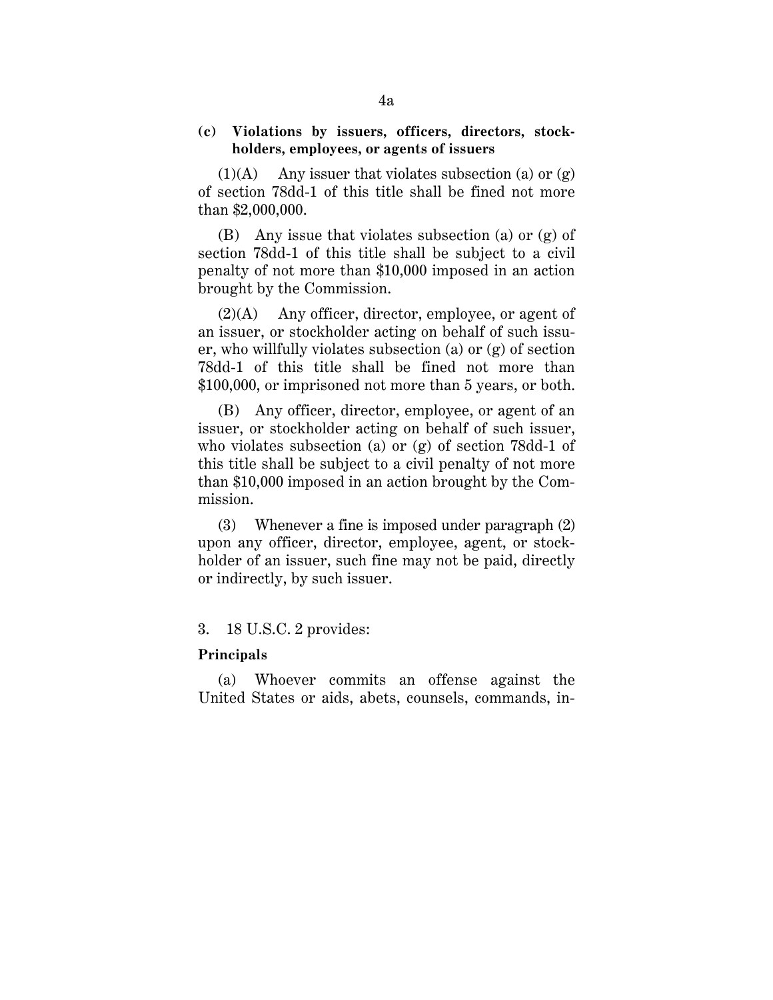## **(c) Violations by issuers, officers, directors, stockholders, employees, or agents of issuers**

 $(1)(A)$  Any issuer that violates subsection (a) or  $(g)$ of section 78dd-1 of this title shall be fined not more than \$2,000,000.

(B) Any issue that violates subsection (a) or (g) of section 78dd-1 of this title shall be subject to a civil penalty of not more than \$10,000 imposed in an action brought by the Commission.

 $(2)(A)$  Any officer, director, employee, or agent of an issuer, or stockholder acting on behalf of such issuer, who willfully violates subsection (a) or (g) of section 78dd-1 of this title shall be fined not more than \$100,000, or imprisoned not more than 5 years, or both.

(B) Any officer, director, employee, or agent of an issuer, or stockholder acting on behalf of such issuer, who violates subsection (a) or (g) of section 78dd-1 of this title shall be subject to a civil penalty of not more than \$10,000 imposed in an action brought by the Commission.

(3) Whenever a fine is imposed under paragraph (2) upon any officer, director, employee, agent, or stockholder of an issuer, such fine may not be paid, directly or indirectly, by such issuer.

## 3. 18 U.S.C. 2 provides:

## **Principals**

(a) Whoever commits an offense against the United States or aids, abets, counsels, commands, in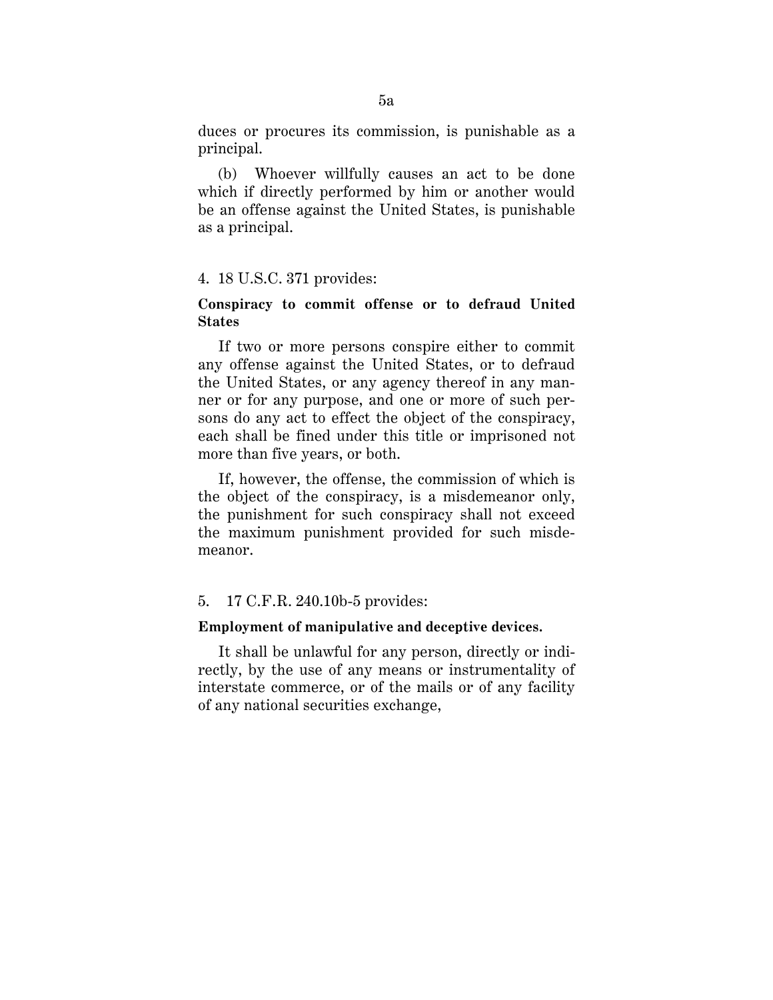duces or procures its commission, is punishable as a principal.

(b) Whoever willfully causes an act to be done which if directly performed by him or another would be an offense against the United States, is punishable as a principal.

### 4. 18 U.S.C. 371 provides:

## **Conspiracy to commit offense or to defraud United States**

If two or more persons conspire either to commit any offense against the United States, or to defraud the United States, or any agency thereof in any manner or for any purpose, and one or more of such persons do any act to effect the object of the conspiracy, each shall be fined under this title or imprisoned not more than five years, or both.

If, however, the offense, the commission of which is the object of the conspiracy, is a misdemeanor only, the punishment for such conspiracy shall not exceed the maximum punishment provided for such misdemeanor.

## 5. 17 C.F.R. 240.10b-5 provides:

### **Employment of manipulative and deceptive devices.**

It shall be unlawful for any person, directly or indirectly, by the use of any means or instrumentality of interstate commerce, or of the mails or of any facility of any national securities exchange,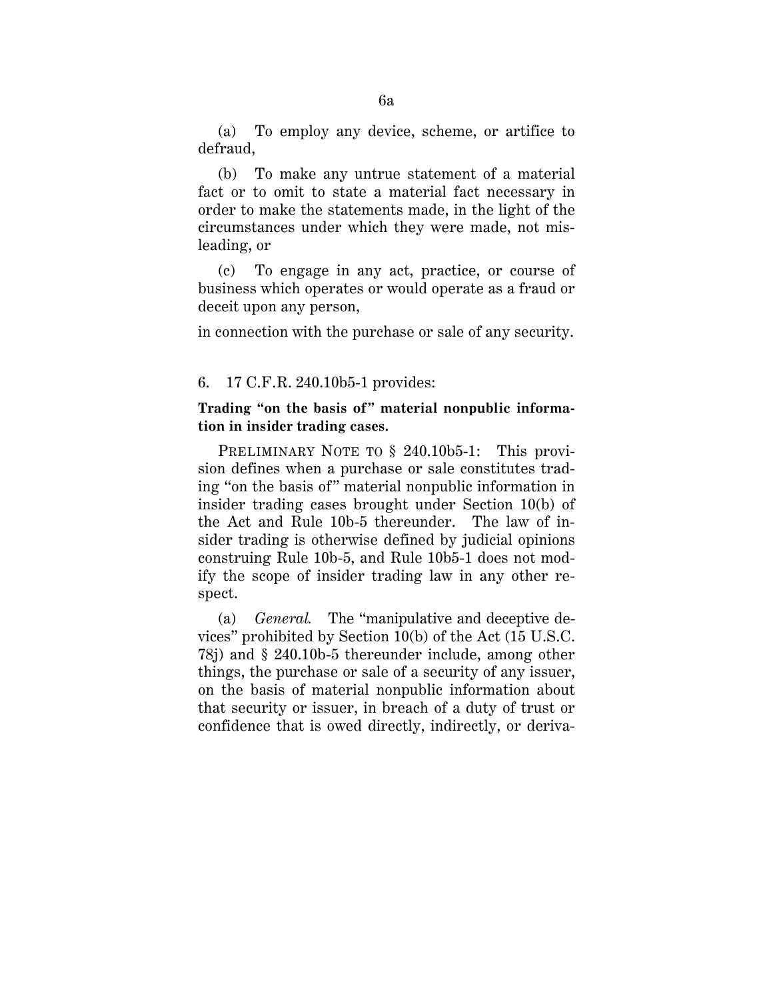(a) To employ any device, scheme, or artifice to defraud,

(b) To make any untrue statement of a material fact or to omit to state a material fact necessary in order to make the statements made, in the light of the circumstances under which they were made, not misleading, or

(c) To engage in any act, practice, or course of business which operates or would operate as a fraud or deceit upon any person,

in connection with the purchase or sale of any security.

# 6. 17 C.F.R. 240.10b5-1 provides:

## **Trading "on the basis of" material nonpublic information in insider trading cases.**

PRELIMINARY NOTE TO § 240.10b5-1: This provision defines when a purchase or sale constitutes trading "on the basis of" material nonpublic information in insider trading cases brought under Section 10(b) of the Act and Rule 10b-5 thereunder. The law of insider trading is otherwise defined by judicial opinions construing Rule 10b-5, and Rule 10b5-1 does not modify the scope of insider trading law in any other respect.

(a) *General.* The "manipulative and deceptive devices" prohibited by Section 10(b) of the Act (15 U.S.C. 78j) and § 240.10b-5 thereunder include, among other things, the purchase or sale of a security of any issuer, on the basis of material nonpublic information about that security or issuer, in breach of a duty of trust or confidence that is owed directly, indirectly, or deriva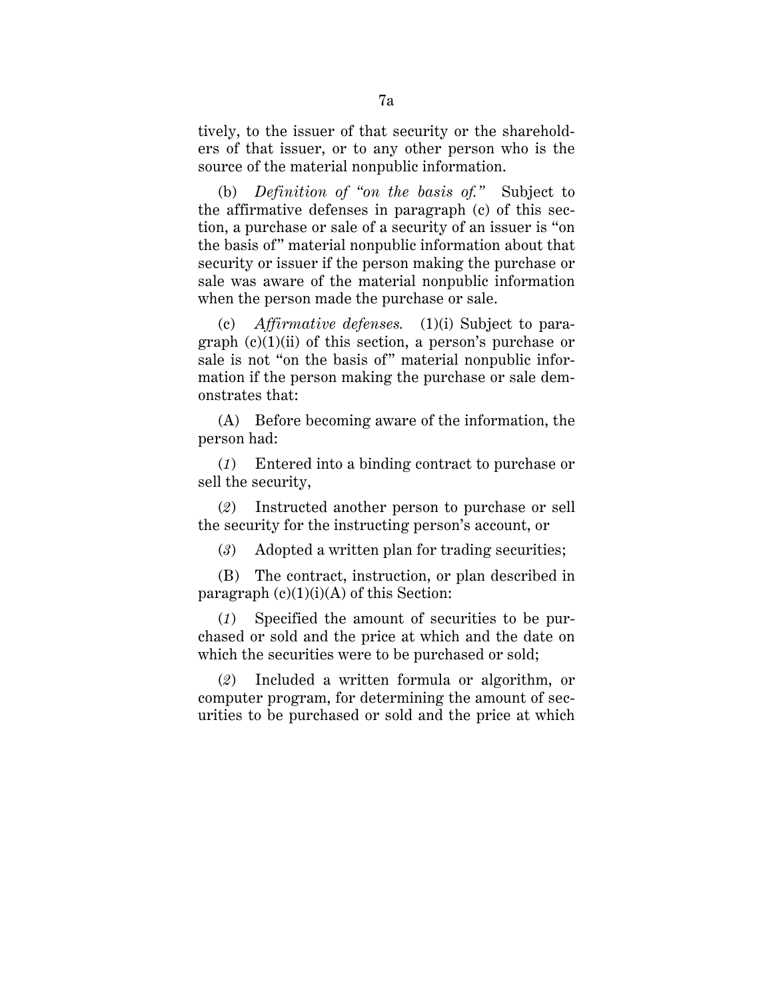tively, to the issuer of that security or the shareholders of that issuer, or to any other person who is the source of the material nonpublic information.

(b) *Definition of "on the basis of."* Subject to the affirmative defenses in paragraph (c) of this section, a purchase or sale of a security of an issuer is "on the basis of" material nonpublic information about that security or issuer if the person making the purchase or sale was aware of the material nonpublic information when the person made the purchase or sale.

(c) *Affirmative defenses.* (1)(i) Subject to paragraph  $(c)(1)(ii)$  of this section, a person's purchase or sale is not "on the basis of" material nonpublic information if the person making the purchase or sale demonstrates that:

(A) Before becoming aware of the information, the person had:

(*1*) Entered into a binding contract to purchase or sell the security,

(*2*) Instructed another person to purchase or sell the security for the instructing person's account, or

(*3*) Adopted a written plan for trading securities;

(B) The contract, instruction, or plan described in paragraph  $(c)(1)(i)(A)$  of this Section:

(*1*) Specified the amount of securities to be purchased or sold and the price at which and the date on which the securities were to be purchased or sold;

(*2*) Included a written formula or algorithm, or computer program, for determining the amount of securities to be purchased or sold and the price at which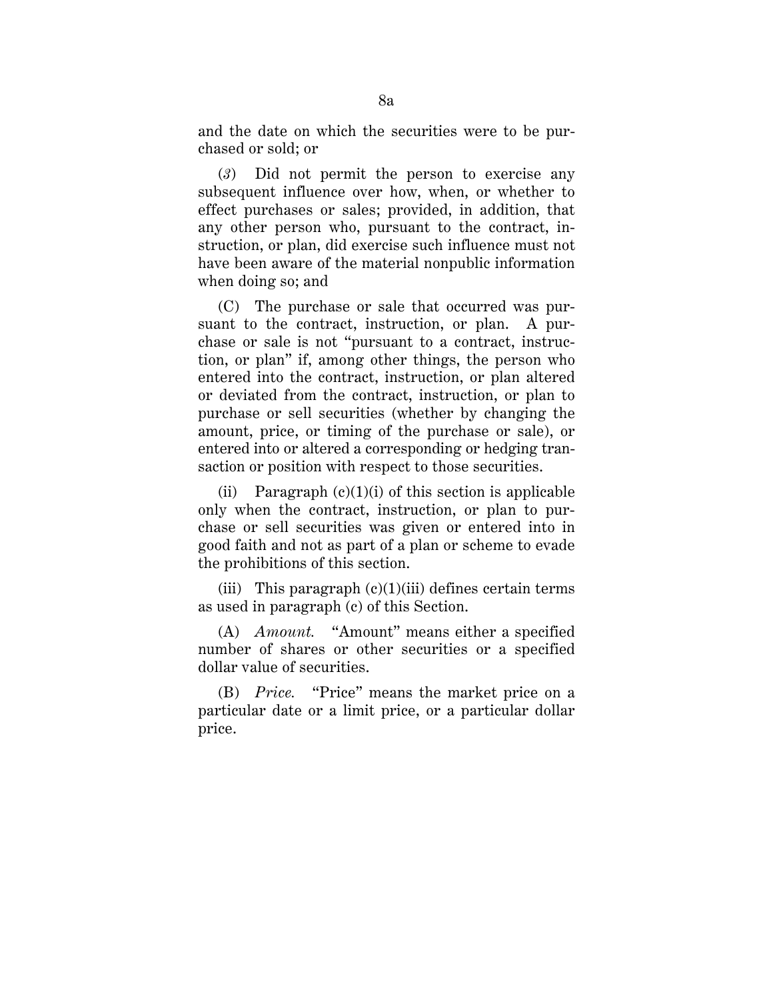and the date on which the securities were to be purchased or sold; or

(*3*) Did not permit the person to exercise any subsequent influence over how, when, or whether to effect purchases or sales; provided, in addition, that any other person who, pursuant to the contract, instruction, or plan, did exercise such influence must not have been aware of the material nonpublic information when doing so; and

(C) The purchase or sale that occurred was pursuant to the contract, instruction, or plan. A purchase or sale is not "pursuant to a contract, instruction, or plan" if, among other things, the person who entered into the contract, instruction, or plan altered or deviated from the contract, instruction, or plan to purchase or sell securities (whether by changing the amount, price, or timing of the purchase or sale), or entered into or altered a corresponding or hedging transaction or position with respect to those securities.

(ii) Paragraph  $(c)(1)(i)$  of this section is applicable only when the contract, instruction, or plan to purchase or sell securities was given or entered into in good faith and not as part of a plan or scheme to evade the prohibitions of this section.

(iii) This paragraph  $(c)(1)(iii)$  defines certain terms as used in paragraph (c) of this Section.

(A) *Amount.* "Amount" means either a specified number of shares or other securities or a specified dollar value of securities.

(B) *Price.* "Price" means the market price on a particular date or a limit price, or a particular dollar price.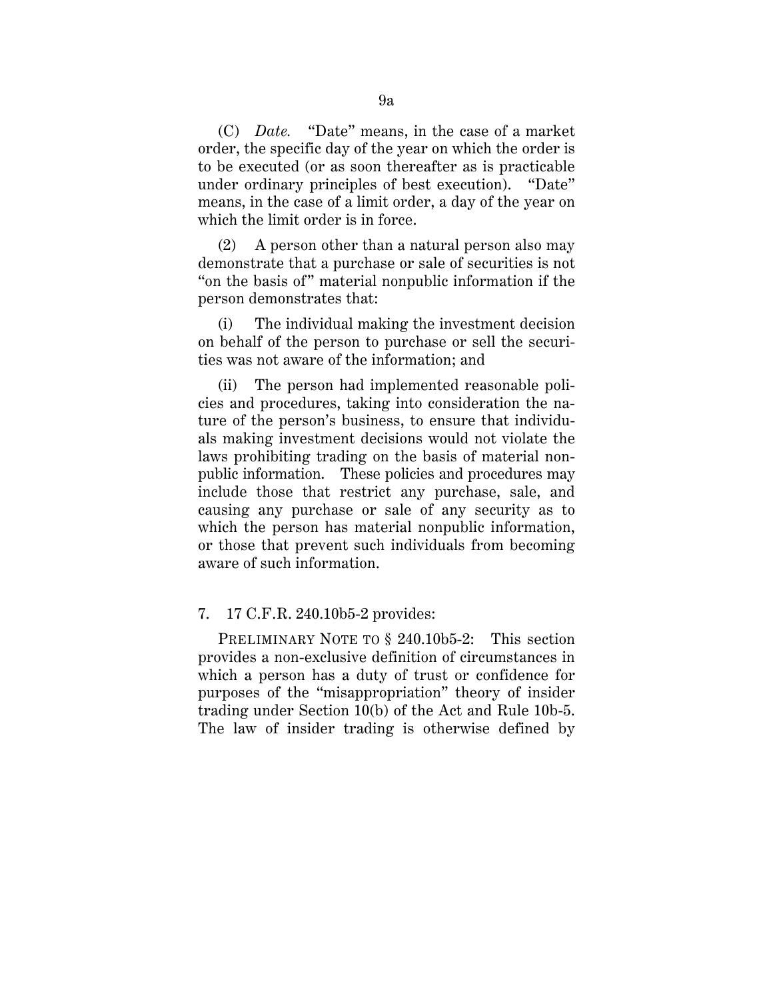(C) *Date.* "Date" means, in the case of a market order, the specific day of the year on which the order is to be executed (or as soon thereafter as is practicable under ordinary principles of best execution). "Date" means, in the case of a limit order, a day of the year on which the limit order is in force.

(2) A person other than a natural person also may demonstrate that a purchase or sale of securities is not "on the basis of" material nonpublic information if the person demonstrates that:

(i) The individual making the investment decision on behalf of the person to purchase or sell the securities was not aware of the information; and

(ii) The person had implemented reasonable policies and procedures, taking into consideration the nature of the person's business, to ensure that individuals making investment decisions would not violate the laws prohibiting trading on the basis of material nonpublic information. These policies and procedures may include those that restrict any purchase, sale, and causing any purchase or sale of any security as to which the person has material nonpublic information, or those that prevent such individuals from becoming aware of such information.

## 7. 17 C.F.R. 240.10b5-2 provides:

PRELIMINARY NOTE TO § 240.10b5-2: This section provides a non-exclusive definition of circumstances in which a person has a duty of trust or confidence for purposes of the "misappropriation" theory of insider trading under Section 10(b) of the Act and Rule 10b-5. The law of insider trading is otherwise defined by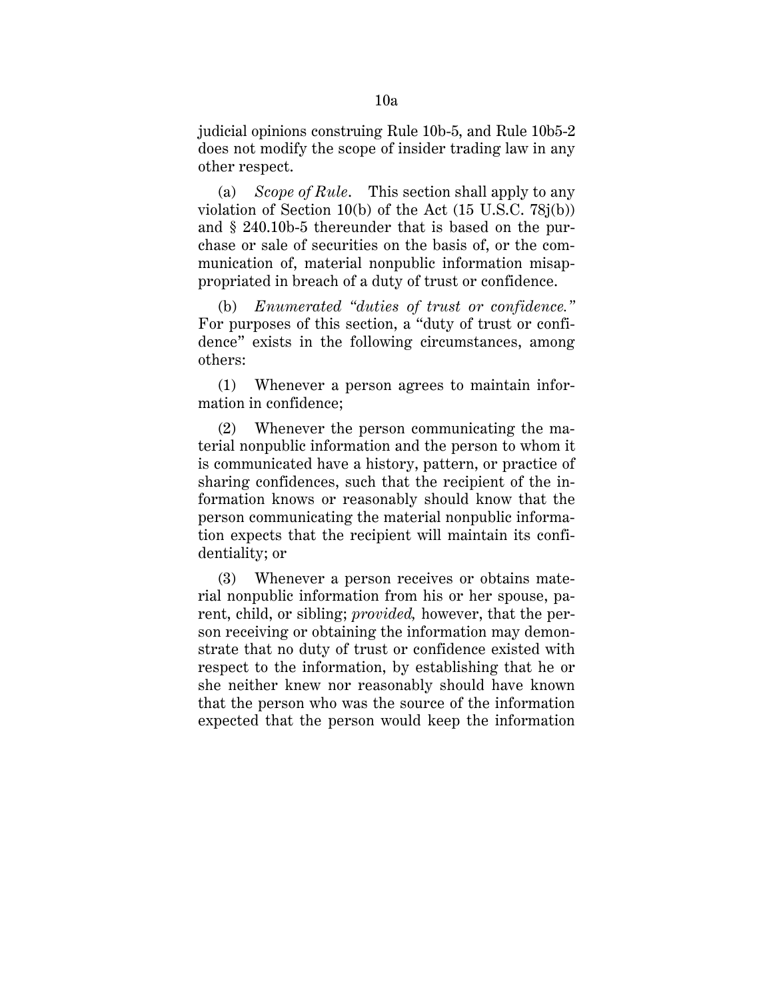judicial opinions construing Rule 10b-5, and Rule 10b5-2 does not modify the scope of insider trading law in any other respect.

(a) *Scope of Rule*. This section shall apply to any violation of Section 10(b) of the Act  $(15 \text{ U.S.C. } 78j(b))$ and § 240.10b-5 thereunder that is based on the purchase or sale of securities on the basis of, or the communication of, material nonpublic information misappropriated in breach of a duty of trust or confidence.

(b) *Enumerated "duties of trust or confidence."* For purposes of this section, a "duty of trust or confidence" exists in the following circumstances, among others:

(1) Whenever a person agrees to maintain information in confidence;

(2) Whenever the person communicating the material nonpublic information and the person to whom it is communicated have a history, pattern, or practice of sharing confidences, such that the recipient of the information knows or reasonably should know that the person communicating the material nonpublic information expects that the recipient will maintain its confidentiality; or

(3) Whenever a person receives or obtains material nonpublic information from his or her spouse, parent, child, or sibling; *provided,* however, that the person receiving or obtaining the information may demonstrate that no duty of trust or confidence existed with respect to the information, by establishing that he or she neither knew nor reasonably should have known that the person who was the source of the information expected that the person would keep the information